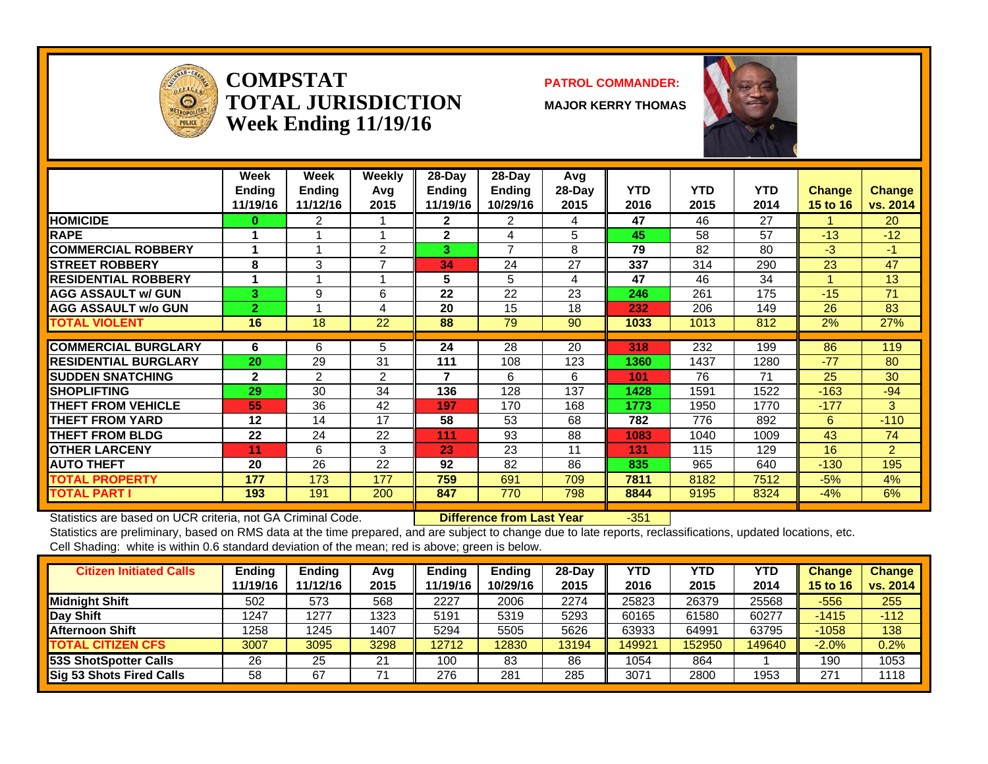

#### **COMPSTATTOTAL JURISDICTIONWeek Ending 11/19/16**

#### **PATROL COMMANDER:**

**MAJOR KERRY THOMAS**



|                             | Week<br><b>Ending</b><br>11/19/16 | Week<br><b>Ending</b><br>11/12/16 | Weekly<br>Avq<br>2015 | $28-Day$<br><b>Ending</b><br>11/19/16 | $28$ -Day<br>Ending<br>10/29/16 | Avg<br>$28-Day$<br>2015 | <b>YTD</b><br>2016 | <b>YTD</b><br>2015 | <b>YTD</b><br>2014 | <b>Change</b><br>15 to 16 | <b>Change</b><br>vs. 2014 |
|-----------------------------|-----------------------------------|-----------------------------------|-----------------------|---------------------------------------|---------------------------------|-------------------------|--------------------|--------------------|--------------------|---------------------------|---------------------------|
| <b>HOMICIDE</b>             | 0                                 | 2                                 |                       | $\mathbf{2}$                          | 2                               | 4                       | 47                 | 46                 | 27                 |                           | <b>20</b>                 |
| <b>RAPE</b>                 |                                   |                                   |                       | $\mathbf{2}$                          | 4                               | 5                       | 45                 | 58                 | 57                 | $-13$                     | $-12$                     |
| <b>COMMERCIAL ROBBERY</b>   |                                   | 4                                 | 2                     | 3                                     | $\overline{7}$                  | 8                       | 79                 | 82                 | 80                 | $-3$                      | -1                        |
| <b>STREET ROBBERY</b>       | 8                                 | 3                                 |                       | 34                                    | 24                              | 27                      | 337                | 314                | 290                | 23                        | 47                        |
| <b>RESIDENTIAL ROBBERY</b>  |                                   |                                   |                       | 5                                     | 5                               | 4                       | 47                 | 46                 | 34                 |                           | 13                        |
| <b>AGG ASSAULT w/ GUN</b>   | 3.                                | 9                                 | 6                     | 22                                    | 22                              | 23                      | 246                | 261                | 175                | $-15$                     | 71                        |
| <b>AGG ASSAULT w/o GUN</b>  | $\overline{2}$                    |                                   | 4                     | 20                                    | 15                              | 18                      | 232                | 206                | 149                | 26                        | 83                        |
| <b>TOTAL VIOLENT</b>        | 16                                | 18                                | 22                    | 88                                    | 79                              | 90                      | 1033               | 1013               | 812                | 2%                        | 27%                       |
| <b>COMMERCIAL BURGLARY</b>  |                                   | 6                                 |                       | 24                                    | 28                              | 20                      |                    | 232                | 199                | 86                        | 119                       |
|                             | 6                                 |                                   | 5                     |                                       |                                 |                         | 318                |                    |                    |                           |                           |
| <b>RESIDENTIAL BURGLARY</b> | 20                                | 29                                | 31                    | 111                                   | 108                             | 123                     | 1360               | 1437               | 1280               | $-77$                     | 80                        |
| <b>SUDDEN SNATCHING</b>     | $\mathbf{2}$                      | $\overline{2}$                    | 2                     | 7                                     | 6                               | 6                       | 101                | 76                 | 71                 | 25                        | 30                        |
| <b>SHOPLIFTING</b>          | 29                                | 30                                | 34                    | 136                                   | 128                             | 137                     | 1428               | 1591               | 1522               | $-163$                    | $-94$                     |
| <b>THEFT FROM VEHICLE</b>   | 55                                | 36                                | 42                    | 197                                   | 170                             | 168                     | 1773               | 1950               | 1770               | $-177$                    | 3                         |
| <b>THEFT FROM YARD</b>      | 12                                | 14                                | 17                    | 58                                    | 53                              | 68                      | 782                | 776                | 892                | 6                         | $-110$                    |
| <b>THEFT FROM BLDG</b>      | 22                                | 24                                | 22                    | 111                                   | 93                              | 88                      | 1083               | 1040               | 1009               | 43                        | 74                        |
| <b>OTHER LARCENY</b>        | 11                                | 6                                 | 3                     | 23                                    | 23                              | 11                      | 131                | 115                | 129                | 16                        | $\overline{2}$            |
| <b>AUTO THEFT</b>           | 20                                | 26                                | 22                    | 92                                    | 82                              | 86                      | 835                | 965                | 640                | $-130$                    | 195                       |
| <b>TOTAL PROPERTY</b>       | 177                               | 173                               | 177                   | 759                                   | 691                             | 709                     | 7811               | 8182               | 7512               | $-5%$                     | 4%                        |
| <b>TOTAL PART I</b>         | 193                               | 191                               | 200                   | 847                                   | 770                             | 798                     | 8844               | 9195               | 8324               | $-4%$                     | 6%                        |

Statistics are based on UCR criteria, not GA Criminal Code. **Difference from Last Year** -351

| <b>Citizen Initiated Calls</b> | Ending   | <b>Ending</b> | Avg  | Endina  | Ending   | 28-Dav | YTD    | YTD    | YTD    | <b>Change</b>   | <b>Change</b> |
|--------------------------------|----------|---------------|------|---------|----------|--------|--------|--------|--------|-----------------|---------------|
|                                | 11/19/16 | 11/12/16      | 2015 | 1/19/16 | 10/29/16 | 2015   | 2016   | 2015   | 2014   | <b>15 to 16</b> | vs. 2014      |
| <b>Midnight Shift</b>          | 502      | 573           | 568  | 2227    | 2006     | 2274   | 25823  | 26379  | 25568  | -556            | 255           |
| <b>Day Shift</b>               | 1247     | 1277          | 1323 | 5191    | 5319     | 5293   | 60165  | 61580  | 60277  | $-1415$         | $-112$        |
| Afternoon Shift                | 1258     | 1245          | 1407 | 5294    | 5505     | 5626   | 63933  | 64991  | 63795  | $-1058$         | 138           |
| <b>TOTAL CITIZEN CFS</b>       | 3007     | 3095          | 3298 | 12712   | 12830    | 13194  | 149921 | 152950 | 149640 | $-2.0%$         | $0.2\%$       |
| 53S ShotSpotter Calls          | 26       | 25            | 21   | 100     | 83       | 86     | 1054   | 864    |        | 190             | 1053          |
| Sig 53 Shots Fired Calls       | 58       | 67            |      | 276     | 281      | 285    | 3071   | 2800   | 1953   | 271             | 118           |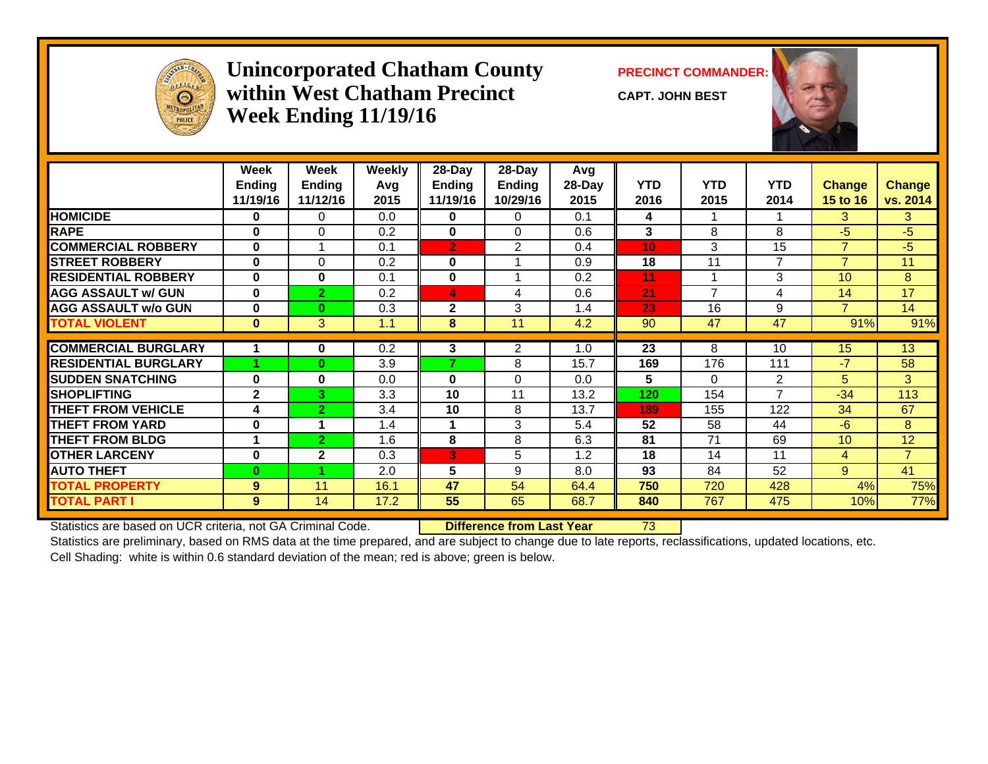

#### **Unincorporated Chatham County PRECINCT COMMANDER: within West Chatham PrecinctWeek Ending 11/19/16**

**CAPT. JOHN BEST**



|                             | Week<br><b>Ending</b><br>11/19/16 | Week<br><b>Ending</b><br>11/12/16 | <b>Weekly</b><br>Avg<br>2015 | 28-Day<br><b>Ending</b><br>11/19/16 | 28-Day<br>Ending<br>10/29/16 | Avg<br>28-Day<br>2015 | <b>YTD</b><br>2016 | <b>YTD</b><br>2015       | <b>YTD</b><br>2014 | Change<br>15 to 16 | <b>Change</b><br>vs. 2014 |
|-----------------------------|-----------------------------------|-----------------------------------|------------------------------|-------------------------------------|------------------------------|-----------------------|--------------------|--------------------------|--------------------|--------------------|---------------------------|
| <b>HOMICIDE</b>             | 0                                 | 0                                 | 0.0                          | 0                                   | $\Omega$                     | 0.1                   | 4                  |                          |                    | 3                  | 3                         |
| <b>RAPE</b>                 | $\bf{0}$                          | 0                                 | 0.2                          | 0                                   | $\Omega$                     | 0.6                   | 3                  | 8                        | 8                  | $-5$               | $-5$                      |
| <b>COMMERCIAL ROBBERY</b>   | $\mathbf{0}$                      |                                   | 0.1                          | $\overline{2}$                      | 2                            | 0.4                   | 10 <sub>1</sub>    | 3                        | 15                 | $\overline{7}$     | $-5$                      |
| <b>ISTREET ROBBERY</b>      | $\bf{0}$                          | $\Omega$                          | 0.2                          | 0                                   |                              | 0.9                   | 18                 | 11                       | 7                  | $\overline{7}$     | 11                        |
| <b>RESIDENTIAL ROBBERY</b>  | $\bf{0}$                          | 0                                 | 0.1                          | 0                                   |                              | 0.2                   | 11                 | $\overline{\phantom{a}}$ | 3                  | 10 <sup>1</sup>    | 8                         |
| <b>AGG ASSAULT w/ GUN</b>   | $\bf{0}$                          | $\overline{2}$                    | 0.2                          | 4                                   | 4                            | 0.6                   | 21                 | $\overline{ }$           | 4                  | 14                 | 17                        |
| <b>AGG ASSAULT w/o GUN</b>  | $\bf{0}$                          | $\bf{0}$                          | 0.3                          | $\mathbf{2}$                        | 3                            | 1.4                   | 23                 | 16                       | 9                  | $\overline{7}$     | 14                        |
| <b>TOTAL VIOLENT</b>        | $\bf{0}$                          | 3                                 | 1.1                          | 8                                   | 11                           | 4.2                   | 90                 | 47                       | 47                 | 91%                | 91%                       |
|                             |                                   |                                   |                              |                                     |                              |                       |                    | 8                        |                    |                    |                           |
| <b>COMMERCIAL BURGLARY</b>  |                                   | 0                                 | 0.2                          | 3<br>7                              | 2                            | 1.0                   | 23                 |                          | 10                 | 15                 | 13                        |
| <b>RESIDENTIAL BURGLARY</b> |                                   | $\bf{0}$                          | 3.9                          |                                     | 8                            | 15.7                  | 169                | 176                      | 111                | $-7$               | 58                        |
| <b>SUDDEN SNATCHING</b>     | $\bf{0}$                          | 0                                 | 0.0                          | 0                                   | $\Omega$                     | 0.0                   | 5                  | 0                        | 2                  | 5                  | 3                         |
| <b>SHOPLIFTING</b>          | $\mathbf{2}$                      | 3                                 | 3.3                          | 10                                  | 11                           | 13.2                  | 120                | 154                      | $\overline{7}$     | $-34$              | 113                       |
| <b>THEFT FROM VEHICLE</b>   | 4                                 | $\overline{2}$                    | 3.4                          | 10                                  | 8                            | 13.7                  | 189                | 155                      | 122                | 34                 | 67                        |
| <b>THEFT FROM YARD</b>      | $\bf{0}$                          |                                   | 1.4                          |                                     | 3                            | 5.4                   | 52                 | 58                       | 44                 | $-6$               | 8                         |
| <b>THEFT FROM BLDG</b>      |                                   | $\mathbf{2}$                      | 1.6                          | 8                                   | 8                            | 6.3                   | 81                 | 71                       | 69                 | 10 <sup>1</sup>    | 12                        |
| <b>OTHER LARCENY</b>        | $\bf{0}$                          | $\mathbf{2}$                      | 0.3                          | 3                                   | 5                            | 1.2                   | 18                 | 14                       | 11                 | $\overline{4}$     | $\overline{7}$            |
| <b>AUTO THEFT</b>           | $\bf{0}$                          |                                   | 2.0                          | 5                                   | 9                            | 8.0                   | 93                 | 84                       | 52                 | 9                  | 41                        |
| <b>TOTAL PROPERTY</b>       | 9                                 | 11                                | 16.1                         | 47                                  | 54                           | 64.4                  | 750                | 720                      | 428                | 4%                 | 75%                       |
| <b>TOTAL PART I</b>         | 9                                 | 14                                | 17.2                         | 55                                  | 65                           | 68.7                  | 840                | 767                      | 475                | 10%                | 77%                       |

Statistics are based on UCR criteria, not GA Criminal Code. **Difference from Last Year** 73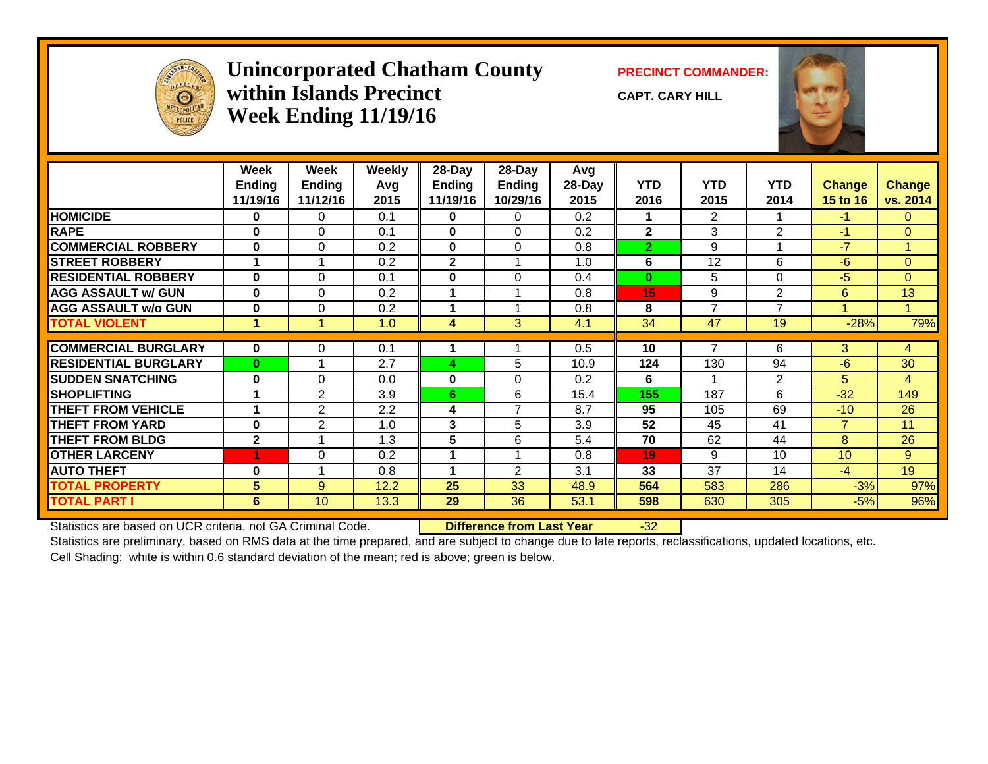

#### **Unincorporated Chatham County PRECINCT COMMANDER: within Islands PrecinctWeek Ending 11/19/16**

**CAPT. CARY HILL**



|                             | Week          | Week          | <b>Weekly</b> | 28-Day       | 28-Day         | Avg    |                 |                |                |                 |                |
|-----------------------------|---------------|---------------|---------------|--------------|----------------|--------|-----------------|----------------|----------------|-----------------|----------------|
|                             | <b>Ending</b> | <b>Ending</b> | Avg           | Ending       | <b>Ending</b>  | 28-Day | <b>YTD</b>      | <b>YTD</b>     | <b>YTD</b>     | <b>Change</b>   | <b>Change</b>  |
|                             | 11/19/16      | 11/12/16      | 2015          | 11/19/16     | 10/29/16       | 2015   | 2016            | 2015           | 2014           | <b>15 to 16</b> | vs. 2014       |
| <b>HOMICIDE</b>             | $\bf{0}$      | 0             | 0.1           | 0            | 0              | 0.2    |                 | $\overline{2}$ | 1              | $-1$            | $\mathbf{0}$   |
| <b>RAPE</b>                 | $\bf{0}$      | $\Omega$      | 0.1           | $\mathbf{0}$ | $\Omega$       | 0.2    | $\overline{2}$  | 3              | $\overline{2}$ | $-1$            | $\Omega$       |
| <b>COMMERCIAL ROBBERY</b>   | $\bf{0}$      | $\Omega$      | 0.2           | $\mathbf{0}$ | $\Omega$       | 0.8    | $\overline{2}$  | 9              |                | $-7$            |                |
| <b>STREET ROBBERY</b>       |               |               | 0.2           | $\mathbf{2}$ |                | 1.0    | 6               | 12             | 6              | $-6$            | $\overline{0}$ |
| <b>RESIDENTIAL ROBBERY</b>  | $\bf{0}$      | $\Omega$      | 0.1           | $\mathbf{0}$ | $\Omega$       | 0.4    | $\bf{0}$        | 5              | $\Omega$       | $-5$            | $\Omega$       |
| <b>AGG ASSAULT w/ GUN</b>   | $\bf{0}$      | $\Omega$      | 0.2           |              |                | 0.8    | 15 <sub>1</sub> | 9              | $\overline{2}$ | 6               | 13             |
| <b>AGG ASSAULT w/o GUN</b>  | $\mathbf 0$   | 0             | 0.2           | 1            | 4              | 0.8    | 8               | $\overline{7}$ | $\overline{7}$ | 1               | $\overline{A}$ |
| <b>TOTAL VIOLENT</b>        | 1             | 1             | 1.0           | 4            | 3              | 4.1    | 34              | 47             | 19             | $-28%$          | 79%            |
|                             |               |               |               |              |                |        |                 | 7              |                |                 |                |
| <b>COMMERCIAL BURGLARY</b>  | $\mathbf{0}$  | 0             | 0.1           |              |                | 0.5    | 10              |                | 6              | 3               | 4              |
| <b>RESIDENTIAL BURGLARY</b> | $\mathbf{0}$  |               | 2.7           | 4            | 5              | 10.9   | 124             | 130            | 94             | $-6$            | 30             |
| <b>SUDDEN SNATCHING</b>     | $\bf{0}$      | $\Omega$      | 0.0           | $\mathbf 0$  | $\Omega$       | 0.2    | 6               |                | 2              | 5.              | 4              |
| <b>SHOPLIFTING</b>          |               | 2             | 3.9           | 6            | 6              | 15.4   | 155             | 187            | 6              | $-32$           | 149            |
| <b>THEFT FROM VEHICLE</b>   |               | $\mathbf{2}$  | 2.2           | 4            | $\overline{7}$ | 8.7    | 95              | 105            | 69             | $-10$           | 26             |
| <b>THEFT FROM YARD</b>      | $\bf{0}$      | $\mathbf{2}$  | 1.0           | 3            | 5              | 3.9    | 52              | 45             | 41             | $\overline{7}$  | 11             |
| <b>THEFT FROM BLDG</b>      | $\mathbf{2}$  |               | 1.3           | 5            | 6              | 5.4    | 70              | 62             | 44             | 8               | 26             |
| <b>OTHER LARCENY</b>        |               | $\Omega$      | 0.2           |              |                | 0.8    | 19              | 9              | 10             | 10              | $9^{\circ}$    |
| <b>AUTO THEFT</b>           | $\bf{0}$      |               | 0.8           | 1            | $\overline{2}$ | 3.1    | 33              | 37             | 14             | $-4$            | 19             |
| <b>TOTAL PROPERTY</b>       | 5             | 9             | 12.2          | 25           | 33             | 48.9   | 564             | 583            | 286            | $-3%$           | 97%            |
| <b>TOTAL PART I</b>         | 6             | 10            | 13.3          | 29           | 36             | 53.1   | 598             | 630            | 305            | $-5%$           | 96%            |

Statistics are based on UCR criteria, not GA Criminal Code. **Difference from Last Year** -32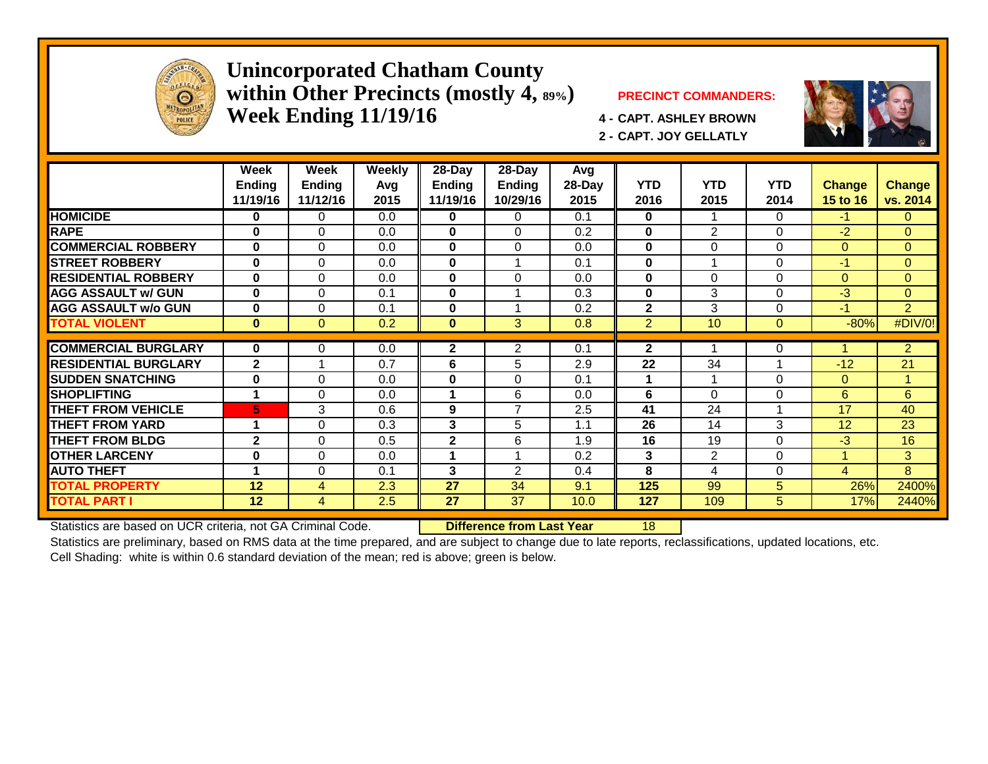

#### **Unincorporated Chatham County within Other Precincts (mostly 4, 89%) PRECINCT COMMANDERS: Week Ending 11/19/16 4 - CAPT. ASHLEY BROWN**



**2 - CAPT. JOY GELLATLY**



|                             | Week<br><b>Ending</b><br>11/19/16 | Week<br>Ending<br>11/12/16 | <b>Weekly</b><br>Avg<br>2015 | $28 - Day$<br><b>Ending</b><br>11/19/16 | $28 - Day$<br><b>Ending</b><br>10/29/16 | Avg<br>28-Day<br>2015 | <b>YTD</b><br>2016 | <b>YTD</b><br>2015 | <b>YTD</b><br>2014 | <b>Change</b><br>15 to 16 | <b>Change</b><br>vs. 2014 |
|-----------------------------|-----------------------------------|----------------------------|------------------------------|-----------------------------------------|-----------------------------------------|-----------------------|--------------------|--------------------|--------------------|---------------------------|---------------------------|
| <b>HOMICIDE</b>             | $\bf{0}$                          | $\Omega$                   | 0.0                          | $\mathbf{0}$                            | 0                                       | 0.1                   | 0                  |                    | 0                  | $-1$                      | $\Omega$                  |
| <b>RAPE</b>                 | $\mathbf{0}$                      | $\mathbf 0$                | 0.0                          | $\mathbf 0$                             | $\Omega$                                | 0.2                   | $\bf{0}$           | $\overline{2}$     | 0                  | $-2$                      | $\overline{0}$            |
| <b>COMMERCIAL ROBBERY</b>   | $\bf{0}$                          | $\Omega$                   | 0.0                          | $\bf{0}$                                | $\Omega$                                | 0.0                   | $\bf{0}$           | $\Omega$           | $\Omega$           | $\Omega$                  | $\overline{0}$            |
| <b>STREET ROBBERY</b>       | $\bf{0}$                          | $\Omega$                   | 0.0                          | $\bf{0}$                                |                                         | 0.1                   | $\bf{0}$           |                    | $\Omega$           | $\blacktriangle$          | $\overline{0}$            |
| <b>RESIDENTIAL ROBBERY</b>  | $\bf{0}$                          | $\Omega$                   | 0.0                          | $\bf{0}$                                | $\Omega$                                | 0.0                   | $\bf{0}$           | $\Omega$           | $\Omega$           | $\overline{0}$            | $\overline{0}$            |
| <b>AGG ASSAULT w/ GUN</b>   | $\bf{0}$                          | $\Omega$                   | 0.1                          | $\bf{0}$                                |                                         | 0.3                   | $\bf{0}$           | 3                  | $\Omega$           | $-3$                      | $\overline{0}$            |
| <b>AGG ASSAULT w/o GUN</b>  | $\bf{0}$                          | $\Omega$                   | 0.1                          | $\bf{0}$                                |                                         | 0.2                   | $\overline{2}$     | 3                  | $\Omega$           | $-1$                      | $\overline{2}$            |
| <b>TOTAL VIOLENT</b>        | $\mathbf{0}$                      | $\Omega$                   | 0.2                          | $\bf{0}$                                | 3                                       | 0.8                   | $\overline{2}$     | 10                 | $\mathbf{0}$       | $-80%$                    | #DIV/0!                   |
|                             |                                   |                            |                              |                                         |                                         |                       |                    |                    |                    |                           |                           |
| <b>COMMERCIAL BURGLARY</b>  | $\mathbf{0}$                      | 0                          | 0.0                          | $\mathbf{2}$                            | $\overline{2}$                          | 0.1                   | $\mathbf{2}$       |                    | 0                  |                           | $\overline{2}$            |
| <b>RESIDENTIAL BURGLARY</b> | $\overline{2}$                    |                            | 0.7                          | 6                                       | 5                                       | 2.9                   | 22                 | 34                 |                    | $-12$                     | 21                        |
| <b>SUDDEN SNATCHING</b>     | $\bf{0}$                          | $\Omega$                   | 0.0                          | $\bf{0}$                                | $\Omega$                                | 0.1                   | 1                  |                    | $\Omega$           | $\Omega$                  | 1                         |
| <b>SHOPLIFTING</b>          | 1                                 | $\Omega$                   | 0.0                          | 1                                       | 6                                       | 0.0                   | 6                  | $\Omega$           | $\Omega$           | 6                         | 6                         |
| <b>THEFT FROM VEHICLE</b>   | 5                                 | 3                          | 0.6                          | 9                                       | $\overline{7}$                          | 2.5                   | 41                 | 24                 |                    | 17                        | 40                        |
| <b>THEFT FROM YARD</b>      |                                   | $\Omega$                   | 0.3                          | 3                                       | 5                                       | 1.1                   | 26                 | 14                 | 3                  | 12                        | 23                        |
| <b>THEFT FROM BLDG</b>      | $\mathbf{2}$                      | $\Omega$                   | 0.5                          | $\mathbf 2$                             | 6                                       | 1.9                   | 16                 | 19                 | $\Omega$           | $-3$                      | 16                        |
| <b>OTHER LARCENY</b>        | $\bf{0}$                          | $\Omega$                   | 0.0                          |                                         |                                         | 0.2                   | 3                  | $\overline{2}$     | $\Omega$           |                           | 3                         |
| <b>AUTO THEFT</b>           | 4                                 | $\Omega$                   | 0.1                          | 3                                       | 2                                       | 0.4                   | 8                  | 4                  | $\Omega$           | $\overline{4}$            | 8                         |
| <b>TOTAL PROPERTY</b>       | 12                                | 4                          | 2.3                          | 27                                      | 34                                      | 9.1                   | 125                | 99                 | 5                  | 26%                       | 2400%                     |
| <b>TOTAL PART I</b>         | $12 \overline{ }$                 | 4                          | 2.5                          | 27                                      | 37                                      | 10.0                  | 127                | 109                | 5                  | 17%                       | 2440%                     |

Statistics are based on UCR criteria, not GA Criminal Code. **Difference from Last Year** 18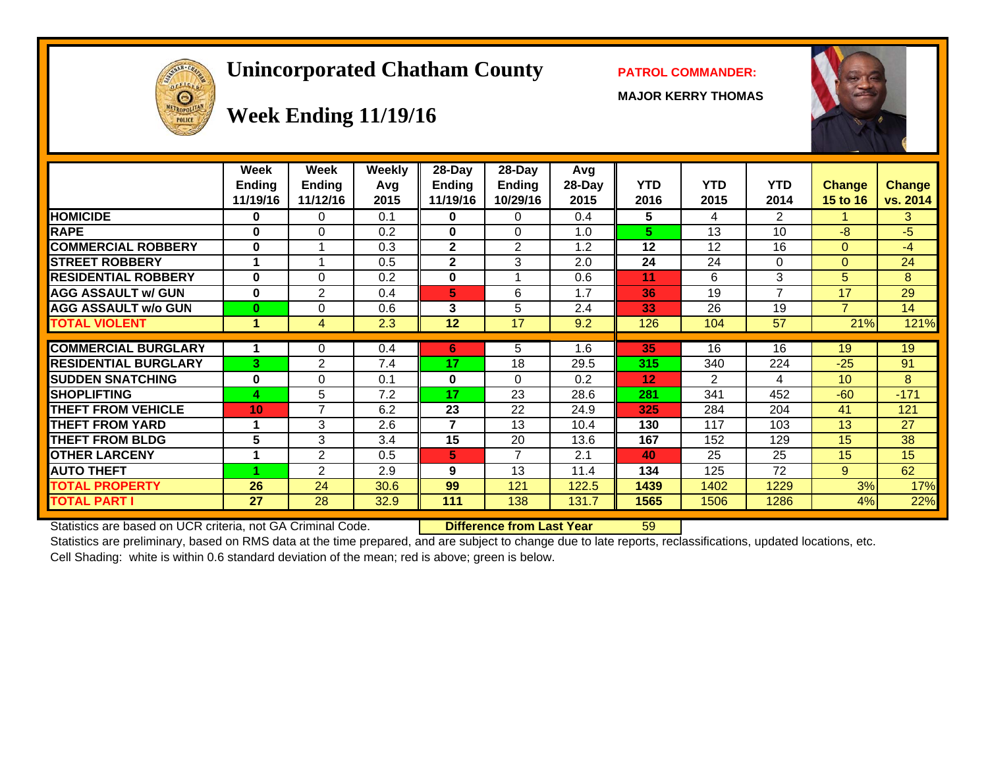# **Unincorporated Chatham County PATROL COMMANDER:**

**MAJOR KERRY THOMAS**





# **Week Ending 11/19/16**

|                             | Week<br><b>Ending</b><br>11/19/16 | Week<br><b>Ending</b><br>11/12/16 | <b>Weekly</b><br>Avg<br>2015 | $28$ -Day<br>Ending<br>11/19/16 | 28-Day<br>Ending<br>10/29/16 | Avg<br>28-Day<br>2015 | <b>YTD</b><br>2016 | <b>YTD</b><br>2015 | <b>YTD</b><br>2014 | <b>Change</b><br>15 to 16 | <b>Change</b><br>vs. 2014 |
|-----------------------------|-----------------------------------|-----------------------------------|------------------------------|---------------------------------|------------------------------|-----------------------|--------------------|--------------------|--------------------|---------------------------|---------------------------|
| <b>HOMICIDE</b>             | 0                                 | 0                                 | 0.1                          | 0                               | 0                            | 0.4                   | 5                  | 4                  | $\overline{2}$     |                           | 3                         |
| <b>RAPE</b>                 | 0                                 | $\Omega$                          | 0.2                          | 0                               | $\Omega$                     | 1.0                   | 5                  | 13                 | 10                 | $-8$                      | -5                        |
| <b>COMMERCIAL ROBBERY</b>   | $\bf{0}$                          | $\overline{ }$                    | 0.3                          | $\mathbf{2}$                    | 2                            | 1.2                   | 12                 | 12                 | 16                 | $\Omega$                  | $-4$                      |
| <b>STREET ROBBERY</b>       | 1                                 | 1                                 | 0.5                          | $\mathbf{2}$                    | 3                            | 2.0                   | 24                 | 24                 | $\Omega$           | $\Omega$                  | 24                        |
| <b>RESIDENTIAL ROBBERY</b>  | 0                                 | $\Omega$                          | 0.2                          | 0                               |                              | 0.6                   | 11                 | 6                  | 3                  | 5.                        | 8                         |
| <b>AGG ASSAULT w/ GUN</b>   | 0                                 | $\overline{2}$                    | 0.4                          | 5                               | 6                            | 1.7                   | 36                 | 19                 | 7                  | 17                        | 29                        |
| <b>AGG ASSAULT w/o GUN</b>  | $\bf{0}$                          | $\Omega$                          | 0.6                          | 3                               | 5                            | 2.4                   | 33                 | 26                 | 19                 | 7                         | 14                        |
| <b>TOTAL VIOLENT</b>        | 1                                 | 4                                 | 2.3                          | 12                              | 17                           | 9.2                   | 126                | 104                | 57                 | 21%                       | 121%                      |
|                             |                                   |                                   |                              |                                 |                              |                       |                    |                    |                    |                           |                           |
| <b>COMMERCIAL BURGLARY</b>  | 1                                 | 0                                 | 0.4                          | 6                               | 5                            | 1.6                   | 35                 | 16                 | 16                 | 19                        | 19                        |
| <b>RESIDENTIAL BURGLARY</b> | 3                                 | 2                                 | 7.4                          | 17                              | 18                           | 29.5                  | 315                | 340                | 224                | $-25$                     | 91                        |
| <b>SUDDEN SNATCHING</b>     | 0                                 | $\Omega$                          | 0.1                          | 0                               | $\Omega$                     | 0.2                   | 12                 | $\overline{2}$     | 4                  | 10                        | 8                         |
| <b>SHOPLIFTING</b>          | 4                                 | 5                                 | 7.2                          | 17                              | 23                           | 28.6                  | 281                | 341                | 452                | $-60$                     | $-171$                    |
| <b>THEFT FROM VEHICLE</b>   | 10                                | 7                                 | 6.2                          | 23                              | 22                           | 24.9                  | 325                | 284                | 204                | 41                        | 121                       |
| <b>THEFT FROM YARD</b>      |                                   | 3                                 | 2.6                          | 7                               | 13                           | 10.4                  | 130                | 117                | 103                | 13                        | 27                        |
| <b>THEFT FROM BLDG</b>      | 5                                 | 3                                 | 3.4                          | 15                              | 20                           | 13.6                  | 167                | 152                | 129                | 15                        | 38                        |
| <b>OTHER LARCENY</b>        | 1                                 | $\overline{2}$                    | 0.5                          | 5                               | 7                            | 2.1                   | 40                 | 25                 | 25                 | 15                        | 15                        |
| <b>AUTO THEFT</b>           |                                   | $\overline{2}$                    | 2.9                          | 9                               | 13                           | 11.4                  | 134                | 125                | 72                 | 9                         | 62                        |
| <b>TOTAL PROPERTY</b>       | 26                                | 24                                | 30.6                         | 99                              | 121                          | 122.5                 | 1439               | 1402               | 1229               | 3%                        | 17%                       |
| <b>TOTAL PART I</b>         | 27                                | 28                                | 32.9                         | 111                             | 138                          | 131.7                 | 1565               | 1506               | 1286               | 4%                        | 22%                       |

Statistics are based on UCR criteria, not GA Criminal Code. **Difference from Last Year** 59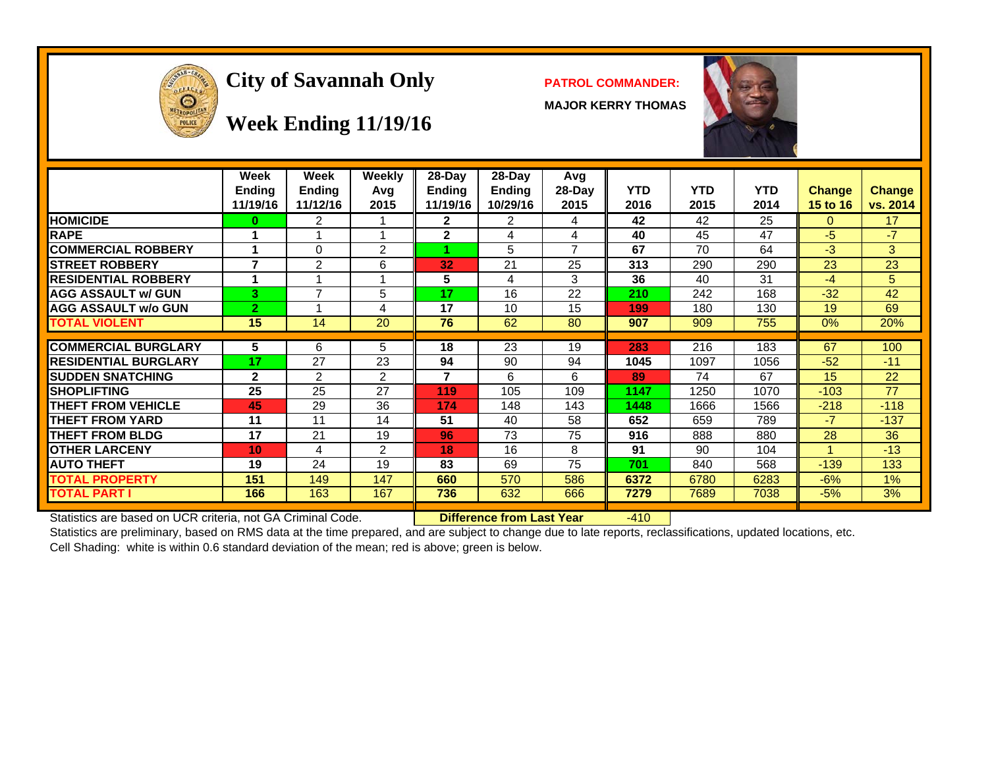

# **City of Savannah Only PATROL COMMANDER:**

**MAJOR KERRY THOMAS**



#### **Week Ending 11/19/16**

| <b>HOMICIDE</b><br>$\overline{2}$<br>42<br>42<br>25<br>$\mathbf{2}$<br>2<br>0<br>17<br>0<br>4<br>$-7$<br><b>RAPE</b><br>$\mathbf{2}$<br>45<br>47<br>-5<br>40<br>4<br>4<br>2<br>7<br>3 <sup>1</sup><br><b>COMMERCIAL ROBBERY</b><br>5<br>67<br>70<br>0<br>64<br>$-3$<br>и<br>7<br>23<br><b>STREET ROBBERY</b><br>2<br>6<br>21<br>25<br>313<br>290<br>290<br>23<br>32<br><b>RESIDENTIAL ROBBERY</b><br>5<br>3<br>31<br>5<br>4<br>36<br>40<br>4<br>$-4$<br><b>AGG ASSAULT w/ GUN</b><br>$\overline{7}$<br>22<br>42<br>3<br>5<br>17<br>16<br>210<br>242<br>168<br>$-32$<br>69<br><b>AGG ASSAULT w/o GUN</b><br>$\overline{2}$<br>17<br>10<br>15<br>130<br>19<br>4<br>180<br>199<br><b>TOTAL VIOLENT</b><br>15<br>20<br>76<br>62<br>755<br>20%<br>14<br>80<br>907<br>909<br>0%<br><b>COMMERCIAL BURGLARY</b><br>23<br>5<br>6<br>5<br>18<br>216<br>183<br>67<br>100<br>19<br>283<br><b>RESIDENTIAL BURGLARY</b><br>17<br>27<br>23<br>94<br>90<br>1056<br>94<br>1045<br>1097<br>$-52$<br>$-11$<br>$\mathcal{P}$<br>2<br>22<br><b>ISUDDEN SNATCHING</b><br>$\mathbf{2}$<br>7<br>6<br>6<br>74<br>67<br>15<br>89<br><b>ISHOPLIFTING</b><br>25<br>25<br>27<br>77<br>119<br>105<br>109<br>1147<br>1250<br>1070<br>$-103$<br><b>THEFT FROM VEHICLE</b><br>45<br>29<br>36<br>148<br>1448<br>$-118$<br>174<br>143<br>1666<br>1566<br>$-218$<br><b>THEFT FROM YARD</b><br>51<br>40<br>58<br>652<br>659<br>789<br>$-7$<br>$-137$<br>11<br>11<br>14<br>17<br>73<br><b>THEFT FROM BLDG</b><br>21<br>19<br>75<br>888<br>28<br>36<br>96<br>916<br>880<br>16<br><b>IOTHER LARCENY</b><br>2<br>18<br>8<br>91<br>104<br>$-13$<br>10 <sub>1</sub><br>4<br>90<br><b>AUTO THEFT</b><br>19<br>24<br>19<br>83<br>69<br>75<br>701<br>133<br>840<br>568<br>$-139$ | Week<br><b>Ending</b><br>11/19/16 | Week<br><b>Ending</b><br>11/12/16 | <b>Weekly</b><br>Avq<br>2015 | $28$ -Day<br>Ending<br>11/19/16 | $28-Day$<br><b>Ending</b><br>10/29/16 | Avg<br>$28-Day$<br>2015 | <b>YTD</b><br>2016 | <b>YTD</b><br>2015 | YTD.<br>2014 | <b>Change</b><br>15 to 16 | Change<br>vs. 2014 |
|------------------------------------------------------------------------------------------------------------------------------------------------------------------------------------------------------------------------------------------------------------------------------------------------------------------------------------------------------------------------------------------------------------------------------------------------------------------------------------------------------------------------------------------------------------------------------------------------------------------------------------------------------------------------------------------------------------------------------------------------------------------------------------------------------------------------------------------------------------------------------------------------------------------------------------------------------------------------------------------------------------------------------------------------------------------------------------------------------------------------------------------------------------------------------------------------------------------------------------------------------------------------------------------------------------------------------------------------------------------------------------------------------------------------------------------------------------------------------------------------------------------------------------------------------------------------------------------------------------------------------------------------------------------------------------------------------------------------------------|-----------------------------------|-----------------------------------|------------------------------|---------------------------------|---------------------------------------|-------------------------|--------------------|--------------------|--------------|---------------------------|--------------------|
|                                                                                                                                                                                                                                                                                                                                                                                                                                                                                                                                                                                                                                                                                                                                                                                                                                                                                                                                                                                                                                                                                                                                                                                                                                                                                                                                                                                                                                                                                                                                                                                                                                                                                                                                    |                                   |                                   |                              |                                 |                                       |                         |                    |                    |              |                           |                    |
|                                                                                                                                                                                                                                                                                                                                                                                                                                                                                                                                                                                                                                                                                                                                                                                                                                                                                                                                                                                                                                                                                                                                                                                                                                                                                                                                                                                                                                                                                                                                                                                                                                                                                                                                    |                                   |                                   |                              |                                 |                                       |                         |                    |                    |              |                           |                    |
|                                                                                                                                                                                                                                                                                                                                                                                                                                                                                                                                                                                                                                                                                                                                                                                                                                                                                                                                                                                                                                                                                                                                                                                                                                                                                                                                                                                                                                                                                                                                                                                                                                                                                                                                    |                                   |                                   |                              |                                 |                                       |                         |                    |                    |              |                           |                    |
|                                                                                                                                                                                                                                                                                                                                                                                                                                                                                                                                                                                                                                                                                                                                                                                                                                                                                                                                                                                                                                                                                                                                                                                                                                                                                                                                                                                                                                                                                                                                                                                                                                                                                                                                    |                                   |                                   |                              |                                 |                                       |                         |                    |                    |              |                           |                    |
|                                                                                                                                                                                                                                                                                                                                                                                                                                                                                                                                                                                                                                                                                                                                                                                                                                                                                                                                                                                                                                                                                                                                                                                                                                                                                                                                                                                                                                                                                                                                                                                                                                                                                                                                    |                                   |                                   |                              |                                 |                                       |                         |                    |                    |              |                           |                    |
|                                                                                                                                                                                                                                                                                                                                                                                                                                                                                                                                                                                                                                                                                                                                                                                                                                                                                                                                                                                                                                                                                                                                                                                                                                                                                                                                                                                                                                                                                                                                                                                                                                                                                                                                    |                                   |                                   |                              |                                 |                                       |                         |                    |                    |              |                           |                    |
|                                                                                                                                                                                                                                                                                                                                                                                                                                                                                                                                                                                                                                                                                                                                                                                                                                                                                                                                                                                                                                                                                                                                                                                                                                                                                                                                                                                                                                                                                                                                                                                                                                                                                                                                    |                                   |                                   |                              |                                 |                                       |                         |                    |                    |              |                           |                    |
|                                                                                                                                                                                                                                                                                                                                                                                                                                                                                                                                                                                                                                                                                                                                                                                                                                                                                                                                                                                                                                                                                                                                                                                                                                                                                                                                                                                                                                                                                                                                                                                                                                                                                                                                    |                                   |                                   |                              |                                 |                                       |                         |                    |                    |              |                           |                    |
|                                                                                                                                                                                                                                                                                                                                                                                                                                                                                                                                                                                                                                                                                                                                                                                                                                                                                                                                                                                                                                                                                                                                                                                                                                                                                                                                                                                                                                                                                                                                                                                                                                                                                                                                    |                                   |                                   |                              |                                 |                                       |                         |                    |                    |              |                           |                    |
|                                                                                                                                                                                                                                                                                                                                                                                                                                                                                                                                                                                                                                                                                                                                                                                                                                                                                                                                                                                                                                                                                                                                                                                                                                                                                                                                                                                                                                                                                                                                                                                                                                                                                                                                    |                                   |                                   |                              |                                 |                                       |                         |                    |                    |              |                           |                    |
|                                                                                                                                                                                                                                                                                                                                                                                                                                                                                                                                                                                                                                                                                                                                                                                                                                                                                                                                                                                                                                                                                                                                                                                                                                                                                                                                                                                                                                                                                                                                                                                                                                                                                                                                    |                                   |                                   |                              |                                 |                                       |                         |                    |                    |              |                           |                    |
|                                                                                                                                                                                                                                                                                                                                                                                                                                                                                                                                                                                                                                                                                                                                                                                                                                                                                                                                                                                                                                                                                                                                                                                                                                                                                                                                                                                                                                                                                                                                                                                                                                                                                                                                    |                                   |                                   |                              |                                 |                                       |                         |                    |                    |              |                           |                    |
|                                                                                                                                                                                                                                                                                                                                                                                                                                                                                                                                                                                                                                                                                                                                                                                                                                                                                                                                                                                                                                                                                                                                                                                                                                                                                                                                                                                                                                                                                                                                                                                                                                                                                                                                    |                                   |                                   |                              |                                 |                                       |                         |                    |                    |              |                           |                    |
|                                                                                                                                                                                                                                                                                                                                                                                                                                                                                                                                                                                                                                                                                                                                                                                                                                                                                                                                                                                                                                                                                                                                                                                                                                                                                                                                                                                                                                                                                                                                                                                                                                                                                                                                    |                                   |                                   |                              |                                 |                                       |                         |                    |                    |              |                           |                    |
|                                                                                                                                                                                                                                                                                                                                                                                                                                                                                                                                                                                                                                                                                                                                                                                                                                                                                                                                                                                                                                                                                                                                                                                                                                                                                                                                                                                                                                                                                                                                                                                                                                                                                                                                    |                                   |                                   |                              |                                 |                                       |                         |                    |                    |              |                           |                    |
|                                                                                                                                                                                                                                                                                                                                                                                                                                                                                                                                                                                                                                                                                                                                                                                                                                                                                                                                                                                                                                                                                                                                                                                                                                                                                                                                                                                                                                                                                                                                                                                                                                                                                                                                    |                                   |                                   |                              |                                 |                                       |                         |                    |                    |              |                           |                    |
|                                                                                                                                                                                                                                                                                                                                                                                                                                                                                                                                                                                                                                                                                                                                                                                                                                                                                                                                                                                                                                                                                                                                                                                                                                                                                                                                                                                                                                                                                                                                                                                                                                                                                                                                    |                                   |                                   |                              |                                 |                                       |                         |                    |                    |              |                           |                    |
|                                                                                                                                                                                                                                                                                                                                                                                                                                                                                                                                                                                                                                                                                                                                                                                                                                                                                                                                                                                                                                                                                                                                                                                                                                                                                                                                                                                                                                                                                                                                                                                                                                                                                                                                    |                                   |                                   |                              |                                 |                                       |                         |                    |                    |              |                           |                    |
| 151<br>570<br><b>TOTAL PROPERTY</b><br>149<br>147<br>660<br>586<br>6372<br>6780<br>6283<br>$-6%$<br>1%                                                                                                                                                                                                                                                                                                                                                                                                                                                                                                                                                                                                                                                                                                                                                                                                                                                                                                                                                                                                                                                                                                                                                                                                                                                                                                                                                                                                                                                                                                                                                                                                                             |                                   |                                   |                              |                                 |                                       |                         |                    |                    |              |                           |                    |
| <b>TOTAL PART I</b><br>163<br>166<br>167<br>736<br>632<br>666<br>7689<br>7038<br>3%<br>7279<br>$-5%$                                                                                                                                                                                                                                                                                                                                                                                                                                                                                                                                                                                                                                                                                                                                                                                                                                                                                                                                                                                                                                                                                                                                                                                                                                                                                                                                                                                                                                                                                                                                                                                                                               |                                   |                                   |                              |                                 |                                       |                         |                    |                    |              |                           |                    |

Statistics are based on UCR criteria, not GA Criminal Code. **Difference from Last Year** -410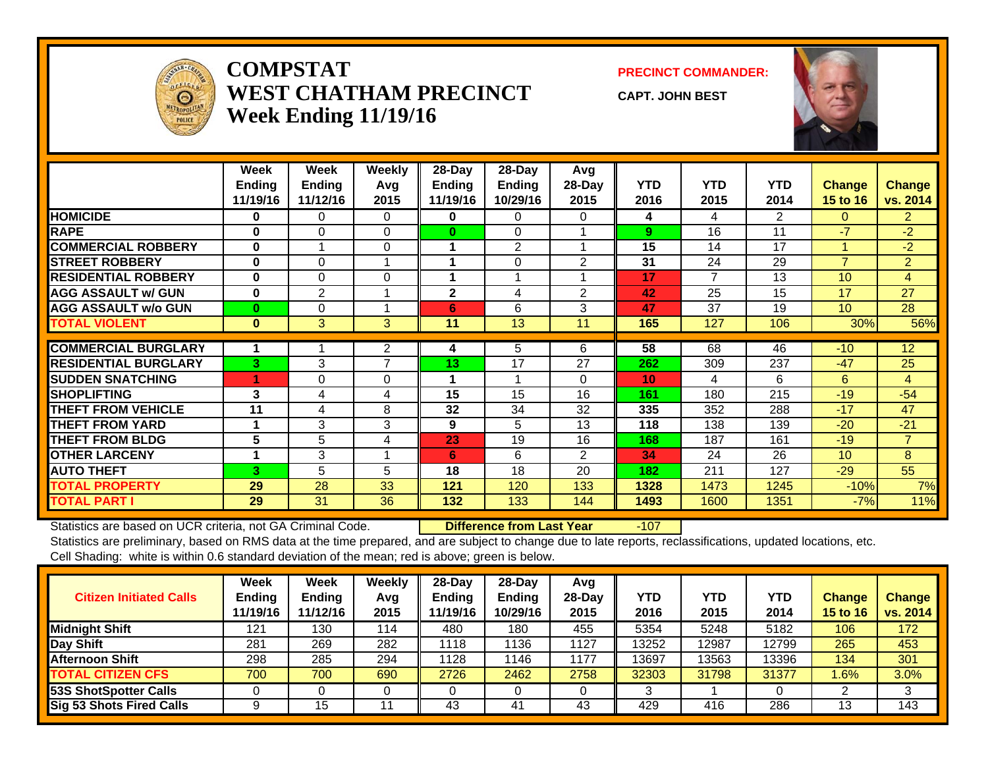

#### **COMPSTATWEST CHATHAM PRECINCTWeek Ending 11/19/16**

#### **PRECINCT COMMANDER:**

**CAPT. JOHN BEST**



|                             | Week<br><b>Ending</b><br>11/19/16 | Week<br><b>Ending</b><br>11/12/16 | Weekly<br>Avg<br>2015 | 28-Day<br><b>Ending</b><br>11/19/16 | 28-Day<br>Ending<br>10/29/16 | Avg<br>$28$ -Day<br>2015 | <b>YTD</b><br>2016 | <b>YTD</b><br>2015 | <b>YTD</b><br>2014 | <b>Change</b><br><b>15 to 16</b> | <b>Change</b><br>vs. 2014 |
|-----------------------------|-----------------------------------|-----------------------------------|-----------------------|-------------------------------------|------------------------------|--------------------------|--------------------|--------------------|--------------------|----------------------------------|---------------------------|
| <b>HOMICIDE</b>             | 0                                 | 0                                 | $\Omega$              | 0                                   | 0                            | 0                        | 4                  | 4                  | $\overline{2}$     | 0                                | $\overline{2}$            |
| <b>RAPE</b>                 | $\bf{0}$                          | $\Omega$                          | $\Omega$              | $\bf{0}$                            | $\Omega$                     |                          | 9                  | 16                 | 11                 | -7                               | $-2$                      |
| <b>COMMERCIAL ROBBERY</b>   | 0                                 |                                   | $\Omega$              |                                     | 2                            |                          | 15                 | 14                 | 17                 | 1                                | $-2$                      |
| <b>STREET ROBBERY</b>       | $\bf{0}$                          | 0                                 |                       |                                     | 0                            | 2                        | 31                 | 24                 | 29                 | $\overline{7}$                   | $\overline{2}$            |
| <b>RESIDENTIAL ROBBERY</b>  | 0                                 | 0                                 | 0                     |                                     |                              |                          | 17                 | $\overline{7}$     | 13                 | 10 <sup>1</sup>                  | 4                         |
| <b>AGG ASSAULT w/ GUN</b>   | $\bf{0}$                          | 2                                 |                       | $\mathbf{2}$                        | 4                            | $\overline{2}$           | 42                 | 25                 | 15                 | 17                               | 27                        |
| <b>AGG ASSAULT w/o GUN</b>  | $\bf{0}$                          | 0                                 |                       | 6                                   | 6                            | 3                        | 47                 | 37                 | 19                 | 10 <sup>1</sup>                  | 28                        |
| <b>TOTAL VIOLENT</b>        | $\bf{0}$                          | $\mathbf{3}$                      | 3                     | 11                                  | 13                           | 11                       | 165                | 127                | 106                | 30%                              | 56%                       |
|                             |                                   |                                   |                       |                                     |                              |                          |                    |                    |                    |                                  |                           |
| <b>COMMERCIAL BURGLARY</b>  |                                   |                                   | $\mathbf{2}$          | 4                                   | 5                            | 6                        | 58                 | 68                 | 46                 | $-10$                            | $\overline{12}$           |
| <b>RESIDENTIAL BURGLARY</b> | 3                                 | 3                                 | 7                     | 13                                  | 17                           | 27                       | 262                | 309                | 237                | $-47$                            | 25                        |
| <b>SUDDEN SNATCHING</b>     | 1                                 | 0                                 | $\Omega$              |                                     |                              | $\Omega$                 | 10 <sup>°</sup>    | 4                  | 6                  | 6                                | 4                         |
| <b>SHOPLIFTING</b>          | 3                                 | 4                                 | 4                     | 15                                  | 15                           | 16                       | 161                | 180                | 215                | $-19$                            | $-54$                     |
| <b>THEFT FROM VEHICLE</b>   | 11                                | 4                                 | 8                     | 32                                  | 34                           | 32                       | 335                | 352                | 288                | $-17$                            | 47                        |
| <b>THEFT FROM YARD</b>      | 1                                 | 3                                 | 3                     | 9                                   | 5                            | 13                       | 118                | 138                | 139                | $-20$                            | $-21$                     |
| <b>THEFT FROM BLDG</b>      | $5\phantom{1}$                    | 5                                 | 4                     | 23                                  | 19                           | 16                       | 168                | 187                | 161                | $-19$                            | $\overline{7}$            |
| <b>OTHER LARCENY</b>        |                                   | 3                                 |                       | 6                                   | 6                            | $\overline{2}$           | 34                 | 24                 | 26                 | 10 <sup>1</sup>                  | 8                         |
| <b>AUTO THEFT</b>           | 3                                 | 5                                 | 5                     | 18                                  | 18                           | 20                       | 182                | 211                | 127                | $-29$                            | 55                        |
| <b>TOTAL PROPERTY</b>       | 29                                | 28                                | 33                    | 121                                 | 120                          | 133                      | 1328               | 1473               | 1245               | $-10%$                           | 7%                        |
| <b>TOTAL PART I</b>         | 29                                | 31                                | 36                    | 132                                 | 133                          | 144                      | 1493               | 1600               | 1351               | $-7%$                            | 11%                       |

Statistics are based on UCR criteria, not GA Criminal Code. **Difference from Last Year** -107

| <b>Citizen Initiated Calls</b>  | <b>Week</b><br><b>Ending</b><br>11/19/16 | <b>Week</b><br><b>Ending</b><br>11/12/16 | Weekly<br>Avg<br>2015 | $28$ -Day<br><b>Ending</b><br>11/19/16 | 28-Day<br><b>Ending</b><br>10/29/16 | Avg<br>$28-Day$<br>2015 | <b>YTD</b><br>2016 | <b>YTD</b><br>2015 | YTD<br>2014 | <b>Change</b><br>15 to 16 | Change<br>vs. 2014 |
|---------------------------------|------------------------------------------|------------------------------------------|-----------------------|----------------------------------------|-------------------------------------|-------------------------|--------------------|--------------------|-------------|---------------------------|--------------------|
| <b>Midnight Shift</b>           | 121                                      | 130                                      | 114                   | 480                                    | 180                                 | 455                     | 5354               | 5248               | 5182        | 106                       | 172                |
| Day Shift                       | 281                                      | 269                                      | 282                   | 1118                                   | 1136                                | 1127                    | 13252              | 12987              | 12799       | 265                       | 453                |
| <b>Afternoon Shift</b>          | 298                                      | 285                                      | 294                   | 1128                                   | 1146                                | 1177                    | 13697              | 13563              | 13396       | 134                       | 301                |
| <b>TOTAL CITIZEN CFS</b>        | 700                                      | 700                                      | 690                   | 2726                                   | 2462                                | 2758                    | 32303              | 31798              | 31377       | $1.6\%$                   | 3.0%               |
| 53S ShotSpotter Calls           |                                          |                                          |                       |                                        |                                     |                         |                    |                    |             |                           |                    |
| <b>Sig 53 Shots Fired Calls</b> | 9                                        | 15                                       | 11                    | 43                                     | 41                                  | 43                      | 429                | 416                | 286         | 13                        | 143                |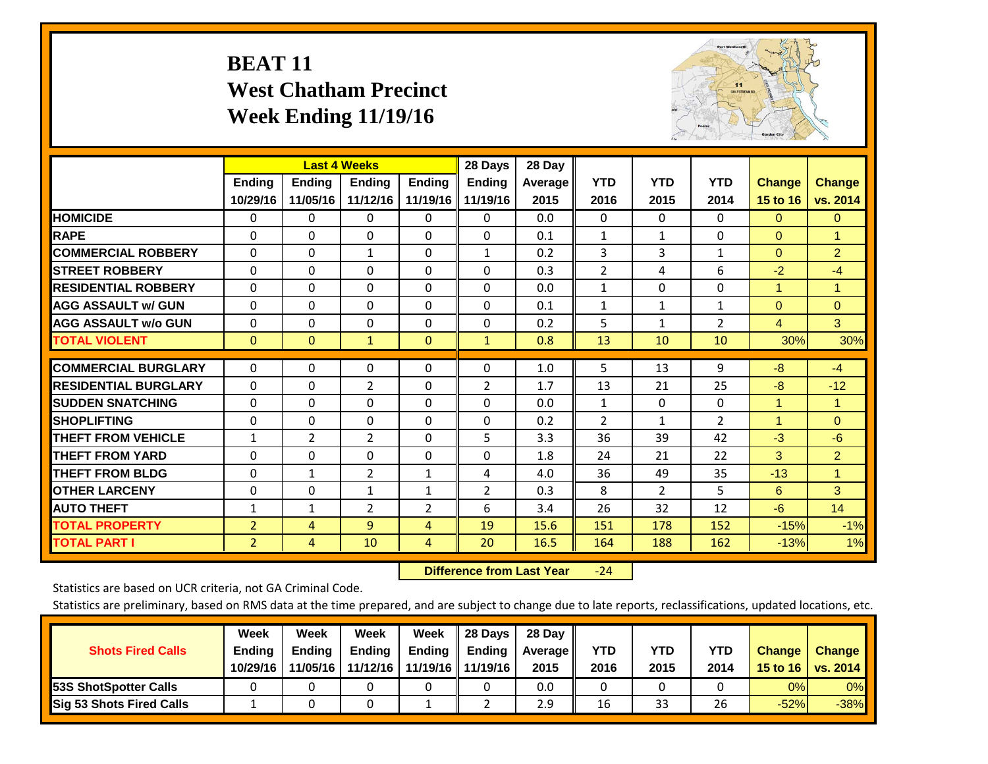# **BEAT 11 West Chatham Precinct Week Ending 11/19/16**



|                             |                | <b>Last 4 Weeks</b> |                |               | 28 Days        | 28 Day  |                |                |                |                      |                      |
|-----------------------------|----------------|---------------------|----------------|---------------|----------------|---------|----------------|----------------|----------------|----------------------|----------------------|
|                             | <b>Ending</b>  | <b>Ending</b>       | <b>Endina</b>  | <b>Ending</b> | <b>Ending</b>  | Average | <b>YTD</b>     | <b>YTD</b>     | <b>YTD</b>     | <b>Change</b>        | <b>Change</b>        |
|                             | 10/29/16       | 11/05/16            | 11/12/16       | 11/19/16      | 11/19/16       | 2015    | 2016           | 2015           | 2014           | 15 to 16             | vs. 2014             |
| <b>HOMICIDE</b>             | 0              | 0                   | $\Omega$       | 0             | 0              | 0.0     | $\mathbf{0}$   | 0              | 0              | $\mathbf{0}$         | $\mathbf{0}$         |
| <b>RAPE</b>                 | 0              | $\Omega$            | $\Omega$       | $\Omega$      | $\Omega$       | 0.1     | 1              | $\mathbf{1}$   | $\Omega$       | $\Omega$             | $\blacktriangleleft$ |
| <b>COMMERCIAL ROBBERY</b>   | $\Omega$       | 0                   | $\mathbf{1}$   | 0             | 1              | 0.2     | 3              | 3              | 1              | $\mathbf{0}$         | $\overline{2}$       |
| <b>ISTREET ROBBERY</b>      | $\Omega$       | $\Omega$            | $\Omega$       | $\Omega$      | $\Omega$       | 0.3     | $\overline{2}$ | 4              | 6              | $-2$                 | $-4$                 |
| <b>RESIDENTIAL ROBBERY</b>  | $\Omega$       | $\Omega$            | $\Omega$       | $\mathbf{0}$  | $\Omega$       | 0.0     | $\mathbf{1}$   | $\Omega$       | 0              | $\overline{1}$       | 1                    |
| <b>AGG ASSAULT w/ GUN</b>   | $\Omega$       | $\Omega$            | $\Omega$       | $\Omega$      | $\Omega$       | 0.1     | $\mathbf{1}$   | 1              | 1              | $\Omega$             | $\Omega$             |
| <b>AGG ASSAULT w/o GUN</b>  | 0              | 0                   | $\mathbf 0$    | 0             | $\Omega$       | 0.2     | 5              | $\mathbf 1$    | 2              | 4                    | 3                    |
| <b>TOTAL VIOLENT</b>        | $\Omega$       | $\Omega$            | $\mathbf{1}$   | $\mathbf{0}$  | $\mathbf{1}$   | 0.8     | 13             | 10             | 10             | 30%                  | 30%                  |
| <b>COMMERCIAL BURGLARY</b>  | $\Omega$       | $\Omega$            | 0              | 0             | 0              | 1.0     | 5              | 13             | 9              | $-8$                 | $-4$                 |
|                             |                |                     |                |               |                |         |                |                |                |                      |                      |
| <b>RESIDENTIAL BURGLARY</b> | $\Omega$       | 0                   | 2              | $\mathbf{0}$  | 2              | 1.7     | 13             | 21             | 25             | -8                   | $-12$                |
| <b>SUDDEN SNATCHING</b>     | $\Omega$       | 0                   | $\mathbf{0}$   | $\mathbf{0}$  | $\Omega$       | 0.0     | $\mathbf{1}$   | $\mathbf{0}$   | 0              | $\overline{1}$       | 1                    |
| <b>SHOPLIFTING</b>          | $\Omega$       | $\Omega$            | $\Omega$       | $\Omega$      | $\Omega$       | 0.2     | $\overline{2}$ | $\mathbf{1}$   | $\overline{2}$ | $\blacktriangleleft$ | $\mathbf{0}$         |
| <b>THEFT FROM VEHICLE</b>   | 1              | $\overline{2}$      | $\overline{2}$ | 0             | 5              | 3.3     | 36             | 39             | 42             | $-3$                 | $-6$                 |
| <b>THEFT FROM YARD</b>      | 0              | 0                   | $\mathbf{0}$   | 0             | 0              | 1.8     | 24             | 21             | 22             | 3                    | $\overline{2}$       |
| <b>THEFT FROM BLDG</b>      | $\Omega$       | $\mathbf{1}$        | 2              | $\mathbf{1}$  | 4              | 4.0     | 36             | 49             | 35             | $-13$                | 1                    |
| <b>OTHER LARCENY</b>        | $\Omega$       | 0                   | $\mathbf{1}$   | 1             | $\overline{2}$ | 0.3     | 8              | $\overline{2}$ | 5              | 6                    | 3                    |
| <b>AUTO THEFT</b>           | $\mathbf 1$    | $\mathbf{1}$        | $\overline{2}$ | 2             | 6              | 3.4     | 26             | 32             | 12             | $-6$                 | 14                   |
| <b>TOTAL PROPERTY</b>       | $\overline{2}$ | 4                   | 9              | 4             | 19             | 15.6    | 151            | 178            | 152            | $-15%$               | $-1%$                |
| <b>TOTAL PART I</b>         | $\overline{2}$ | 4                   | 10             | 4             | 20             | 16.5    | 164            | 188            | 162            | $-13%$               | 1%                   |

 **Difference from Last Year**‐24

Statistics are based on UCR criteria, not GA Criminal Code.

| <b>Shots Fired Calls</b>        | Week<br><b>Ending</b><br>10/29/16 | Week<br><b>Endina</b><br>11/05/16 | Week<br>Ending<br>11/12/16 | Week<br>Ending | 28 Days<br><b>Ending</b><br>11/19/16   11/19/16 | 28 Day<br>Average II<br>2015 | YTD<br>2016 | YTD<br>2015 | <b>YTD</b><br>2014 | <b>Change</b><br>15 to $16$ | <b>Change</b><br>vs. 2014 |
|---------------------------------|-----------------------------------|-----------------------------------|----------------------------|----------------|-------------------------------------------------|------------------------------|-------------|-------------|--------------------|-----------------------------|---------------------------|
| <b>153S ShotSpotter Calls</b>   |                                   |                                   |                            |                |                                                 | 0.0                          |             |             |                    | 0%                          | 0%                        |
| <b>Sig 53 Shots Fired Calls</b> |                                   |                                   |                            |                |                                                 | 2.9                          | 16          | 33          | 26                 | $-52%$                      | $-38%$                    |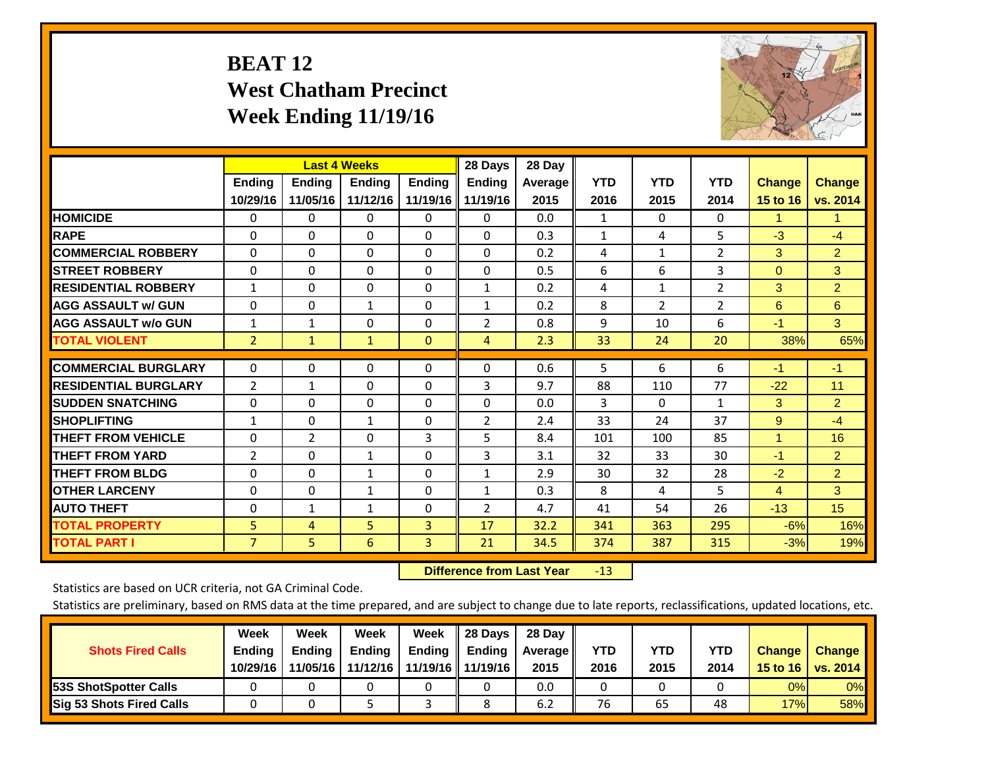# **BEAT 12 West Chatham Precinct Week Ending 11/19/16**



|                             |              |              | <b>Last 4 Weeks</b> |               | 28 Days        | 28 Day  |              |                |                |                |                |
|-----------------------------|--------------|--------------|---------------------|---------------|----------------|---------|--------------|----------------|----------------|----------------|----------------|
|                             | Ending       | Ending       | <b>Endina</b>       | <b>Ending</b> | <b>Endina</b>  | Average | <b>YTD</b>   | <b>YTD</b>     | <b>YTD</b>     | <b>Change</b>  | <b>Change</b>  |
|                             | 10/29/16     | 11/05/16     | 11/12/16            | 11/19/16      | 11/19/16       | 2015    | 2016         | 2015           | 2014           | 15 to 16       | vs. 2014       |
| <b>HOMICIDE</b>             | 0            | 0            | $\Omega$            | 0             | 0              | 0.0     | 1            | $\Omega$       | 0              | 1              | 1.             |
| <b>RAPE</b>                 | $\Omega$     | $\Omega$     | $\Omega$            | 0             | 0              | 0.3     | $\mathbf{1}$ | 4              | 5              | $-3$           | $-4$           |
| <b>COMMERCIAL ROBBERY</b>   | $\Omega$     | $\Omega$     | $\Omega$            | $\Omega$      | $\Omega$       | 0.2     | 4            | $\mathbf{1}$   | $\overline{2}$ | 3              | $\overline{2}$ |
| <b>ISTREET ROBBERY</b>      | $\Omega$     | $\Omega$     | $\Omega$            | $\Omega$      | $\Omega$       | 0.5     | 6            | 6              | 3              | $\Omega$       | 3              |
| <b>RESIDENTIAL ROBBERY</b>  | $\mathbf{1}$ | 0            | $\mathbf{0}$        | $\Omega$      | $\mathbf{1}$   | 0.2     | 4            | 1              | 2              | 3              | $\overline{2}$ |
| <b>AGG ASSAULT w/ GUN</b>   | $\Omega$     | $\Omega$     | $\mathbf{1}$        | $\Omega$      | $\mathbf{1}$   | 0.2     | 8            | $\overline{2}$ | 2              | 6              | 6              |
| <b>AGG ASSAULT w/o GUN</b>  | $\mathbf{1}$ | $\mathbf{1}$ | $\mathbf{0}$        | $\Omega$      | $\overline{2}$ | 0.8     | 9            | 10             | 6              | $-1$           | 3 <sup>°</sup> |
| <b>TOTAL VIOLENT</b>        | 2            | $\mathbf{1}$ | $\mathbf{1}$        | $\mathbf{0}$  | 4              | 2.3     | 33           | 24             | 20             | 38%            | 65%            |
|                             |              |              |                     |               |                |         |              |                |                |                |                |
| <b>COMMERCIAL BURGLARY</b>  | $\Omega$     | $\Omega$     | $\Omega$            | $\Omega$      | $\Omega$       | 0.6     | 5            | 6              | 6              | $-1$           | $-1$           |
| <b>RESIDENTIAL BURGLARY</b> | 2            | 1            | $\Omega$            | 0             | 3              | 9.7     | 88           | 110            | 77             | $-22$          | 11             |
| <b>SUDDEN SNATCHING</b>     | $\Omega$     | 0            | $\Omega$            | $\Omega$      | 0              | 0.0     | 3            | 0              | 1              | 3              | $\overline{2}$ |
| <b>SHOPLIFTING</b>          | 1            | $\Omega$     | 1                   | 0             | $\overline{2}$ | 2.4     | 33           | 24             | 37             | 9              | $-4$           |
| <b>THEFT FROM VEHICLE</b>   | $\Omega$     | 2            | $\Omega$            | 3             | 5              | 8.4     | 101          | 100            | 85             | 1              | 16             |
| <b>THEFT FROM YARD</b>      | 2            | $\Omega$     | $\mathbf{1}$        | $\Omega$      | 3              | 3.1     | 32           | 33             | 30             | $-1$           | $\overline{2}$ |
| <b>THEFT FROM BLDG</b>      | $\mathbf 0$  | $\Omega$     | $\mathbf{1}$        | $\Omega$      | 1              | 2.9     | 30           | 32             | 28             | $-2$           | $\overline{2}$ |
| <b>OTHER LARCENY</b>        | $\Omega$     | $\Omega$     | $\mathbf{1}$        | 0             | $\mathbf{1}$   | 0.3     | 8            | 4              | 5.             | $\overline{4}$ | 3              |
| <b>AUTO THEFT</b>           | $\mathbf 0$  | $\mathbf{1}$ | 1                   | $\Omega$      | $\overline{2}$ | 4.7     | 41           | 54             | 26             | $-13$          | 15             |
| <b>TOTAL PROPERTY</b>       | 5            | 4            | 5                   | 3             | 17             | 32.2    | 341          | 363            | 295            | $-6%$          | 16%            |
| <b>TOTAL PART I</b>         | 7            | 5.           | 6                   | 3             | 21             | 34.5    | 374          | 387            | 315            | $-3%$          | 19%            |

 **Difference from Last Year**r -13

Statistics are based on UCR criteria, not GA Criminal Code.

| <b>Shots Fired Calls</b>        | Week<br><b>Ending</b><br>10/29/16 | Week<br><b>Endina</b><br>11/05/16 | Week<br>Ending<br>11/12/16 | Week<br>Ending | 28 Days<br><b>Ending</b><br>11/19/16   11/19/16 | 28 Day<br>Average II<br>2015 | YTD<br>2016 | YTD<br>2015 | <b>YTD</b><br>2014 | <b>Change</b><br>15 to 16 | <b>Change</b><br>vs. 2014 |
|---------------------------------|-----------------------------------|-----------------------------------|----------------------------|----------------|-------------------------------------------------|------------------------------|-------------|-------------|--------------------|---------------------------|---------------------------|
| <b>153S ShotSpotter Calls</b>   |                                   |                                   |                            |                |                                                 | 0.0                          |             |             |                    | 0%                        | 0%                        |
| <b>Sig 53 Shots Fired Calls</b> |                                   |                                   |                            |                |                                                 | 6.2                          | 76          | 65          | 48                 | 17%                       | 58%                       |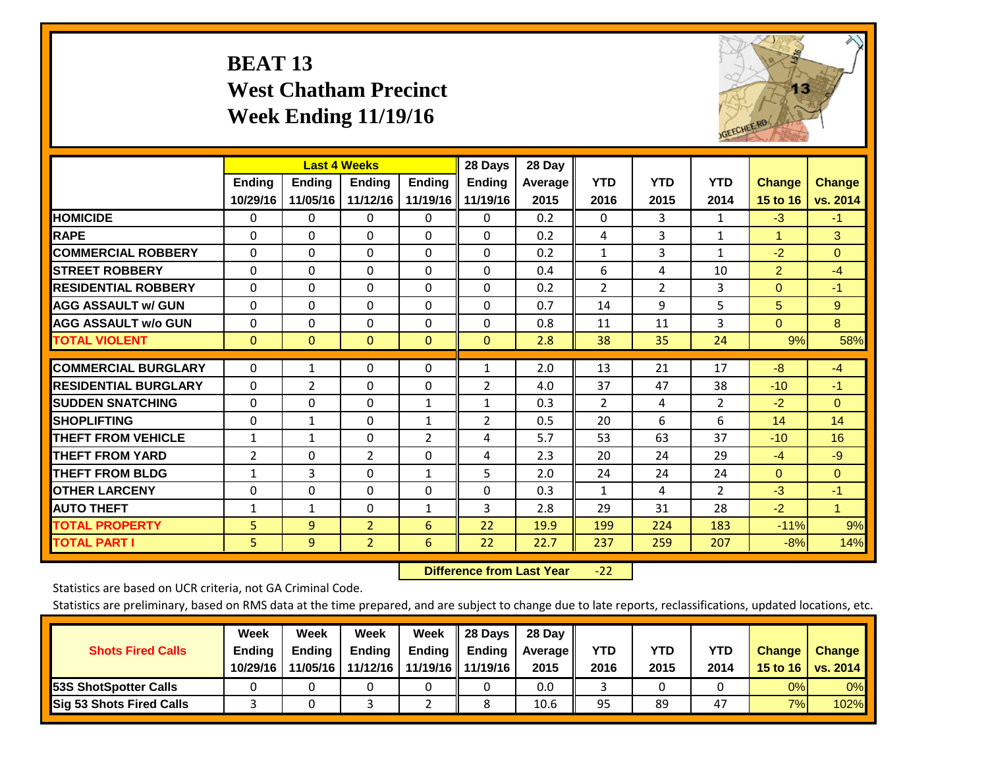# **BEAT 13 West Chatham Precinct Week Ending 11/19/16**



|                             |                | <b>Last 4 Weeks</b> |                |               | 28 Days        | 28 Day     |                |            |                |                |                      |
|-----------------------------|----------------|---------------------|----------------|---------------|----------------|------------|----------------|------------|----------------|----------------|----------------------|
|                             | <b>Ending</b>  | <b>Ending</b>       | <b>Endina</b>  | <b>Endina</b> | <b>Endina</b>  | Average II | <b>YTD</b>     | <b>YTD</b> | <b>YTD</b>     | <b>Change</b>  | <b>Change</b>        |
|                             | 10/29/16       | 11/05/16            | 11/12/16       | 11/19/16      | 11/19/16       | 2015       | 2016           | 2015       | 2014           | 15 to 16       | vs. 2014             |
| <b>HOMICIDE</b>             | 0              | 0                   | $\Omega$       | 0             | 0              | 0.2        | $\mathbf{0}$   | 3          | 1              | $-3$           | $-1$                 |
| <b>RAPE</b>                 | 0              | $\Omega$            | $\Omega$       | $\Omega$      | $\Omega$       | 0.2        | 4              | 3          | $\mathbf{1}$   | 1              | 3                    |
| <b>COMMERCIAL ROBBERY</b>   | $\Omega$       | 0                   | $\Omega$       | $\mathbf{0}$  | $\Omega$       | 0.2        | $\mathbf{1}$   | 3          | 1              | $-2$           | $\Omega$             |
| <b>ISTREET ROBBERY</b>      | $\Omega$       | $\Omega$            | $\Omega$       | $\Omega$      | $\Omega$       | 0.4        | 6              | 4          | 10             | $\overline{2}$ | $-4$                 |
| <b>RESIDENTIAL ROBBERY</b>  | $\Omega$       | 0                   | $\mathbf{0}$   | $\mathbf{0}$  | $\Omega$       | 0.2        | $\overline{2}$ | 2          | 3              | $\mathbf{0}$   | $-1$                 |
| <b>AGG ASSAULT w/ GUN</b>   | $\Omega$       | 0                   | $\Omega$       | $\mathbf{0}$  | $\Omega$       | 0.7        | 14             | 9          | 5              | 5              | 9                    |
| <b>AGG ASSAULT w/o GUN</b>  | $\Omega$       | 0                   | $\Omega$       | $\Omega$      | $\Omega$       | 0.8        | 11             | 11         | 3              | $\Omega$       | 8                    |
| <b>TOTAL VIOLENT</b>        | $\Omega$       | $\Omega$            | $\mathbf{0}$   | $\mathbf{0}$  | $\mathbf{0}$   | 2.8        | 38             | 35         | 24             | 9%             | 58%                  |
|                             |                |                     |                |               |                |            |                |            |                |                |                      |
| <b>COMMERCIAL BURGLARY</b>  | $\Omega$       | 1                   | $\Omega$       | $\mathbf{0}$  | $\mathbf{1}$   | 2.0        | 13             | 21         | 17             | -8             | $-4$                 |
| <b>RESIDENTIAL BURGLARY</b> | 0              | 2                   | $\mathbf{0}$   | $\Omega$      | 2              | 4.0        | 37             | 47         | 38             | $-10$          | $-1$                 |
| <b>SUDDEN SNATCHING</b>     | 0              | 0                   | $\mathbf{0}$   | 1             | 1              | 0.3        | $\overline{2}$ | 4          | 2              | $-2$           | $\mathbf{0}$         |
| <b>SHOPLIFTING</b>          | 0              | 1                   | $\mathbf{0}$   | 1             | $\overline{2}$ | 0.5        | 20             | 6          | 6              | 14             | 14                   |
| <b>THEFT FROM VEHICLE</b>   | $\mathbf{1}$   | $\mathbf{1}$        | $\mathbf{0}$   | 2             | 4              | 5.7        | 53             | 63         | 37             | $-10$          | 16                   |
| <b>THEFT FROM YARD</b>      | $\overline{2}$ | $\Omega$            | $\overline{2}$ | $\mathbf{0}$  | 4              | 2.3        | 20             | 24         | 29             | $-4$           | $-9$                 |
| <b>THEFT FROM BLDG</b>      | 1              | 3                   | $\Omega$       | $\mathbf{1}$  | 5              | 2.0        | 24             | 24         | 24             | $\Omega$       | $\Omega$             |
| <b>OTHER LARCENY</b>        | $\Omega$       | $\Omega$            | $\Omega$       | $\Omega$      | 0              | 0.3        | $\mathbf{1}$   | 4          | $\overline{2}$ | $-3$           | $-1$                 |
| <b>AUTO THEFT</b>           | 1              | 1                   | $\Omega$       | 1             | 3              | 2.8        | 29             | 31         | 28             | $-2$           | $\blacktriangleleft$ |
| <b>TOTAL PROPERTY</b>       | 5              | 9                   | $\overline{2}$ | 6             | 22             | 19.9       | 199            | 224        | 183            | $-11%$         | 9%                   |
| <b>TOTAL PART I</b>         | 5              | 9                   | $\overline{2}$ | 6             | 22             | 22.7       | 237            | 259        | 207            | $-8%$          | 14%                  |

 **Difference from Last Year**‐22

Statistics are based on UCR criteria, not GA Criminal Code.

| <b>Shots Fired Calls</b>        | Week<br><b>Ending</b><br>10/29/16 | Week<br><b>Endina</b><br>11/05/16 | <b>Week</b><br>Ending<br>11/12/16 | Week<br>Ending | 28 Days<br><b>Ending</b><br>11/19/16   11/19/16 | 28 Day<br>Average II<br>2015 | YTD<br>2016 | YTD<br>2015 | YTD<br>2014 | <b>Change</b><br>15 to 16 | <b>Change</b><br>vs. 2014 |
|---------------------------------|-----------------------------------|-----------------------------------|-----------------------------------|----------------|-------------------------------------------------|------------------------------|-------------|-------------|-------------|---------------------------|---------------------------|
| <b>153S ShotSpotter Calls</b>   |                                   |                                   |                                   |                |                                                 | 0.0                          |             |             |             | 0%                        | 0%                        |
| <b>Sig 53 Shots Fired Calls</b> |                                   |                                   |                                   |                |                                                 | 10.6                         | 95          | 89          | 47          | 7%                        | 102%                      |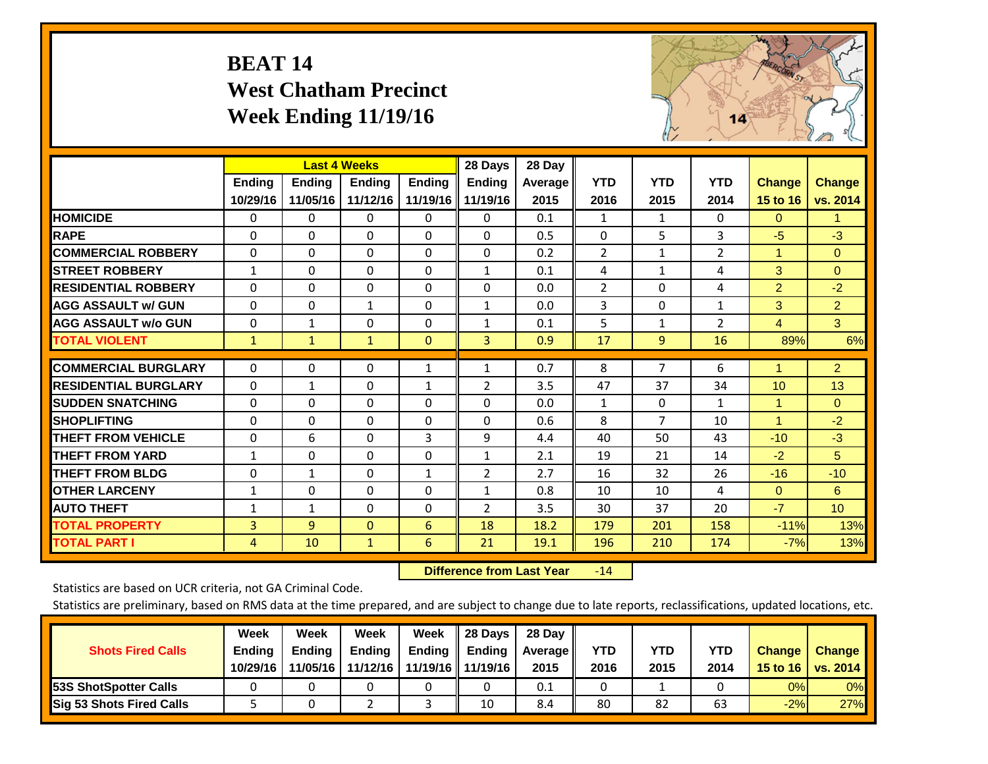# **BEAT 14 West Chatham Precinct Week Ending 11/19/16**



|                             |               | <b>Last 4 Weeks</b> |               |               | 28 Days             | 28 Day         |                |                |                |                |                 |
|-----------------------------|---------------|---------------------|---------------|---------------|---------------------|----------------|----------------|----------------|----------------|----------------|-----------------|
|                             | <b>Ending</b> | Ending              | <b>Ending</b> | <b>Ending</b> | <b>Ending</b>       | <b>Average</b> | <b>YTD</b>     | <b>YTD</b>     | <b>YTD</b>     | <b>Change</b>  | <b>Change</b>   |
|                             | 10/29/16      | 11/05/16            | 11/12/16      |               | 11/19/16   11/19/16 | 2015           | 2016           | 2015           | 2014           | 15 to 16       | vs. 2014        |
| <b>HOMICIDE</b>             | 0             | 0                   | $\Omega$      | 0             | $\Omega$            | 0.1            | 1              | $\mathbf{1}$   | 0              | $\Omega$       | 1.              |
| <b>RAPE</b>                 | 0             | 0                   | $\Omega$      | 0             | $\Omega$            | 0.5            | $\Omega$       | 5              | 3              | $-5$           | $-3$            |
| <b>COMMERCIAL ROBBERY</b>   | $\Omega$      | $\Omega$            | $\mathbf 0$   | $\Omega$      | 0                   | 0.2            | $\overline{2}$ | 1              | $\overline{2}$ | 1              | $\Omega$        |
| <b>STREET ROBBERY</b>       | $\mathbf{1}$  | $\Omega$            | $\Omega$      | $\Omega$      | $\mathbf{1}$        | 0.1            | 4              | $\mathbf{1}$   | 4              | 3              | $\Omega$        |
| <b>RESIDENTIAL ROBBERY</b>  | $\Omega$      | 0                   | $\mathbf{0}$  | $\Omega$      | $\Omega$            | 0.0            | $\overline{2}$ | $\Omega$       | 4              | $\overline{2}$ | $-2$            |
| <b>AGG ASSAULT w/ GUN</b>   | $\Omega$      | $\Omega$            | 1             | $\Omega$      | $\mathbf{1}$        | 0.0            | 3              | 0              | $\mathbf{1}$   | 3              | $\overline{2}$  |
| <b>AGG ASSAULT w/o GUN</b>  | 0             | 1                   | 0             | 0             | $\mathbf{1}$        | 0.1            | 5              | 1              | $\overline{2}$ | $\overline{4}$ | 3               |
| <b>TOTAL VIOLENT</b>        | $\mathbf{1}$  | $\mathbf{1}$        | $\mathbf{1}$  | $\Omega$      | 3                   | 0.9            | 17             | 9              | 16             | 89%            | 6%              |
| <b>COMMERCIAL BURGLARY</b>  | $\Omega$      | $\Omega$            | 0             | 1             | $\mathbf{1}$        | 0.7            | 8              | $\overline{7}$ | 6              | 1              | $\overline{2}$  |
| <b>RESIDENTIAL BURGLARY</b> | $\Omega$      | $\mathbf{1}$        | $\mathbf{0}$  | $\mathbf{1}$  | 2                   | 3.5            | 47             | 37             | 34             | 10             | 13              |
| <b>SUDDEN SNATCHING</b>     | $\Omega$      | $\Omega$            | $\mathbf{0}$  | $\Omega$      | $\Omega$            | 0.0            | 1              | 0              | $\mathbf{1}$   | 1              | $\Omega$        |
| <b>SHOPLIFTING</b>          | $\Omega$      | $\Omega$            | $\mathbf{0}$  | $\Omega$      | $\Omega$            | 0.6            | 8              | 7              | 10             | $\mathbf{1}$   | $-2$            |
| <b>THEFT FROM VEHICLE</b>   | $\Omega$      | 6                   | $\mathbf{0}$  | 3             | 9                   | 4.4            | 40             | 50             | 43             | $-10$          | $-3$            |
| <b>THEFT FROM YARD</b>      | $\mathbf{1}$  | $\Omega$            | $\mathbf 0$   | 0             | $\mathbf{1}$        | 2.1            | 19             | 21             | 14             | $-2$           | 5 <sup>5</sup>  |
| <b>THEFT FROM BLDG</b>      | $\Omega$      | 1                   | $\Omega$      | $\mathbf{1}$  | $\overline{2}$      | 2.7            | 16             | 32             | 26             | $-16$          | $-10$           |
| <b>OTHER LARCENY</b>        | 1             | 0                   | $\mathbf{0}$  | $\Omega$      | $\mathbf{1}$        | 0.8            | 10             | 10             | 4              | $\Omega$       | 6               |
| <b>AUTO THEFT</b>           | $\mathbf{1}$  | $\mathbf{1}$        | 0             | 0             | $\overline{2}$      | 3.5            | 30             | 37             | 20             | $-7$           | 10 <sup>°</sup> |
| <b>TOTAL PROPERTY</b>       | 3             | 9                   | $\mathbf{0}$  | 6             | 18                  | 18.2           | 179            | 201            | 158            | $-11%$         | 13%             |
| <b>TOTAL PART I</b>         | 4             | 10                  | $\mathbf{1}$  | 6             | 21                  | 19.1           | 196            | 210            | 174            | $-7%$          | 13%             |

 **Difference from Last Year**r -14

Statistics are based on UCR criteria, not GA Criminal Code.

| <b>Shots Fired Calls</b>        | Week<br><b>Ending</b><br>10/29/16 | Week<br><b>Endina</b><br>11/05/16 | <b>Week</b><br>Ending<br>11/12/16 | Week<br>Ending | 28 Days<br><b>Ending</b><br>11/19/16   11/19/16 | 28 Day<br>Average II<br>2015 | YTD<br>2016 | YTD<br>2015 | <b>YTD</b><br>2014 | <b>Change</b><br>15 to 16 | <b>Change</b><br>vs. 2014 |
|---------------------------------|-----------------------------------|-----------------------------------|-----------------------------------|----------------|-------------------------------------------------|------------------------------|-------------|-------------|--------------------|---------------------------|---------------------------|
| <b>153S ShotSpotter Calls</b>   |                                   |                                   |                                   |                |                                                 | 0.1                          |             |             |                    | 0%                        | 0%                        |
| <b>Sig 53 Shots Fired Calls</b> |                                   |                                   |                                   |                | 10                                              | 8.4                          | 80          | 82          | 63                 | $-2%$                     | 27%                       |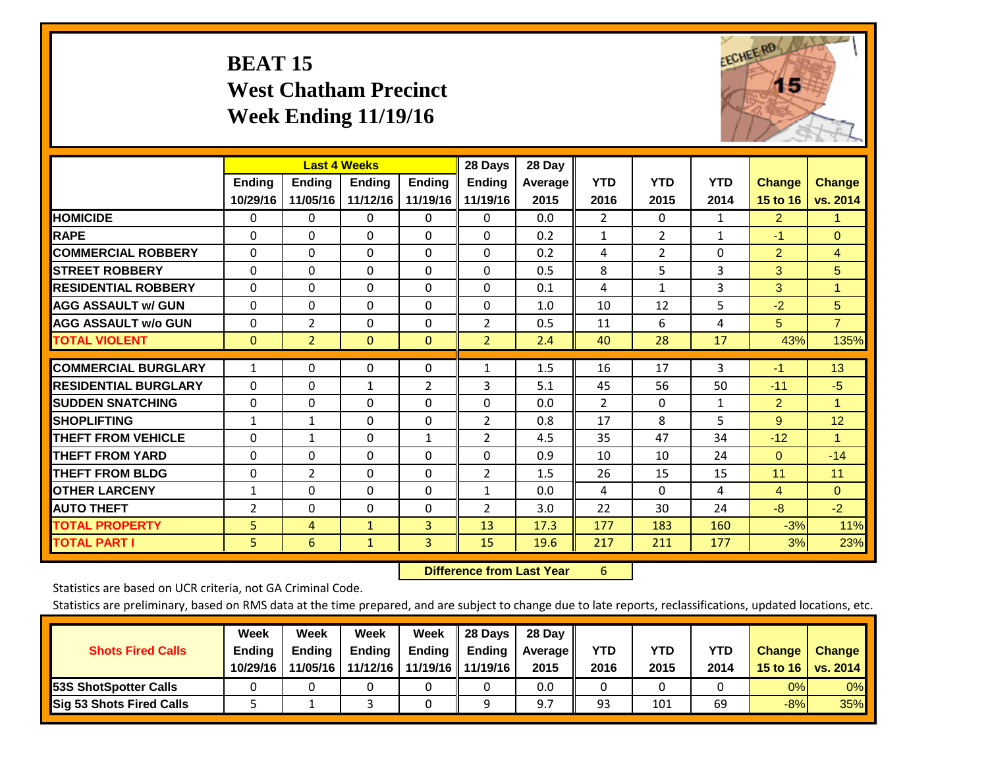# **BEAT 15 West Chatham Precinct Week Ending 11/19/16**



|                             |                | <b>Last 4 Weeks</b> |               |               | 28 Days        | 28 Day  |                |                |              |                |                |
|-----------------------------|----------------|---------------------|---------------|---------------|----------------|---------|----------------|----------------|--------------|----------------|----------------|
|                             | Ending         | <b>Ending</b>       | <b>Endina</b> | <b>Endina</b> | <b>Endina</b>  | Average | <b>YTD</b>     | <b>YTD</b>     | <b>YTD</b>   | <b>Change</b>  | <b>Change</b>  |
|                             | 10/29/16       | 11/05/16            | 11/12/16      | 11/19/16      | 11/19/16       | 2015    | 2016           | 2015           | 2014         | 15 to 16       | vs. 2014       |
| <b>HOMICIDE</b>             | $\Omega$       | 0                   | 0             | 0             | 0              | 0.0     | $\overline{2}$ | 0              | 1            | 2              | 1.             |
| <b>RAPE</b>                 | $\Omega$       | $\Omega$            | $\Omega$      | $\Omega$      | 0              | 0.2     | $\mathbf{1}$   | $\overline{2}$ | $\mathbf{1}$ | $-1$           | $\Omega$       |
| <b>COMMERCIAL ROBBERY</b>   | $\Omega$       | $\Omega$            | $\Omega$      | $\Omega$      | 0              | 0.2     | 4              | $\overline{2}$ | $\Omega$     | $\overline{2}$ | 4              |
| <b>ISTREET ROBBERY</b>      | $\Omega$       | $\Omega$            | $\Omega$      | $\Omega$      | $\Omega$       | 0.5     | 8              | 5              | 3            | 3              | 5              |
| <b>RESIDENTIAL ROBBERY</b>  | $\Omega$       | $\Omega$            | $\Omega$      | $\Omega$      | 0              | 0.1     | 4              | 1              | 3            | 3              | 1              |
| <b>AGG ASSAULT w/ GUN</b>   | $\Omega$       | $\Omega$            | $\Omega$      | $\Omega$      | 0              | 1.0     | 10             | 12             | 5            | $-2$           | 5              |
| <b>AGG ASSAULT w/o GUN</b>  | $\Omega$       | $\overline{2}$      | $\Omega$      | $\Omega$      | 2              | 0.5     | 11             | 6              | 4            | 5              | $\overline{7}$ |
| <b>TOTAL VIOLENT</b>        | $\mathbf{0}$   | $\overline{2}$      | $\Omega$      | $\Omega$      | $\overline{2}$ | 2.4     | 40             | 28             | 17           | 43%            | 135%           |
|                             |                |                     |               |               |                |         |                |                |              |                |                |
| <b>COMMERCIAL BURGLARY</b>  | $\mathbf{1}$   | $\Omega$            | $\Omega$      | $\Omega$      | $\mathbf{1}$   | 1.5     | 16             | 17             | 3            | $-1$           | 13             |
| <b>RESIDENTIAL BURGLARY</b> | $\Omega$       | 0                   | 1             | 2             | 3              | 5.1     | 45             | 56             | 50           | $-11$          | $-5$           |
| <b>SUDDEN SNATCHING</b>     | $\Omega$       | $\Omega$            | $\Omega$      | 0             | 0              | 0.0     | $\overline{2}$ | 0              | 1            | $\overline{2}$ | 1              |
| <b>SHOPLIFTING</b>          | 1              | $\mathbf{1}$        | $\Omega$      | 0             | $\overline{2}$ | 0.8     | 17             | 8              | 5            | 9              | 12             |
| <b>THEFT FROM VEHICLE</b>   | $\Omega$       | $\mathbf{1}$        | $\Omega$      | $\mathbf{1}$  | 2              | 4.5     | 35             | 47             | 34           | $-12$          | 1              |
| <b>THEFT FROM YARD</b>      | $\Omega$       | $\Omega$            | $\Omega$      | 0             | $\Omega$       | 0.9     | 10             | 10             | 24           | $\Omega$       | $-14$          |
| <b>THEFT FROM BLDG</b>      | $\mathbf 0$    | 2                   | $\Omega$      | $\Omega$      | 2              | 1.5     | 26             | 15             | 15           | 11             | 11             |
| <b>OTHER LARCENY</b>        | $\mathbf{1}$   | $\Omega$            | $\Omega$      | $\Omega$      | $\mathbf{1}$   | 0.0     | 4              | 0              | 4            | $\overline{4}$ | $\Omega$       |
| <b>AUTO THEFT</b>           | $\overline{2}$ | $\Omega$            | $\Omega$      | $\Omega$      | 2              | 3.0     | 22             | 30             | 24           | $-8$           | $-2$           |
| <b>TOTAL PROPERTY</b>       | 5              | 4                   | $\mathbf{1}$  | 3             | 13             | 17.3    | 177            | 183            | 160          | $-3%$          | 11%            |
| <b>TOTAL PART I</b>         | 5              | 6                   | $\mathbf{1}$  | 3             | 15             | 19.6    | 217            | 211            | 177          | 3%             | 23%            |

 **Difference from Last Year**r 6

Statistics are based on UCR criteria, not GA Criminal Code.

| <b>Shots Fired Calls</b>        | Week<br><b>Ending</b><br>10/29/16 | Week<br><b>Endina</b><br>11/05/16 | Week<br>Ending<br>11/12/16 | Week<br>Ending | 28 Days<br><b>Ending</b><br>11/19/16   11/19/16 | 28 Day<br>Average II<br>2015 | YTD<br>2016 | YTD<br>2015 | YTD<br>2014 | <b>Change</b><br>15 to $16$ | <b>Change</b><br>vs. 2014 |
|---------------------------------|-----------------------------------|-----------------------------------|----------------------------|----------------|-------------------------------------------------|------------------------------|-------------|-------------|-------------|-----------------------------|---------------------------|
| <b>153S ShotSpotter Calls</b>   |                                   |                                   |                            |                |                                                 | 0.0                          |             |             |             | 0%                          | 0%                        |
| <b>Sig 53 Shots Fired Calls</b> |                                   |                                   |                            |                |                                                 | Q <sub>7</sub>               | 93          | 101         | 69          | $-8%$                       | 35%                       |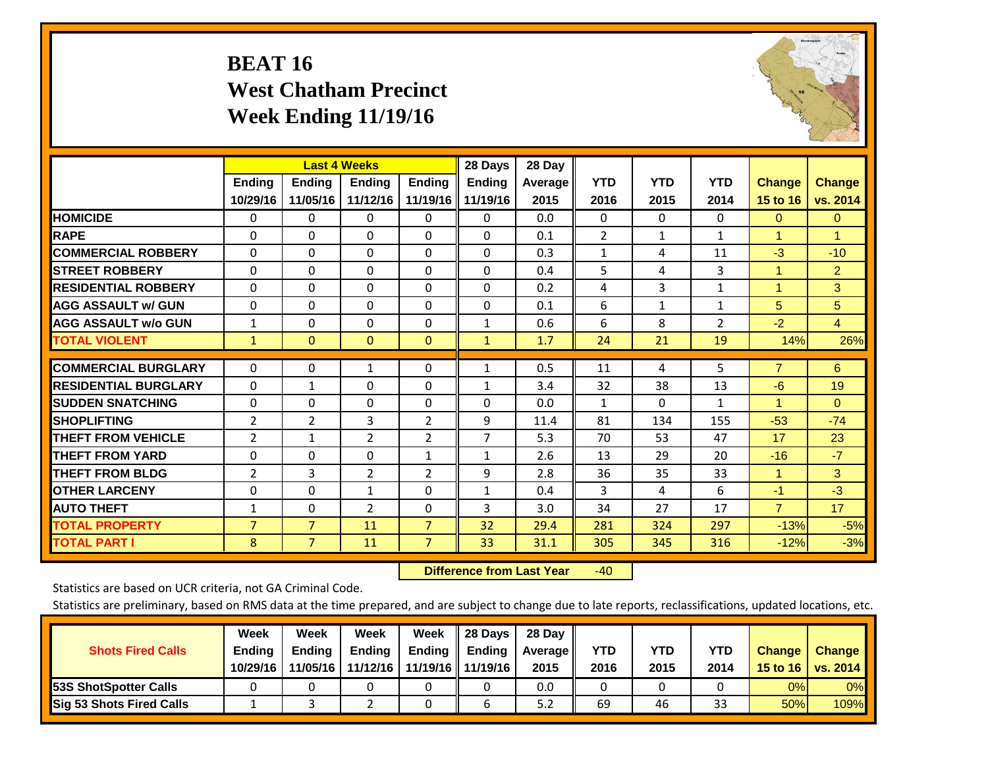# **BEAT 16 West Chatham Precinct Week Ending 11/19/16**



|                             |                | <b>Last 4 Weeks</b> |                |                | 28 Days       | 28 Day  |                |              |                |                      |                |
|-----------------------------|----------------|---------------------|----------------|----------------|---------------|---------|----------------|--------------|----------------|----------------------|----------------|
|                             | <b>Ending</b>  | <b>Ending</b>       | <b>Endina</b>  | <b>Endina</b>  | <b>Endina</b> | Average | <b>YTD</b>     | <b>YTD</b>   | <b>YTD</b>     | <b>Change</b>        | <b>Change</b>  |
|                             | 10/29/16       | 11/05/16            | 11/12/16       | 11/19/16       | 11/19/16      | 2015    | 2016           | 2015         | 2014           | 15 to 16             | vs. 2014       |
| <b>HOMICIDE</b>             | 0              | 0                   | $\Omega$       | 0              | 0             | 0.0     | 0              | $\Omega$     | 0              | $\mathbf{0}$         | $\Omega$       |
| <b>RAPE</b>                 | 0              | $\Omega$            | $\Omega$       | $\Omega$       | $\Omega$      | 0.1     | $\overline{2}$ | $\mathbf{1}$ | $\mathbf{1}$   | 1                    | 1              |
| <b>COMMERCIAL ROBBERY</b>   | $\Omega$       | $\Omega$            | $\Omega$       | 0              | $\Omega$      | 0.3     | $\mathbf{1}$   | 4            | 11             | $-3$                 | $-10$          |
| <b>STREET ROBBERY</b>       | $\Omega$       | $\Omega$            | $\Omega$       | $\Omega$       | $\Omega$      | 0.4     | 5              | 4            | 3              | $\blacktriangleleft$ | $\overline{2}$ |
| <b>RESIDENTIAL ROBBERY</b>  | 0              | $\Omega$            | $\Omega$       | $\mathbf{0}$   | $\Omega$      | 0.2     | 4              | 3            | $\mathbf{1}$   | 1                    | 3              |
| <b>AGG ASSAULT w/ GUN</b>   | 0              | $\Omega$            | $\Omega$       | $\Omega$       | $\Omega$      | 0.1     | 6              | 1            | 1              | 5                    | 5              |
| <b>AGG ASSAULT w/o GUN</b>  | 1              | 0                   | $\Omega$       | 0              | 1             | 0.6     | 6              | 8            | $\overline{2}$ | $-2$                 | $\overline{4}$ |
| <b>TOTAL VIOLENT</b>        | $\mathbf{1}$   | $\mathbf{0}$        | $\mathbf{0}$   | $\mathbf{0}$   | $\mathbf{1}$  | 1.7     | 24             | 21           | 19             | 14%                  | 26%            |
|                             |                |                     |                |                |               |         |                |              |                |                      |                |
| <b>COMMERCIAL BURGLARY</b>  | $\Omega$       | 0                   | 1              | $\mathbf{0}$   | $\mathbf{1}$  | 0.5     | 11             | 4            | 5              | $\overline{7}$       | 6              |
| <b>RESIDENTIAL BURGLARY</b> | $\Omega$       | 1                   | $\mathbf{0}$   | $\mathbf{0}$   | 1             | 3.4     | 32             | 38           | 13             | -6                   | 19             |
| <b>SUDDEN SNATCHING</b>     | 0              | $\Omega$            | $\Omega$       | $\mathbf{0}$   | 0             | 0.0     | $\mathbf{1}$   | 0            | 1              | 1                    | $\Omega$       |
| <b>SHOPLIFTING</b>          | 2              | $\overline{2}$      | 3              | $\overline{2}$ | 9             | 11.4    | 81             | 134          | 155            | $-53$                | $-74$          |
| <b>THEFT FROM VEHICLE</b>   | 2              | $\mathbf{1}$        | $\overline{2}$ | $\overline{2}$ | 7             | 5.3     | 70             | 53           | 47             | 17                   | 23             |
| <b>THEFT FROM YARD</b>      | $\Omega$       | 0                   | $\mathbf{0}$   | 1              | $\mathbf{1}$  | 2.6     | 13             | 29           | 20             | $-16$                | $-7$           |
| <b>THEFT FROM BLDG</b>      | 2              | 3                   | 2              | $\overline{2}$ | 9             | 2.8     | 36             | 35           | 33             | 1                    | 3              |
| <b>IOTHER LARCENY</b>       | 0              | 0                   | $\mathbf{1}$   | $\Omega$       | $\mathbf{1}$  | 0.4     | 3              | 4            | 6              | $-1$                 | $-3$           |
| <b>AUTO THEFT</b>           | $\mathbf{1}$   | 0                   | $\overline{2}$ | 0              | 3             | 3.0     | 34             | 27           | 17             | $\overline{7}$       | 17             |
| <b>TOTAL PROPERTY</b>       | $\overline{7}$ | $\overline{7}$      | 11             | $\overline{7}$ | 32            | 29.4    | 281            | 324          | 297            | $-13%$               | $-5%$          |
| <b>TOTAL PART I</b>         | 8              | $\overline{7}$      | 11             | $\overline{7}$ | 33            | 31.1    | 305            | 345          | 316            | $-12%$               | $-3%$          |

 **Difference from Last Year**r -40

Statistics are based on UCR criteria, not GA Criminal Code.

| <b>Shots Fired Calls</b>        | Week<br><b>Ending</b><br>10/29/16 | Week<br><b>Endina</b><br>11/05/16 | Week<br>Ending<br>11/12/16 | Week<br>Ending | 28 Days<br><b>Ending</b><br>11/19/16   11/19/16 | 28 Day<br>Average II<br>2015 | YTD<br>2016 | YTD<br>2015 | <b>YTD</b><br>2014 | <b>Change</b><br>15 to $16$ | <b>Change</b><br>vs. 2014 |
|---------------------------------|-----------------------------------|-----------------------------------|----------------------------|----------------|-------------------------------------------------|------------------------------|-------------|-------------|--------------------|-----------------------------|---------------------------|
| <b>153S ShotSpotter Calls</b>   |                                   |                                   |                            |                |                                                 | 0.0                          |             |             |                    | 0%                          | 0%                        |
| <b>Sig 53 Shots Fired Calls</b> |                                   |                                   |                            |                |                                                 | 5.2                          | 69          | 46          | 33                 | 50%                         | 109%                      |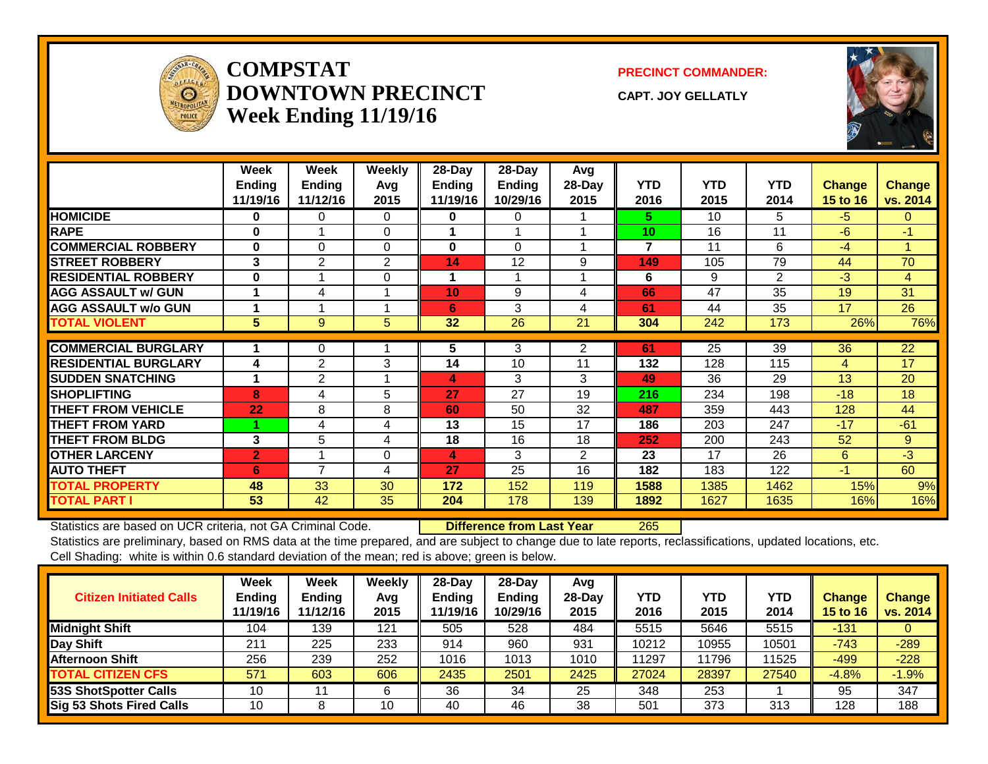

#### **COMPSTATDOWNTOWN PRECINCTWeek Ending 11/19/16**

**PRECINCT COMMANDER:**

**CAPT. JOY GELLATLY**



|                             | Week<br><b>Ending</b><br>11/19/16 | Week<br><b>Endina</b><br>11/12/16 | Weekly<br>Avg<br>2015 | 28-Day<br><b>Endina</b><br>11/19/16 | $28$ -Day<br>Ending<br>10/29/16 | Avg<br>$28$ -Day<br>2015 | <b>YTD</b><br>2016 | <b>YTD</b><br>2015 | <b>YTD</b><br>2014 | <b>Change</b><br>15 to 16 | <b>Change</b><br>vs. 2014 |
|-----------------------------|-----------------------------------|-----------------------------------|-----------------------|-------------------------------------|---------------------------------|--------------------------|--------------------|--------------------|--------------------|---------------------------|---------------------------|
| <b>HOMICIDE</b>             | $\bf{0}$                          | 0                                 | $\Omega$              | $\bf{0}$                            | 0                               |                          | 5.                 | 10                 | 5                  | -5                        | $\Omega$                  |
| <b>RAPE</b>                 | $\bf{0}$                          |                                   | $\Omega$              |                                     |                                 |                          | 10                 | 16                 | 11                 | $-6$                      | -1                        |
| <b>COMMERCIAL ROBBERY</b>   | $\bf{0}$                          | $\Omega$                          | $\Omega$              | $\mathbf{0}$                        | $\Omega$                        |                          | $\overline{7}$     | 11                 | 6                  | $-4$                      | $\blacktriangleleft$      |
| <b>STREET ROBBERY</b>       | 3                                 | $\overline{2}$                    | 2                     | 14                                  | 12                              | 9                        | 149                | 105                | 79                 | 44                        | 70                        |
| <b>RESIDENTIAL ROBBERY</b>  | $\bf{0}$                          |                                   | $\Omega$              | 1                                   |                                 |                          | 6                  | 9                  | 2                  | $-3$                      | $\overline{4}$            |
| <b>AGG ASSAULT w/ GUN</b>   | 1                                 | 4                                 |                       | 10                                  | 9                               | 4                        | 66                 | 47                 | 35                 | 19                        | 31                        |
| <b>AGG ASSAULT w/o GUN</b>  |                                   |                                   |                       | 6                                   | 3                               | 4                        | 61                 | 44                 | 35                 | 17                        | 26                        |
| <b>TOTAL VIOLENT</b>        | 5                                 | 9                                 | $5\overline{)}$       | 32                                  | 26                              | 21                       | 304                | 242                | 173                | 26%                       | 76%                       |
|                             |                                   |                                   |                       |                                     |                                 |                          |                    |                    |                    |                           |                           |
| <b>COMMERCIAL BURGLARY</b>  |                                   | 0                                 |                       | 5                                   | 3                               | 2                        | 61                 | 25                 | 39                 | 36                        | $\overline{22}$           |
| <b>RESIDENTIAL BURGLARY</b> | 4                                 | $\overline{2}$                    | 3                     | 14                                  | 10                              | 11                       | 132                | 128                | 115                | 4                         | 17                        |
| <b>SUDDEN SNATCHING</b>     | 1                                 | $\overline{2}$                    |                       | 4                                   | 3                               | 3                        | 49                 | 36                 | 29                 | 13                        | 20                        |
| <b>SHOPLIFTING</b>          | 8                                 | 4                                 | 5                     | 27                                  | 27                              | 19                       | 216                | 234                | 198                | $-18$                     | 18                        |
| <b>THEFT FROM VEHICLE</b>   | 22                                | 8                                 | 8                     | 60                                  | 50                              | 32                       | 487                | 359                | 443                | 128                       | 44                        |
| <b>THEFT FROM YARD</b>      |                                   | 4                                 | 4                     | 13                                  | 15                              | 17                       | 186                | 203                | 247                | $-17$                     | $-61$                     |
| <b>THEFT FROM BLDG</b>      | 3                                 | 5                                 | 4                     | 18                                  | 16                              | 18                       | 252                | 200                | 243                | 52                        | 9                         |
| <b>OTHER LARCENY</b>        | $\overline{2}$                    |                                   | $\Omega$              | 4                                   | 3                               | $\overline{2}$           | 23                 | 17                 | 26                 | 6                         | $-3$                      |
| <b>AUTO THEFT</b>           | 6                                 | 7                                 | 4                     | 27                                  | 25                              | 16                       | 182                | 183                | 122                | $-1$                      | 60                        |
| TOTAL PROPERTY              | 48                                | 33                                | 30                    | 172                                 | 152                             | 119                      | 1588               | 1385               | 1462               | 15%                       | 9%                        |
| <b>TOTAL PART I</b>         | 53                                | 42                                | 35                    | 204                                 | 178                             | 139                      | 1892               | 1627               | 1635               | 16%                       | 16%                       |

Statistics are based on UCR criteria, not GA Criminal Code. **Difference from Last Year** 265

| <b>Citizen Initiated Calls</b>  | <b>Week</b><br><b>Ending</b><br>11/19/16 | <b>Week</b><br><b>Ending</b><br>11/12/16 | Weekly<br>Avg<br>2015 | 28-Day<br><b>Ending</b><br>11/19/16 | $28$ -Day<br><b>Ending</b><br>10/29/16 | Avg<br>28-Dav<br>2015 | YTD<br>2016 | <b>YTD</b><br>2015 | <b>YTD</b><br>2014 | <b>Change</b><br><b>15 to 16</b> | <b>Change</b><br>vs. 2014 |
|---------------------------------|------------------------------------------|------------------------------------------|-----------------------|-------------------------------------|----------------------------------------|-----------------------|-------------|--------------------|--------------------|----------------------------------|---------------------------|
| <b>Midnight Shift</b>           | 104                                      | 139                                      | 121                   | 505                                 | 528                                    | 484                   | 5515        | 5646               | 5515               | -131                             |                           |
| Day Shift                       | 211                                      | 225                                      | 233                   | 914                                 | 960                                    | 931                   | 10212       | 10955              | 10501              | $-743$                           | $-289$                    |
| <b>Afternoon Shift</b>          | 256                                      | 239                                      | 252                   | 1016                                | 1013                                   | 1010                  | 11297       | 1796               | 11525              | $-499$                           | $-228$                    |
| <b>TOTAL CITIZEN CFS</b>        | 571                                      | 603                                      | 606                   | 2435                                | 2501                                   | 2425                  | 27024       | 28397              | 27540              | $-4.8%$                          | $-1.9%$                   |
| 53S ShotSpotter Calls           | 10                                       |                                          | 6                     | 36                                  | 34                                     | 25                    | 348         | 253                |                    | 95                               | 347                       |
| <b>Sig 53 Shots Fired Calls</b> | 10                                       | O                                        | 10                    | 40                                  | 46                                     | 38                    | 501         | 373                | 313                | 128                              | 188                       |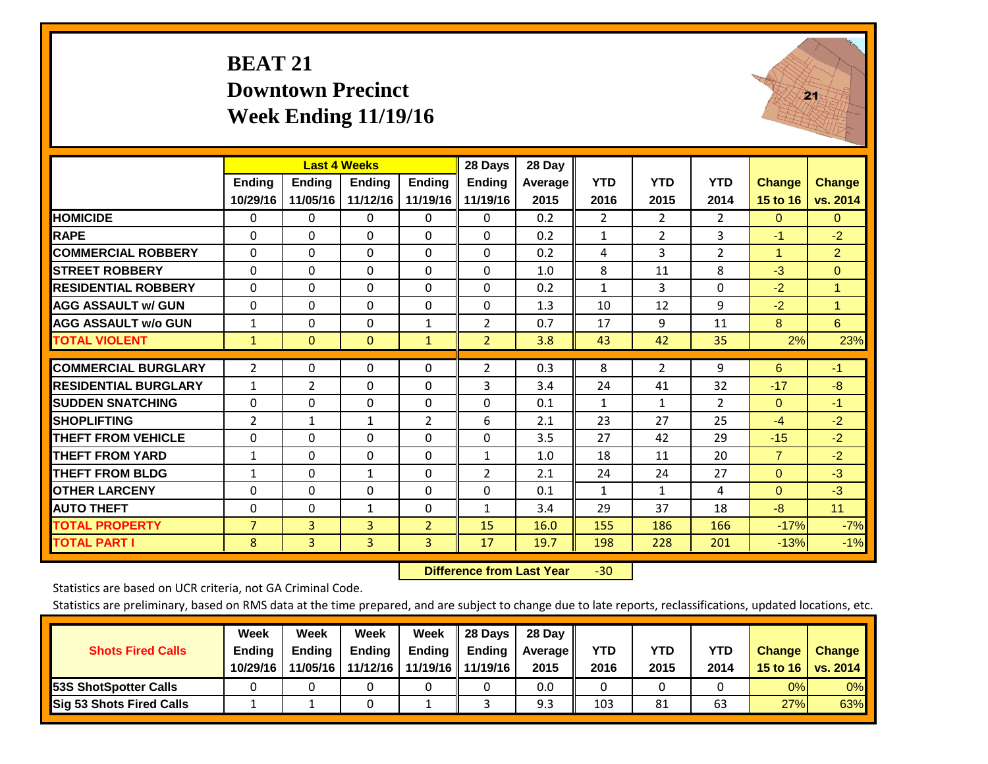## **BEAT 21 Downtown Precinct Week Ending 11/19/16**



|                             |                | <b>Last 4 Weeks</b> |                |                | 28 Days        | 28 Day  |                |                |                |                |                |
|-----------------------------|----------------|---------------------|----------------|----------------|----------------|---------|----------------|----------------|----------------|----------------|----------------|
|                             | Ending         | <b>Ending</b>       | <b>Ending</b>  | <b>Ending</b>  | <b>Ending</b>  | Average | <b>YTD</b>     | <b>YTD</b>     | <b>YTD</b>     | <b>Change</b>  | <b>Change</b>  |
|                             | 10/29/16       | 11/05/16            | 11/12/16       | 11/19/16       | 11/19/16       | 2015    | 2016           | 2015           | 2014           | 15 to 16       | vs. 2014       |
| <b>HOMICIDE</b>             | 0              | 0                   | 0              | 0              | $\Omega$       | 0.2     | $\overline{2}$ | 2              | $\overline{2}$ | $\Omega$       | $\mathbf{0}$   |
| <b>RAPE</b>                 | $\Omega$       | $\Omega$            | $\Omega$       | $\Omega$       | 0              | 0.2     | $\mathbf{1}$   | 2              | 3              | $-1$           | $-2$           |
| <b>COMMERCIAL ROBBERY</b>   | $\Omega$       | $\Omega$            | $\Omega$       | $\Omega$       | $\Omega$       | 0.2     | 4              | 3              | $\overline{2}$ | 1              | 2 <sup>1</sup> |
| <b>STREET ROBBERY</b>       | $\Omega$       | $\Omega$            | $\Omega$       | $\Omega$       | 0              | 1.0     | 8              | 11             | 8              | $-3$           | $\overline{0}$ |
| <b>RESIDENTIAL ROBBERY</b>  | $\Omega$       | $\Omega$            | $\Omega$       | $\Omega$       | 0              | 0.2     | $\mathbf{1}$   | 3              | $\Omega$       | $-2$           | $\mathbf{1}$   |
| <b>AGG ASSAULT w/ GUN</b>   | $\Omega$       | $\Omega$            | $\Omega$       | $\Omega$       | $\Omega$       | 1.3     | 10             | 12             | 9              | $-2$           | 1              |
| <b>AGG ASSAULT w/o GUN</b>  | $\mathbf{1}$   | $\Omega$            | $\Omega$       | $\mathbf{1}$   | 2              | 0.7     | 17             | 9              | 11             | 8              | 6              |
| <b>TOTAL VIOLENT</b>        | $\mathbf{1}$   | $\Omega$            | $\mathbf{0}$   | $\mathbf{1}$   | $\overline{2}$ | 3.8     | 43             | 42             | 35             | 2%             | 23%            |
| <b>COMMERCIAL BURGLARY</b>  |                |                     |                |                |                |         |                |                |                |                |                |
|                             | $\overline{2}$ | $\Omega$            | $\Omega$       | $\Omega$       | $\overline{2}$ | 0.3     | 8              | $\overline{2}$ | 9              | 6              | $-1$           |
| <b>RESIDENTIAL BURGLARY</b> | $\mathbf{1}$   | $\overline{2}$      | $\Omega$       | 0              | 3              | 3.4     | 24             | 41             | 32             | $-17$          | -8             |
| <b>ISUDDEN SNATCHING</b>    | $\Omega$       | $\Omega$            | $\Omega$       | $\Omega$       | 0              | 0.1     | $\mathbf{1}$   | 1              | $\overline{2}$ | $\Omega$       | $-1$           |
| <b>SHOPLIFTING</b>          | $\overline{2}$ | $\mathbf{1}$        | $\mathbf{1}$   | $\overline{2}$ | 6              | 2.1     | 23             | 27             | 25             | $-4$           | $-2$           |
| <b>THEFT FROM VEHICLE</b>   | $\Omega$       | $\Omega$            | $\Omega$       | $\Omega$       | 0              | 3.5     | 27             | 42             | 29             | $-15$          | $-2$           |
| <b>THEFT FROM YARD</b>      | $\mathbf{1}$   | $\Omega$            | $\Omega$       | $\Omega$       | $\mathbf{1}$   | 1.0     | 18             | 11             | 20             | $\overline{7}$ | $-2$           |
| <b>THEFT FROM BLDG</b>      | $\mathbf{1}$   | $\Omega$            | 1              | $\Omega$       | 2              | 2.1     | 24             | 24             | 27             | $\Omega$       | $-3$           |
| <b>OTHER LARCENY</b>        | $\Omega$       | $\Omega$            | $\Omega$       | $\Omega$       | 0              | 0.1     | 1              | $\mathbf{1}$   | 4              | $\mathbf{0}$   | $-3$           |
| <b>AUTO THEFT</b>           | 0              | $\Omega$            | 1              | $\Omega$       | $\mathbf{1}$   | 3.4     | 29             | 37             | 18             | $-8$           | 11             |
| <b>TOTAL PROPERTY</b>       | $\overline{7}$ | 3                   | 3              | $\overline{2}$ | 15             | 16.0    | 155            | 186            | 166            | $-17%$         | $-7%$          |
| <b>TOTAL PART I</b>         | 8              | $\overline{3}$      | $\overline{3}$ | 3              | 17             | 19.7    | 198            | 228            | 201            | $-13%$         | $-1%$          |

 **Difference from Last Year**‐30

Statistics are based on UCR criteria, not GA Criminal Code.

| <b>Shots Fired Calls</b>        | Week<br><b>Ending</b><br>10/29/16 | Week<br><b>Endina</b><br>11/05/16 | Week<br>Ending<br>11/12/16 | Week<br>Ending | 28 Days<br><b>Ending</b><br>11/19/16   11/19/16 | 28 Day<br>Average II<br>2015 | YTD<br>2016 | YTD<br>2015 | <b>YTD</b><br>2014 | <b>Change</b><br>15 to $16$ | <b>Change</b><br>vs. 2014 |
|---------------------------------|-----------------------------------|-----------------------------------|----------------------------|----------------|-------------------------------------------------|------------------------------|-------------|-------------|--------------------|-----------------------------|---------------------------|
| <b>153S ShotSpotter Calls</b>   |                                   |                                   |                            |                |                                                 | 0.0                          |             |             |                    | 0%                          | 0%                        |
| <b>Sig 53 Shots Fired Calls</b> |                                   |                                   |                            |                |                                                 | 9.3                          | 103         | 81          | 63                 | 27%                         | 63%                       |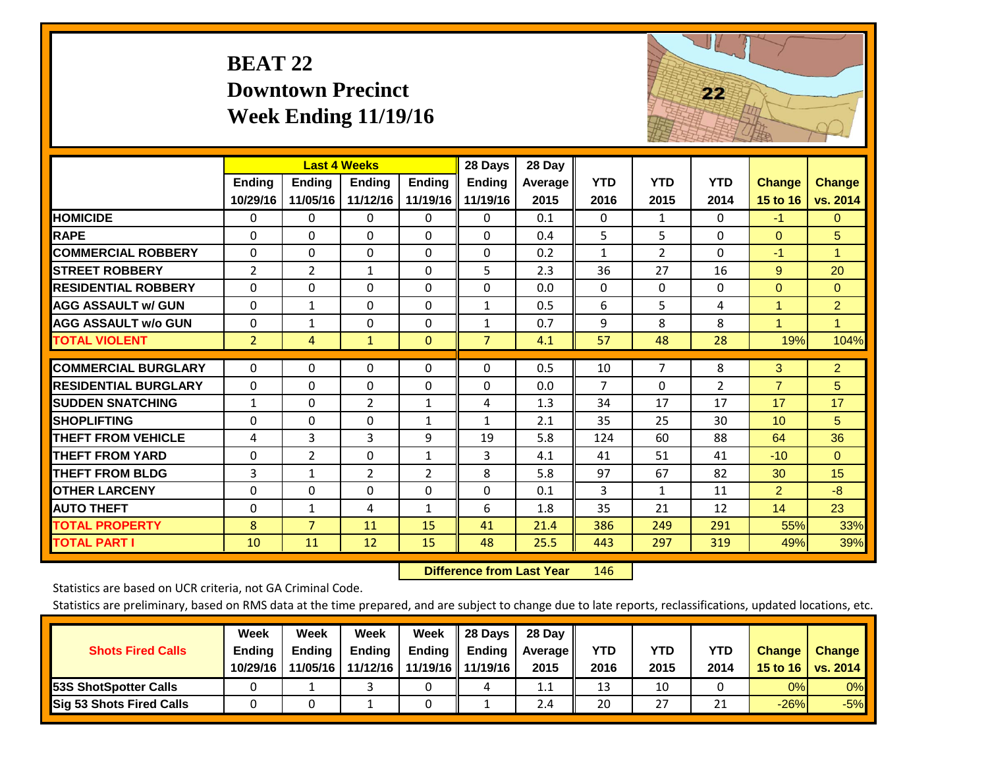# **BEAT 22 Downtown Precinct Week Ending 11/19/16**



|                             |                | <b>Last 4 Weeks</b> |               |                | 28 Days           | 28 Day         |                |                |                |                |                |
|-----------------------------|----------------|---------------------|---------------|----------------|-------------------|----------------|----------------|----------------|----------------|----------------|----------------|
|                             | Ending         | <b>Ending</b>       | <b>Endina</b> | <b>Ending</b>  | <b>Ending</b>     | <b>Average</b> | <b>YTD</b>     | <b>YTD</b>     | <b>YTD</b>     | <b>Change</b>  | <b>Change</b>  |
|                             | 10/29/16       | 11/05/16            | 11/12/16      |                | 11/19/16 11/19/16 | 2015           | 2016           | 2015           | 2014           | 15 to 16       | vs. 2014       |
| <b>HOMICIDE</b>             | 0              | 0                   | 0             | 0              | $\Omega$          | 0.1            | $\Omega$       | $\mathbf{1}$   | $\Omega$       | $-1$           | $\mathbf{0}$   |
| <b>RAPE</b>                 | $\Omega$       | 0                   | $\Omega$      | $\Omega$       | $\Omega$          | 0.4            | 5              | 5              | $\Omega$       | $\Omega$       | 5              |
| <b>COMMERCIAL ROBBERY</b>   | $\Omega$       | 0                   | $\mathbf{0}$  | $\Omega$       | $\Omega$          | 0.2            | 1              | $\overline{2}$ | $\Omega$       | $-1$           | $\mathbf{1}$   |
| <b>STREET ROBBERY</b>       | $\overline{2}$ | $\overline{2}$      | $\mathbf{1}$  | $\Omega$       | 5                 | 2.3            | 36             | 27             | 16             | 9              | 20             |
| <b>RESIDENTIAL ROBBERY</b>  | $\Omega$       | 0                   | $\mathbf{0}$  | $\Omega$       | $\Omega$          | 0.0            | $\mathbf{0}$   | $\Omega$       | 0              | $\Omega$       | $\Omega$       |
| <b>AGG ASSAULT w/ GUN</b>   | $\Omega$       | 1                   | 0             | $\Omega$       | $\mathbf{1}$      | 0.5            | 6              | 5              | 4              | 1              | $\overline{2}$ |
| <b>AGG ASSAULT w/o GUN</b>  | $\Omega$       | $\mathbf{1}$        | $\Omega$      | $\Omega$       | $\mathbf{1}$      | 0.7            | 9              | 8              | 8              | 1              | 1.             |
| <b>TOTAL VIOLENT</b>        | $\overline{2}$ | 4                   | $\mathbf{1}$  | $\mathbf{0}$   | $\overline{7}$    | 4.1            | 57             | 48             | 28             | 19%            | 104%           |
| <b>COMMERCIAL BURGLARY</b>  | $\Omega$       | 0                   | $\mathbf 0$   | 0              | $\Omega$          | 0.5            | 10             | $\overline{7}$ | 8              | 3              | 2 <sup>1</sup> |
|                             |                |                     |               |                |                   |                |                |                |                |                |                |
| <b>RESIDENTIAL BURGLARY</b> | $\Omega$       | 0                   | $\Omega$      | $\Omega$       | $\Omega$          | 0.0            | $\overline{7}$ | $\Omega$       | $\overline{2}$ | $\overline{7}$ | 5              |
| <b>SUDDEN SNATCHING</b>     | $\mathbf{1}$   | 0                   | 2             | $\mathbf{1}$   | 4                 | 1.3            | 34             | 17             | 17             | 17             | 17             |
| <b>SHOPLIFTING</b>          | $\Omega$       | 0                   | 0             | 1              | $\mathbf{1}$      | 2.1            | 35             | 25             | 30             | 10             | 5              |
| <b>THEFT FROM VEHICLE</b>   | 4              | 3                   | 3             | 9              | 19                | 5.8            | 124            | 60             | 88             | 64             | 36             |
| <b>THEFT FROM YARD</b>      | $\Omega$       | $\overline{2}$      | 0             | $\mathbf{1}$   | 3                 | 4.1            | 41             | 51             | 41             | $-10$          | $\overline{0}$ |
| <b>THEFT FROM BLDG</b>      | 3              | $\mathbf{1}$        | 2             | $\overline{2}$ | 8                 | 5.8            | 97             | 67             | 82             | 30             | 15             |
| <b>OTHER LARCENY</b>        | $\Omega$       | 0                   | $\Omega$      | $\Omega$       | $\Omega$          | 0.1            | 3              | 1              | 11             | $\overline{2}$ | $-8$           |
| <b>AUTO THEFT</b>           | $\Omega$       | $\mathbf 1$         | 4             | $\mathbf{1}$   | 6                 | 1.8            | 35             | 21             | 12             | 14             | 23             |
| <b>TOTAL PROPERTY</b>       | 8              | $\overline{7}$      | 11            | 15             | 41                | 21.4           | 386            | 249            | 291            | 55%            | 33%            |
| <b>TOTAL PART I</b>         | 10             | 11                  | 12            | 15             | 48                | 25.5           | 443            | 297            | 319            | 49%            | 39%            |

 **Difference from Last Year**r 146

Statistics are based on UCR criteria, not GA Criminal Code.

| <b>Shots Fired Calls</b>        | Week<br><b>Ending</b><br>10/29/16 | Week<br><b>Endina</b><br>11/05/16 | Week<br><b>Ending</b><br>11/12/16 | Week<br>Ending $\parallel$ | Il 28 Davs<br>$\parallel$ Ending<br>11/19/16    11/19/16 | 28 Day<br>Average   <br>2015 | <b>YTD</b><br>2016 | YTD<br>2015 | <b>YTD</b><br>2014 | <b>Change</b><br>15 to 16 | <b>Change</b><br>vs. 2014 |
|---------------------------------|-----------------------------------|-----------------------------------|-----------------------------------|----------------------------|----------------------------------------------------------|------------------------------|--------------------|-------------|--------------------|---------------------------|---------------------------|
| <b>53S ShotSpotter Calls</b>    |                                   |                                   |                                   |                            |                                                          | 1.1                          | 13                 | 10          |                    | 0%                        | 0%                        |
| <b>Sig 53 Shots Fired Calls</b> |                                   |                                   |                                   |                            |                                                          | 2.4                          | 20                 | 27          | <b>O</b> 4         | $-26%$                    | $-5%$                     |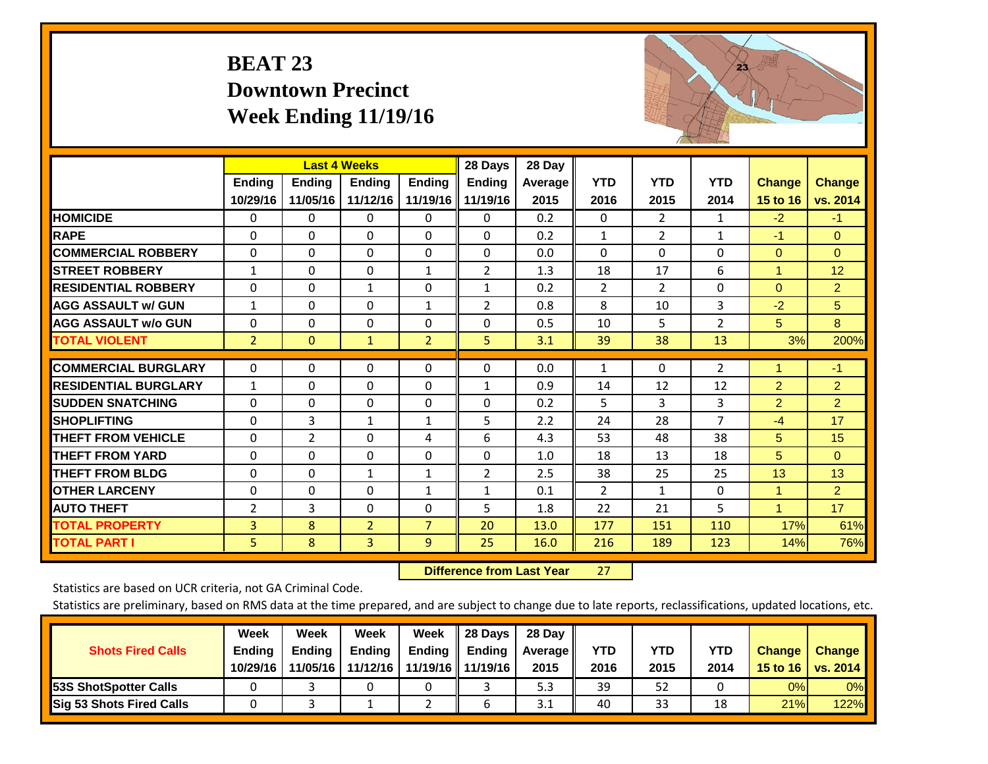# **BEAT 23 Downtown Precinct Week Ending 11/19/16**



|                             |                | <b>Last 4 Weeks</b> |                |                | 28 Days             | 28 Day         |                |              |                |                |                |
|-----------------------------|----------------|---------------------|----------------|----------------|---------------------|----------------|----------------|--------------|----------------|----------------|----------------|
|                             | Ending         | Ending              | <b>Endina</b>  | <b>Ending</b>  | <b>Ending</b>       | <b>Average</b> | <b>YTD</b>     | <b>YTD</b>   | <b>YTD</b>     | <b>Change</b>  | <b>Change</b>  |
|                             | 10/29/16       | 11/05/16            | 11/12/16       |                | 11/19/16   11/19/16 | 2015           | 2016           | 2015         | 2014           | 15 to 16       | vs. 2014       |
| <b>HOMICIDE</b>             | 0              | 0                   | 0              | 0              | 0                   | 0.2            | $\Omega$       | 2            | 1              | $-2$           | $-1$           |
| <b>RAPE</b>                 | $\Omega$       | $\Omega$            | $\mathbf{0}$   | $\Omega$       | $\Omega$            | 0.2            | $\mathbf{1}$   | 2            | 1              | $-1$           | $\Omega$       |
| <b>COMMERCIAL ROBBERY</b>   | $\Omega$       | 0                   | $\Omega$       | $\Omega$       | $\Omega$            | 0.0            | $\Omega$       | $\Omega$     | $\Omega$       | $\Omega$       | $\Omega$       |
| <b>ISTREET ROBBERY</b>      | $\mathbf{1}$   | 0                   | $\mathbf 0$    | 1              | $\overline{2}$      | 1.3            | 18             | 17           | 6              | $\overline{1}$ | 12             |
| <b>RESIDENTIAL ROBBERY</b>  | $\Omega$       | 0                   | 1              | $\Omega$       | $\mathbf{1}$        | 0.2            | $\overline{2}$ | 2            | $\Omega$       | $\Omega$       | $\overline{2}$ |
| <b>AGG ASSAULT w/ GUN</b>   | $\mathbf{1}$   | $\Omega$            | $\mathbf{0}$   | $\mathbf{1}$   | $\overline{2}$      | 0.8            | 8              | 10           | 3              | $-2$           | 5              |
| <b>AGG ASSAULT w/o GUN</b>  | $\Omega$       | 0                   | $\mathbf{0}$   | $\Omega$       | $\Omega$            | 0.5            | 10             | 5            | $\overline{2}$ | 5              | 8              |
| <b>TOTAL VIOLENT</b>        | $\overline{2}$ | $\overline{0}$      | $\mathbf{1}$   | $\overline{2}$ | $\overline{5}$      | 3.1            | 39             | 38           | 13             | 3%             | 200%           |
| <b>COMMERCIAL BURGLARY</b>  | $\Omega$       | $\Omega$            | $\mathbf 0$    | $\Omega$       | $\Omega$            | 0.0            | $\mathbf{1}$   | $\Omega$     | 2              | 1              | $-1$           |
| <b>RESIDENTIAL BURGLARY</b> | $\mathbf{1}$   | $\Omega$            | $\mathbf{0}$   | $\Omega$       | $\mathbf{1}$        | 0.9            | 14             | 12           | 12             | $\overline{2}$ | $\overline{2}$ |
| <b>SUDDEN SNATCHING</b>     | $\Omega$       | $\Omega$            | $\mathbf{0}$   | $\Omega$       | $\Omega$            | 0.2            | 5              | 3            | 3              | $\overline{2}$ | $\overline{2}$ |
| <b>SHOPLIFTING</b>          | $\Omega$       | 3                   | $\mathbf{1}$   | $\mathbf{1}$   | 5                   | 2.2            | 24             | 28           | $\overline{7}$ | $-4$           | 17             |
| <b>THEFT FROM VEHICLE</b>   | $\Omega$       | $\overline{2}$      | $\mathbf{0}$   | 4              | 6                   | 4.3            | 53             | 48           | 38             | 5              | 15             |
| <b>THEFT FROM YARD</b>      | $\Omega$       | $\Omega$            | $\Omega$       | $\Omega$       | $\Omega$            | 1.0            | 18             | 13           | 18             | 5              | $\Omega$       |
| <b>THEFT FROM BLDG</b>      | $\Omega$       | $\Omega$            | $\mathbf{1}$   | $\mathbf{1}$   | $\overline{2}$      | 2.5            | 38             | 25           | 25             | 13             | 13             |
| <b>OTHER LARCENY</b>        | $\Omega$       | $\Omega$            | $\Omega$       | $\mathbf{1}$   | $\mathbf{1}$        | 0.1            | $\overline{2}$ | $\mathbf{1}$ | $\Omega$       | $\mathbf{1}$   | $\overline{2}$ |
| <b>AUTO THEFT</b>           | $\overline{2}$ | 3                   | 0              | $\Omega$       | 5                   | 1.8            | 22             | 21           | 5              | $\overline{1}$ | 17             |
| <b>TOTAL PROPERTY</b>       | 3              | 8                   | $\overline{2}$ | $\overline{7}$ | 20                  | 13.0           | 177            | 151          | 110            | 17%            | 61%            |
| <b>TOTAL PART I</b>         | 5              | 8                   | $\overline{3}$ | $\overline{9}$ | 25                  | 16.0           | 216            | 189          | 123            | 14%            | 76%            |

 **Difference from Last Year**r 27

Statistics are based on UCR criteria, not GA Criminal Code.

| <b>Shots Fired Calls</b>        | Week<br><b>Ending</b><br>10/29/16 | Week<br><b>Endina</b><br>11/05/16 | Week<br>Ending<br>11/12/16 | Week<br>Ending | 28 Days<br><b>Ending</b><br>11/19/16   11/19/16 | 28 Day<br>Average II<br>2015 | YTD<br>2016 | YTD<br>2015 | <b>YTD</b><br>2014 | <b>Change</b><br>15 to 16 | <b>Change</b><br>vs. 2014 |
|---------------------------------|-----------------------------------|-----------------------------------|----------------------------|----------------|-------------------------------------------------|------------------------------|-------------|-------------|--------------------|---------------------------|---------------------------|
| <b>153S ShotSpotter Calls</b>   |                                   |                                   |                            |                |                                                 | 5.3                          | 39          | 52          |                    | 0%                        | 0%                        |
| <b>Sig 53 Shots Fired Calls</b> |                                   |                                   |                            |                |                                                 | 3.1                          | 40          | 33          | 18                 | 21%                       | <b>122%</b>               |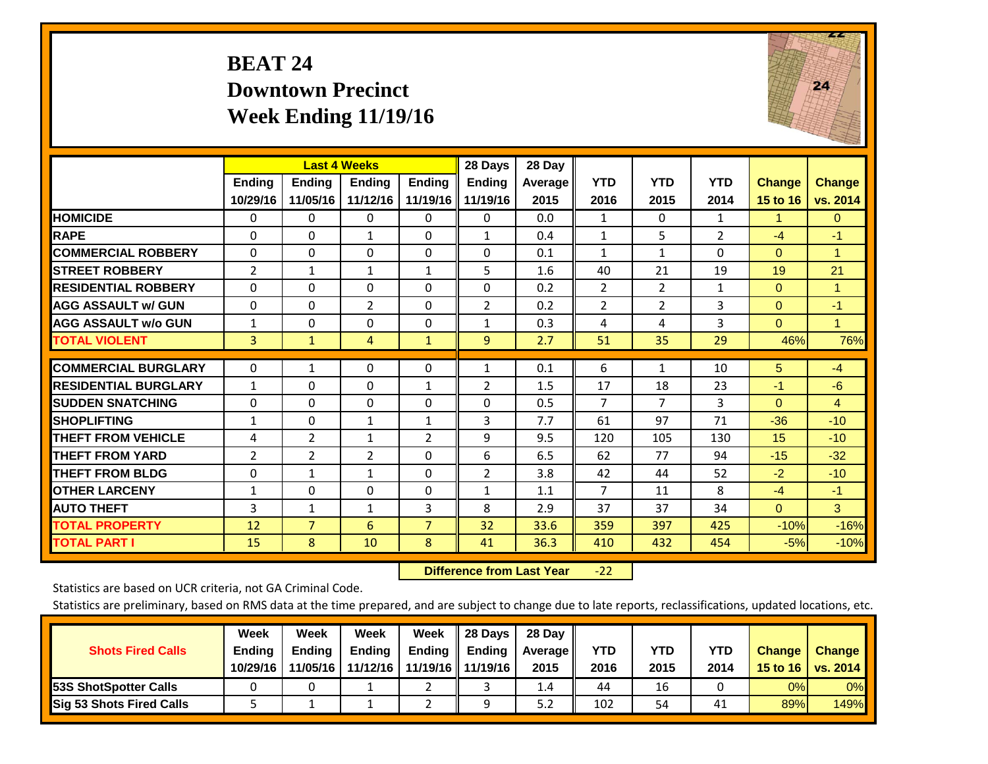## **BEAT 24 Downtown Precinct Week Ending 11/19/16**



|                             |                | <b>Last 4 Weeks</b> |              |                | 28 Days        | 28 Day  |                |                |                |               |               |
|-----------------------------|----------------|---------------------|--------------|----------------|----------------|---------|----------------|----------------|----------------|---------------|---------------|
|                             | <b>Ending</b>  | <b>Endina</b>       | Endina       | <b>Endina</b>  | <b>Ending</b>  | Average | <b>YTD</b>     | <b>YTD</b>     | <b>YTD</b>     | <b>Change</b> | <b>Change</b> |
|                             | 10/29/16       | 11/05/16            | 11/12/16     | 11/19/16       | 11/19/16       | 2015    | 2016           | 2015           | 2014           | 15 to 16      | vs. 2014      |
| <b>HOMICIDE</b>             | 0              | 0                   | $\Omega$     | 0              | 0              | 0.0     | 1              | $\Omega$       | $\mathbf{1}$   | 1             | $\mathbf{0}$  |
| <b>RAPE</b>                 | $\Omega$       | $\Omega$            | 1            | $\Omega$       | $\mathbf{1}$   | 0.4     | 1              | 5              | $\overline{2}$ | $-4$          | $-1$          |
| <b>COMMERCIAL ROBBERY</b>   | $\Omega$       | $\Omega$            | $\Omega$     | $\Omega$       | $\Omega$       | 0.1     | $\mathbf{1}$   | 1              | $\Omega$       | $\Omega$      | 1             |
| <b>ISTREET ROBBERY</b>      | 2              | 1                   | $\mathbf{1}$ | $\mathbf{1}$   | 5              | 1.6     | 40             | 21             | 19             | 19            | 21            |
| <b>RESIDENTIAL ROBBERY</b>  | $\Omega$       | 0                   | $\mathbf{0}$ | 0              | 0              | 0.2     | 2              | $\overline{2}$ | $\mathbf{1}$   | $\Omega$      | 1             |
| <b>AGG ASSAULT w/ GUN</b>   | $\Omega$       | 0                   | 2            | $\Omega$       | $\overline{2}$ | 0.2     | 2              | $\overline{2}$ | 3              | $\Omega$      | $-1$          |
| <b>AGG ASSAULT w/o GUN</b>  | $\mathbf{1}$   | $\Omega$            | $\Omega$     | 0              | $\mathbf{1}$   | 0.3     | 4              | 4              | 3              | $\Omega$      | $\mathbf{1}$  |
| <b>TOTAL VIOLENT</b>        | 3              | $\mathbf{1}$        | 4            | $\mathbf{1}$   | $\overline{9}$ | 2.7     | 51             | 35             | 29             | 46%           | 76%           |
|                             |                |                     |              |                |                |         |                |                |                |               |               |
| <b>COMMERCIAL BURGLARY</b>  | 0              | 1                   | $\mathbf 0$  | 0              | $\mathbf{1}$   | 0.1     | 6              | $\mathbf{1}$   | 10             | 5             | $-4$          |
| <b>RESIDENTIAL BURGLARY</b> | $\mathbf{1}$   | $\Omega$            | $\Omega$     | 1              | $\overline{2}$ | 1.5     | 17             | 18             | 23             | $-1$          | $-6$          |
| <b>ISUDDEN SNATCHING</b>    | $\Omega$       | 0                   | $\mathbf{0}$ | $\Omega$       | $\Omega$       | 0.5     | $\overline{7}$ | 7              | 3              | $\Omega$      | 4             |
| <b>SHOPLIFTING</b>          | 1              | $\Omega$            | $\mathbf{1}$ | 1              | 3              | 7.7     | 61             | 97             | 71             | $-36$         | $-10$         |
| <b>THEFT FROM VEHICLE</b>   | 4              | 2                   | 1            | 2              | 9              | 9.5     | 120            | 105            | 130            | 15            | $-10$         |
| <b>THEFT FROM YARD</b>      | $\overline{2}$ | 2                   | 2            | $\Omega$       | 6              | 6.5     | 62             | 77             | 94             | $-15$         | $-32$         |
| <b>THEFT FROM BLDG</b>      | 0              | 1                   | $\mathbf{1}$ | 0              | $\overline{2}$ | 3.8     | 42             | 44             | 52             | $-2$          | $-10$         |
| <b>OTHER LARCENY</b>        | 1              | $\Omega$            | $\Omega$     | $\Omega$       | $\mathbf{1}$   | 1.1     | $\overline{7}$ | 11             | 8              | $-4$          | $-1$          |
| <b>AUTO THEFT</b>           | 3              | 1                   | $\mathbf{1}$ | 3              | 8              | 2.9     | 37             | 37             | 34             | $\Omega$      | 3             |
| <b>TOTAL PROPERTY</b>       | 12             | $\overline{7}$      | 6            | $\overline{7}$ | 32             | 33.6    | 359            | 397            | 425            | $-10%$        | $-16%$        |
| <b>TOTAL PART I</b>         | 15             | 8                   | 10           | 8              | 41             | 36.3    | 410            | 432            | 454            | $-5%$         | $-10%$        |

 **Difference from Last Year**‐22

Statistics are based on UCR criteria, not GA Criminal Code.

| <b>Shots Fired Calls</b>        | Week<br><b>Ending</b><br>10/29/16 | Week<br><b>Endina</b><br>11/05/16 | <b>Week</b><br>Ending<br>11/12/16 | Week<br>Ending | 28 Days<br><b>Ending</b><br>11/19/16   11/19/16 | 28 Day<br>Average II<br>2015 | YTD<br>2016 | YTD<br>2015 | <b>YTD</b><br>2014 | <b>Change</b><br>15 to 16 | <b>Change</b><br>vs. 2014 |
|---------------------------------|-----------------------------------|-----------------------------------|-----------------------------------|----------------|-------------------------------------------------|------------------------------|-------------|-------------|--------------------|---------------------------|---------------------------|
| <b>153S ShotSpotter Calls</b>   |                                   |                                   |                                   |                |                                                 | 1.4                          | 44          | 16          |                    | 0%                        | 0%                        |
| <b>Sig 53 Shots Fired Calls</b> |                                   |                                   |                                   |                | Ω                                               | 5.2                          | 102         | 54          | 41                 | 89%                       | 149%                      |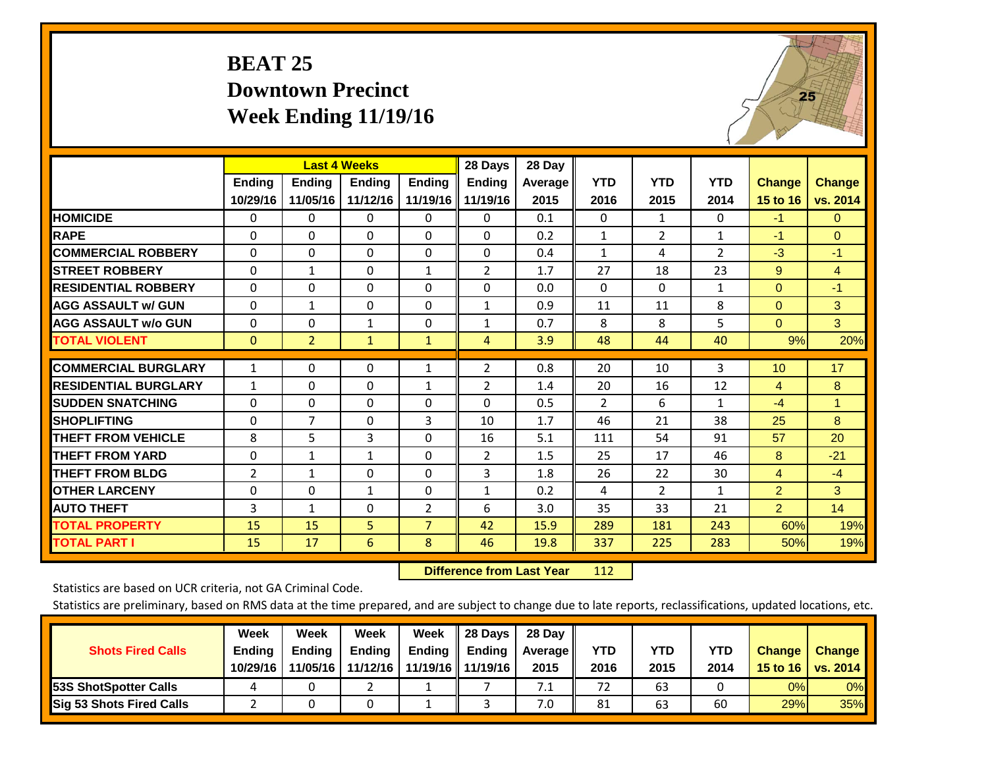# **BEAT 25 Downtown Precinct Week Ending 11/19/16**



|                             |               | <b>Last 4 Weeks</b> |               |                | 28 Days        | 28 Day  |              |                |                |                |                |
|-----------------------------|---------------|---------------------|---------------|----------------|----------------|---------|--------------|----------------|----------------|----------------|----------------|
|                             | <b>Ending</b> | Ending              | <b>Ending</b> | <b>Endina</b>  | <b>Ending</b>  | Average | <b>YTD</b>   | <b>YTD</b>     | <b>YTD</b>     | <b>Change</b>  | <b>Change</b>  |
|                             | 10/29/16      | 11/05/16            | 11/12/16      | 11/19/16       | 11/19/16       | 2015    | 2016         | 2015           | 2014           | 15 to 16       | vs. 2014       |
| <b>HOMICIDE</b>             | 0             | 0                   | 0             | 0              | $\Omega$       | 0.1     | $\Omega$     | $\mathbf{1}$   | 0              | $-1$           | $\mathbf{0}$   |
| <b>RAPE</b>                 | $\Omega$      | 0                   | $\Omega$      | 0              | 0              | 0.2     | 1            | $\overline{2}$ | $\mathbf{1}$   | -1             | $\Omega$       |
| <b>COMMERCIAL ROBBERY</b>   | $\Omega$      | $\Omega$            | $\mathbf{0}$  | $\Omega$       | $\Omega$       | 0.4     | 1            | 4              | $\overline{2}$ | $-3$           | $-1$           |
| <b>STREET ROBBERY</b>       | $\Omega$      | $\mathbf{1}$        | $\Omega$      | $\mathbf{1}$   | $\overline{2}$ | 1.7     | 27           | 18             | 23             | 9              | $\overline{4}$ |
| <b>RESIDENTIAL ROBBERY</b>  | $\Omega$      | $\Omega$            | $\Omega$      | $\Omega$       | $\Omega$       | 0.0     | $\mathbf{0}$ | $\Omega$       | $\mathbf{1}$   | $\mathbf{0}$   | $-1$           |
| <b>AGG ASSAULT w/ GUN</b>   | $\Omega$      | 1                   | $\Omega$      | $\Omega$       | $\mathbf{1}$   | 0.9     | 11           | 11             | 8              | $\mathbf{0}$   | 3              |
| <b>AGG ASSAULT w/o GUN</b>  | 0             | $\Omega$            | 1             | 0              | $\mathbf{1}$   | 0.7     | 8            | 8              | 5              | $\mathbf{0}$   | 3              |
| <b>TOTAL VIOLENT</b>        | $\mathbf{0}$  | $\overline{2}$      | $\mathbf{1}$  | $\mathbf{1}$   | 4              | 3.9     | 48           | 44             | 40             | 9%             | 20%            |
|                             |               |                     |               |                |                |         |              |                |                |                |                |
| <b>COMMERCIAL BURGLARY</b>  | $\mathbf{1}$  | $\Omega$            | $\mathbf{0}$  | $\mathbf{1}$   | 2              | 0.8     | 20           | 10             | 3              | 10             | 17             |
| <b>RESIDENTIAL BURGLARY</b> | $\mathbf{1}$  | 0                   | $\Omega$      | 1              | 2              | 1.4     | 20           | 16             | 12             | 4              | 8              |
| <b>SUDDEN SNATCHING</b>     | $\Omega$      | 0                   | $\Omega$      | 0              | 0              | 0.5     | 2            | 6              | 1              | $-4$           | $\mathbf{1}$   |
| <b>SHOPLIFTING</b>          | $\Omega$      | $\overline{7}$      | $\Omega$      | 3              | 10             | 1.7     | 46           | 21             | 38             | 25             | 8              |
| <b>THEFT FROM VEHICLE</b>   | 8             | 5                   | 3             | 0              | 16             | 5.1     | 111          | 54             | 91             | 57             | 20             |
| <b>THEFT FROM YARD</b>      | $\Omega$      | 1                   | 1             | $\Omega$       | $\overline{2}$ | 1.5     | 25           | 17             | 46             | 8              | $-21$          |
| <b>THEFT FROM BLDG</b>      | 2             | 1                   | $\Omega$      | 0              | 3              | 1.8     | 26           | 22             | 30             | 4              | $-4$           |
| <b>OTHER LARCENY</b>        | $\Omega$      | $\Omega$            | 1             | 0              | $\mathbf{1}$   | 0.2     | 4            | $\overline{2}$ | 1              | $\overline{2}$ | 3              |
| <b>AUTO THEFT</b>           | 3             | $\mathbf{1}$        | $\Omega$      | $\overline{2}$ | 6              | 3.0     | 35           | 33             | 21             | $\overline{2}$ | 14             |
| <b>TOTAL PROPERTY</b>       | 15            | 15                  | 5             | $\overline{7}$ | 42             | 15.9    | 289          | 181            | 243            | 60%            | 19%            |
| <b>TOTAL PART I</b>         | 15            | 17                  | 6             | 8              | 46             | 19.8    | 337          | 225            | 283            | 50%            | 19%            |

 **Difference from Last Year**r 112

Statistics are based on UCR criteria, not GA Criminal Code.

| <b>Shots Fired Calls</b>        | Week<br><b>Ending</b><br>10/29/16 | Week<br><b>Endina</b><br>11/05/16 | Week<br>Ending<br>11/12/16 | Week<br>Ending | 28 Days<br><b>Ending</b><br>11/19/16   11/19/16 | 28 Day<br>Average II<br>2015 | YTD<br>2016 | YTD<br>2015 | YTD<br>2014 | <b>Change</b><br>15 to $16$ | <b>Change</b><br>vs. 2014 |
|---------------------------------|-----------------------------------|-----------------------------------|----------------------------|----------------|-------------------------------------------------|------------------------------|-------------|-------------|-------------|-----------------------------|---------------------------|
| <b>153S ShotSpotter Calls</b>   |                                   |                                   |                            |                |                                                 | 7.1                          | 72          | 63          |             | 0%                          | 0%                        |
| <b>Sig 53 Shots Fired Calls</b> |                                   |                                   |                            |                |                                                 | 7.0                          | 81          | 63          | 60          | 29%                         | 35%                       |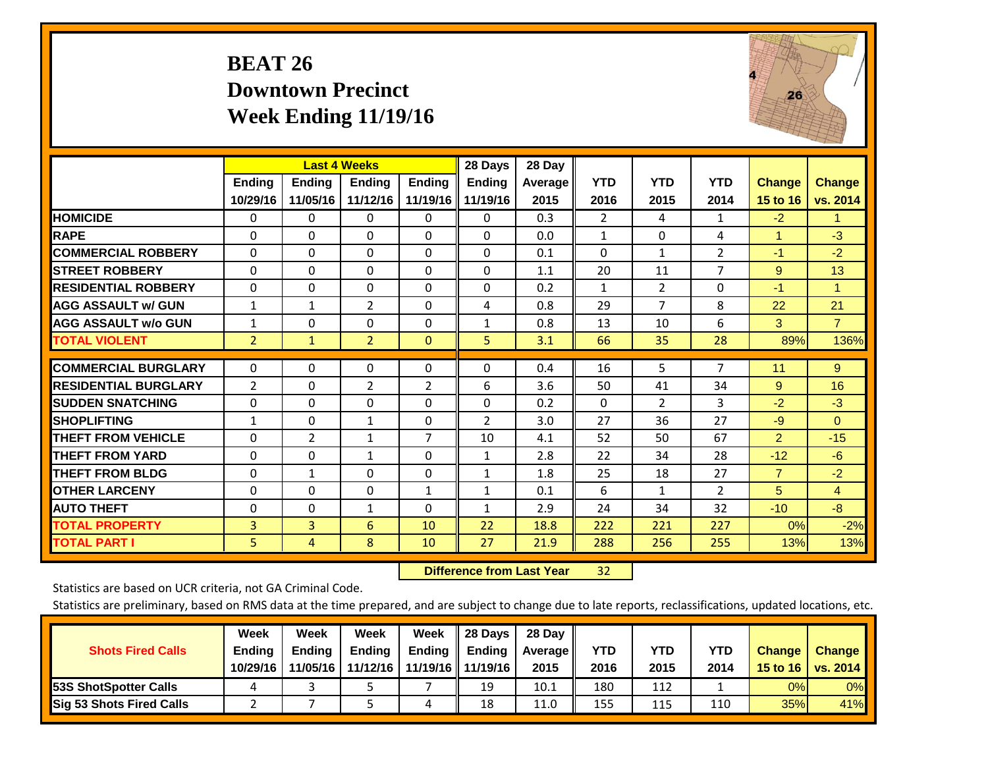## **BEAT 26 Downtown Precinct Week Ending 11/19/16**



|                             |                | <b>Last 4 Weeks</b> |                |                | 28 Days        | 28 Day    |                |                |                |                |                |
|-----------------------------|----------------|---------------------|----------------|----------------|----------------|-----------|----------------|----------------|----------------|----------------|----------------|
|                             | <b>Ending</b>  | <b>Ending</b>       | <b>Endina</b>  | <b>Ending</b>  | <b>Endina</b>  | Average I | <b>YTD</b>     | <b>YTD</b>     | <b>YTD</b>     | <b>Change</b>  | <b>Change</b>  |
|                             | 10/29/16       | 11/05/16            | 11/12/16       | 11/19/16       | 11/19/16       | 2015      | 2016           | 2015           | 2014           | 15 to 16       | vs. 2014       |
| <b>HOMICIDE</b>             | 0              | 0                   | $\Omega$       | $\Omega$       | 0              | 0.3       | $\overline{2}$ | 4              | 1              | $-2$           | -1             |
| <b>RAPE</b>                 | $\Omega$       | $\Omega$            | $\Omega$       | $\Omega$       | $\Omega$       | 0.0       | $\mathbf{1}$   | $\Omega$       | 4              | 1              | $-3$           |
| <b>COMMERCIAL ROBBERY</b>   | $\Omega$       | 0                   | $\Omega$       | $\Omega$       | $\Omega$       | 0.1       | $\Omega$       | $\mathbf{1}$   | 2              | $-1$           | $-2$           |
| <b>ISTREET ROBBERY</b>      | $\Omega$       | $\Omega$            | $\Omega$       | $\Omega$       | $\Omega$       | 1.1       | 20             | 11             | 7              | 9              | 13             |
| <b>RESIDENTIAL ROBBERY</b>  | 0              | $\Omega$            | $\mathbf{0}$   | $\mathbf{0}$   | $\Omega$       | 0.2       | $\mathbf{1}$   | $\overline{2}$ | 0              | -1             | 1              |
| <b>AGG ASSAULT w/ GUN</b>   | $\mathbf{1}$   | 1                   | $\overline{2}$ | $\mathbf{0}$   | 4              | 0.8       | 29             | 7              | 8              | 22             | 21             |
| <b>AGG ASSAULT w/o GUN</b>  | 1              | 0                   | $\Omega$       | $\Omega$       | $\mathbf{1}$   | 0.8       | 13             | 10             | 6              | 3              | $\overline{7}$ |
| <b>TOTAL VIOLENT</b>        | $\overline{2}$ | $\mathbf{1}$        | $\overline{2}$ | $\mathbf{0}$   | 5              | 3.1       | 66             | 35             | 28             | 89%            | 136%           |
| <b>COMMERCIAL BURGLARY</b>  | $\Omega$       |                     |                |                | $\Omega$       | 0.4       |                | 5              | 7              | 11             |                |
|                             |                | 0                   | $\mathbf 0$    | 0              |                |           | 16             |                |                |                | 9              |
| <b>RESIDENTIAL BURGLARY</b> | 2              | 0                   | 2              | 2              | 6              | 3.6       | 50             | 41             | 34             | 9              | 16             |
| <b>ISUDDEN SNATCHING</b>    | 0              | 0                   | $\Omega$       | $\mathbf{0}$   | $\Omega$       | 0.2       | $\Omega$       | 2              | 3              | $-2$           | $-3$           |
| <b>SHOPLIFTING</b>          | 1              | 0                   | $\mathbf{1}$   | $\Omega$       | $\overline{2}$ | 3.0       | 27             | 36             | 27             | $-9$           | $\Omega$       |
| <b>THEFT FROM VEHICLE</b>   | $\Omega$       | $\overline{2}$      | $\mathbf{1}$   | $\overline{7}$ | 10             | 4.1       | 52             | 50             | 67             | 2              | $-15$          |
| <b>THEFT FROM YARD</b>      | $\Omega$       | $\Omega$            | $\mathbf{1}$   | $\Omega$       | $\mathbf{1}$   | 2.8       | 22             | 34             | 28             | $-12$          | $-6$           |
| <b>THEFT FROM BLDG</b>      | 0              | $\mathbf{1}$        | $\mathbf{0}$   | $\mathbf{0}$   | $\mathbf{1}$   | 1.8       | 25             | 18             | 27             | $\overline{7}$ | $-2$           |
| <b>OTHER LARCENY</b>        | $\Omega$       | $\Omega$            | $\Omega$       | 1              | $\mathbf{1}$   | 0.1       | 6              | $\mathbf{1}$   | $\overline{2}$ | 5              | 4              |
| <b>AUTO THEFT</b>           | $\Omega$       | $\Omega$            | $\mathbf{1}$   | $\Omega$       | $\mathbf{1}$   | 2.9       | 24             | 34             | 32             | $-10$          | $-8$           |
| <b>TOTAL PROPERTY</b>       | 3              | 3                   | 6              | 10             | 22             | 18.8      | 222            | 221            | 227            | 0%             | $-2%$          |
| <b>TOTAL PART I</b>         | 5              | 4                   | 8              | 10             | 27             | 21.9      | 288            | 256            | 255            | 13%            | 13%            |

 **Difference from Last Year**32

Statistics are based on UCR criteria, not GA Criminal Code.

| <b>Shots Fired Calls</b>        | Week<br><b>Ending</b><br>10/29/16 | Week<br><b>Endina</b><br>11/05/16 | Week<br>Ending<br>11/12/16 | Week<br>Ending | 28 Days<br><b>Ending</b><br>11/19/16   11/19/16 | 28 Day<br>Average II<br>2015 | YTD<br>2016 | YTD<br>2015 | <b>YTD</b><br>2014 | <b>Change</b><br>15 to 16 | <b>Change</b><br><b>VS. 2014</b> |
|---------------------------------|-----------------------------------|-----------------------------------|----------------------------|----------------|-------------------------------------------------|------------------------------|-------------|-------------|--------------------|---------------------------|----------------------------------|
| <b>153S ShotSpotter Calls</b>   |                                   |                                   |                            |                | 19                                              | 10.1                         | 180         | 112         |                    | 0%                        | 0%                               |
| <b>Sig 53 Shots Fired Calls</b> |                                   |                                   |                            | ப              | 18                                              | 11.0                         | 155         | 115         | 110                | 35%                       | 41%                              |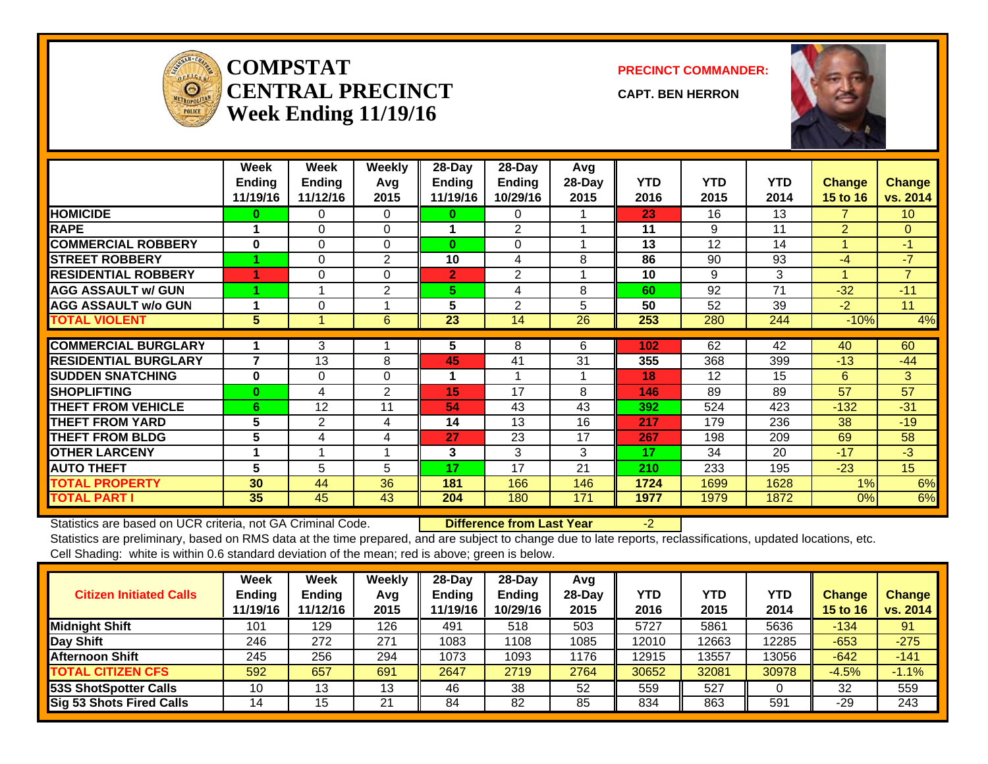

#### **COMPSTATCENTRAL PRECINCTWeek Ending 11/19/16**

**PRECINCT COMMANDER:**

**CAPT. BEN HERRON**



|                             | Week            | Week           | <b>Weekly</b> | 28-Day         | 28-Day         | Avg    |            |            |            |                |                 |
|-----------------------------|-----------------|----------------|---------------|----------------|----------------|--------|------------|------------|------------|----------------|-----------------|
|                             | <b>Ending</b>   | <b>Ending</b>  | Avq           | <b>Ending</b>  | <b>Ending</b>  | 28-Day | <b>YTD</b> | <b>YTD</b> | <b>YTD</b> | <b>Change</b>  | <b>Change</b>   |
|                             | 11/19/16        | 11/12/16       | 2015          | 11/19/16       | 10/29/16       | 2015   | 2016       | 2015       | 2014       | 15 to 16       | vs. 2014        |
| <b>HOMICIDE</b>             | 0               | 0              | $\Omega$      | 0              | 0              |        | 23         | 16         | 13         | 7.             | 10 <sup>°</sup> |
| <b>RAPE</b>                 |                 | $\Omega$       | $\Omega$      |                | $\overline{2}$ |        | 11         | 9          | 11         | $\overline{2}$ | $\Omega$        |
| <b>COMMERCIAL ROBBERY</b>   | $\bf{0}$        | $\Omega$       | $\Omega$      | $\bf{0}$       | $\Omega$       | и      | 13         | 12         | 14         | 1              | $-1$            |
| <b>STREET ROBBERY</b>       |                 | 0              | 2             | 10             | 4              | 8      | 86         | 90         | 93         | $-4$           | $-7$            |
| <b>RESIDENTIAL ROBBERY</b>  |                 | $\Omega$       | 0             | $\overline{2}$ | $\overline{2}$ |        | 10         | 9          | 3          |                | $\overline{7}$  |
| <b>AGG ASSAULT w/ GUN</b>   |                 |                | 2             | 5              | 4              | 8      | 60         | 92         | 71         | $-32$          | $-11$           |
| <b>AGG ASSAULT w/o GUN</b>  |                 | 0              |               | 5              | $\overline{2}$ | 5      | 50         | 52         | 39         | $-2$           | 11              |
| <b>TOTAL VIOLENT</b>        | 5               |                | 6             | 23             | 14             | 26     | 253        | 280        | 244        | $-10%$         | 4%              |
|                             |                 |                |               |                |                |        |            |            |            |                |                 |
| <b>COMMERCIAL BURGLARY</b>  |                 | 3              |               | 5              | 8              | 6      | 102        | 62         | 42         | 40             | 60              |
| <b>RESIDENTIAL BURGLARY</b> | 7               | 13             | 8             | 45             | 41             | 31     | 355        | 368        | 399        | $-13$          | $-44$           |
| <b>SUDDEN SNATCHING</b>     | $\bf{0}$        | $\Omega$       | $\Omega$      | 1              |                | 1      | 18         | 12         | 15         | 6              | 3               |
| <b>SHOPLIFTING</b>          | $\bf{0}$        | 4              | 2             | 15             | 17             | 8      | 146        | 89         | 89         | 57             | 57              |
| <b>THEFT FROM VEHICLE</b>   | 6               | 12             | 11            | 54             | 43             | 43     | 392        | 524        | 423        | $-132$         | $-31$           |
| <b>THEFT FROM YARD</b>      | 5               | $\overline{2}$ | 4             | 14             | 13             | 16     | 217        | 179        | 236        | 38             | $-19$           |
| <b>THEFT FROM BLDG</b>      | 5               | 4              | 4             | 27             | 23             | 17     | 267        | 198        | 209        | 69             | 58              |
| <b>OTHER LARCENY</b>        |                 |                |               | 3              | 3              | 3      | 17         | 34         | 20         | $-17$          | $-3$            |
| <b>AUTO THEFT</b>           | 5               | 5              | 5             | 17             | 17             | 21     | 210        | 233        | 195        | $-23$          | 15 <sub>1</sub> |
| <b>TOTAL PROPERTY</b>       | 30 <sup>°</sup> | 44             | 36            | 181            | 166            | 146    | 1724       | 1699       | 1628       | 1%             | 6%              |
| <b>TOTAL PART I</b>         | 35              | 45             | 43            | 204            | 180            | 171    | 1977       | 1979       | 1872       | 0%             | 6%              |

Statistics are based on UCR criteria, not GA Criminal Code. **Difference from Last Year** -2

| <b>Citizen Initiated Calls</b> | Week<br><b>Ending</b><br>11/19/16 | <b>Week</b><br><b>Ending</b><br>11/12/16 | Weekly<br>Avq<br>2015 | $28$ -Day<br><b>Ending</b><br>11/19/16 | 28-Dav<br><b>Ending</b><br>10/29/16 | Avg<br>$28-Dav$<br>2015 | YTD<br>2016 | <b>YTD</b><br>2015 | YTD<br>2014 | Change<br><b>15 to 16</b> | <b>Change</b><br>vs. 2014 |
|--------------------------------|-----------------------------------|------------------------------------------|-----------------------|----------------------------------------|-------------------------------------|-------------------------|-------------|--------------------|-------------|---------------------------|---------------------------|
| <b>Midnight Shift</b>          | 101                               | 129                                      | 126                   | 491                                    | 518                                 | 503                     | 5727        | 5861               | 5636        | $-134$                    | 91                        |
| Day Shift                      | 246                               | 272                                      | 271                   | 1083                                   | 1108                                | 1085                    | 12010       | 12663              | 12285       | $-653$                    | $-275$                    |
| <b>Afternoon Shift</b>         | 245                               | 256                                      | 294                   | 1073                                   | 1093                                | 1176                    | 12915       | 13557              | 13056       | $-642$                    | $-141$                    |
| <b>TOTAL CITIZEN CFS</b>       | 592                               | 657                                      | 691                   | 2647                                   | 2719                                | 2764                    | 30652       | 32081              | 30978       | $-4.5%$                   | $-1.1%$                   |
| 53S ShotSpotter Calls          | 10                                | 13                                       | 13                    | 46                                     | 38                                  | 52                      | 559         | 527                |             | 32                        | 559                       |
| Sig 53 Shots Fired Calls       | 14                                | 15                                       | 21                    | 84                                     | 82                                  | 85                      | 834         | 863                | 591         | -29                       | 243                       |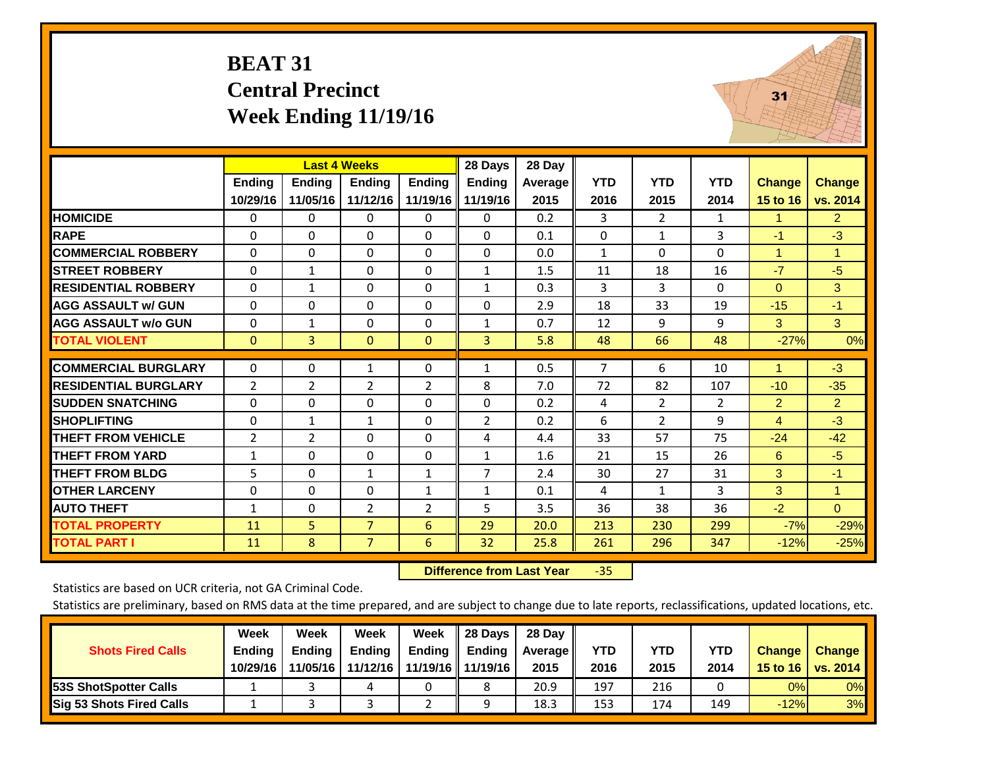#### **BEAT 31 Central Precinct Week Ending 11/19/16**



|                             |                |                | <b>Last 4 Weeks</b> |                | 28 Days        | 28 Day  |              |                |                |                |                |
|-----------------------------|----------------|----------------|---------------------|----------------|----------------|---------|--------------|----------------|----------------|----------------|----------------|
|                             | Ending         | <b>Endina</b>  | <b>Endina</b>       | Ending         | <b>Ending</b>  | Average | <b>YTD</b>   | <b>YTD</b>     | <b>YTD</b>     | Change         | <b>Change</b>  |
|                             | 10/29/16       | 11/05/16       | 11/12/16            | 11/19/16       | 11/19/16       | 2015    | 2016         | 2015           | 2014           | 15 to 16       | vs. 2014       |
| <b>HOMICIDE</b>             | 0              | 0              | 0                   | $\Omega$       | 0              | 0.2     | 3            | $\overline{2}$ | 1              | 1              | $\overline{2}$ |
| <b>RAPE</b>                 | 0              | $\Omega$       | $\Omega$            | $\Omega$       | $\Omega$       | 0.1     | $\Omega$     | 1              | 3              | $-1$           | $-3$           |
| <b>COMMERCIAL ROBBERY</b>   | $\Omega$       | 0              | 0                   | $\mathbf{0}$   | $\Omega$       | 0.0     | $\mathbf{1}$ | $\Omega$       | $\Omega$       | 1              | $\overline{1}$ |
| <b>STREET ROBBERY</b>       | $\Omega$       | $\mathbf{1}$   | $\Omega$            | $\mathbf{0}$   | $\mathbf{1}$   | 1.5     | 11           | 18             | 16             | $-7$           | $-5$           |
| <b>RESIDENTIAL ROBBERY</b>  | $\mathbf 0$    | 1              | 0                   | $\mathbf{0}$   | $\mathbf{1}$   | 0.3     | 3            | 3              | $\Omega$       | $\Omega$       | 3              |
| <b>AGG ASSAULT w/ GUN</b>   | $\Omega$       | $\Omega$       | 0                   | $\mathbf{0}$   | $\Omega$       | 2.9     | 18           | 33             | 19             | $-15$          | $-1$           |
| <b>AGG ASSAULT w/o GUN</b>  | $\mathbf 0$    | 1              | $\Omega$            | $\Omega$       | $\mathbf{1}$   | 0.7     | 12           | 9              | 9              | 3              | 3 <sup>°</sup> |
| <b>TOTAL VIOLENT</b>        | $\mathbf{0}$   | 3              | $\mathbf{0}$        | $\mathbf{0}$   | 3              | 5.8     | 48           | 66             | 48             | $-27%$         | 0%             |
|                             |                |                |                     |                |                |         |              |                |                |                |                |
| <b>COMMERCIAL BURGLARY</b>  | 0              | 0              | 1                   | $\mathbf 0$    | $\mathbf{1}$   | 0.5     | 7            | 6              | 10             | 1              | $-3$           |
| <b>RESIDENTIAL BURGLARY</b> | $\overline{2}$ | $\overline{2}$ | $\overline{2}$      | $\overline{2}$ | 8              | 7.0     | 72           | 82             | 107            | $-10$          | $-35$          |
| <b>SUDDEN SNATCHING</b>     | $\Omega$       | $\Omega$       | $\Omega$            | $\Omega$       | $\Omega$       | 0.2     | 4            | $\overline{2}$ | $\overline{2}$ | $\overline{2}$ | $\overline{2}$ |
| <b>SHOPLIFTING</b>          | $\Omega$       | $\mathbf{1}$   | $\mathbf{1}$        | $\Omega$       | $\overline{2}$ | 0.2     | 6            | $\overline{2}$ | 9              | $\overline{4}$ | $-3$           |
| <b>THEFT FROM VEHICLE</b>   | $\overline{2}$ | $\overline{2}$ | 0                   | $\mathbf{0}$   | 4              | 4.4     | 33           | 57             | 75             | $-24$          | $-42$          |
| <b>THEFT FROM YARD</b>      | $\mathbf{1}$   | $\Omega$       | 0                   | $\mathbf{0}$   | $\mathbf{1}$   | 1.6     | 21           | 15             | 26             | 6              | $-5$           |
| <b>THEFT FROM BLDG</b>      | 5              | 0              | $\mathbf{1}$        | $\mathbf{1}$   | 7              | 2.4     | 30           | 27             | 31             | 3              | $-1$           |
| <b>OTHER LARCENY</b>        | 0              | $\Omega$       | 0                   | $\mathbf{1}$   | $\mathbf{1}$   | 0.1     | 4            | $\mathbf{1}$   | 3              | 3              | $\overline{1}$ |
| <b>AUTO THEFT</b>           | $\mathbf{1}$   | $\Omega$       | $\overline{2}$      | 2              | 5              | 3.5     | 36           | 38             | 36             | $-2$           | $\Omega$       |
| <b>TOTAL PROPERTY</b>       | 11             | 5              | $\overline{7}$      | 6              | 29             | 20.0    | 213          | 230            | 299            | $-7%$          | $-29%$         |
| <b>TOTAL PART I</b>         | 11             | 8              | $\overline{7}$      | 6              | 32             | 25.8    | 261          | 296            | 347            | $-12%$         | $-25%$         |

 **Difference from Last Year**‐35

Statistics are based on UCR criteria, not GA Criminal Code.

|                                 | Week          | Week          | <b>Week</b>   | Week                | 28 Days       | 28 Dav     |            |      |            |               |                                    |
|---------------------------------|---------------|---------------|---------------|---------------------|---------------|------------|------------|------|------------|---------------|------------------------------------|
| <b>Shots Fired Calls</b>        | <b>Ending</b> | <b>Endina</b> | <b>Ending</b> | <b>Ending</b>       | <b>Ending</b> | Average II | <b>YTD</b> | YTD  | <b>YTD</b> | <b>Change</b> | <b>Change</b>                      |
|                                 | 10/29/16      | 11/05/16      | 11/12/16      | 11/19/16   11/19/16 |               | 2015       | 2016       | 2015 | 2014       |               | 15 to 16   vs. 2014 $\blacksquare$ |
| <b>153S ShotSpotter Calls</b>   |               |               |               |                     |               | 20.9       | 197        | 216  |            | 0%            | 0%                                 |
| <b>Sig 53 Shots Fired Calls</b> |               |               |               |                     |               | 18.3       | 153        | 174  | 149        | $-12%$        | 3%                                 |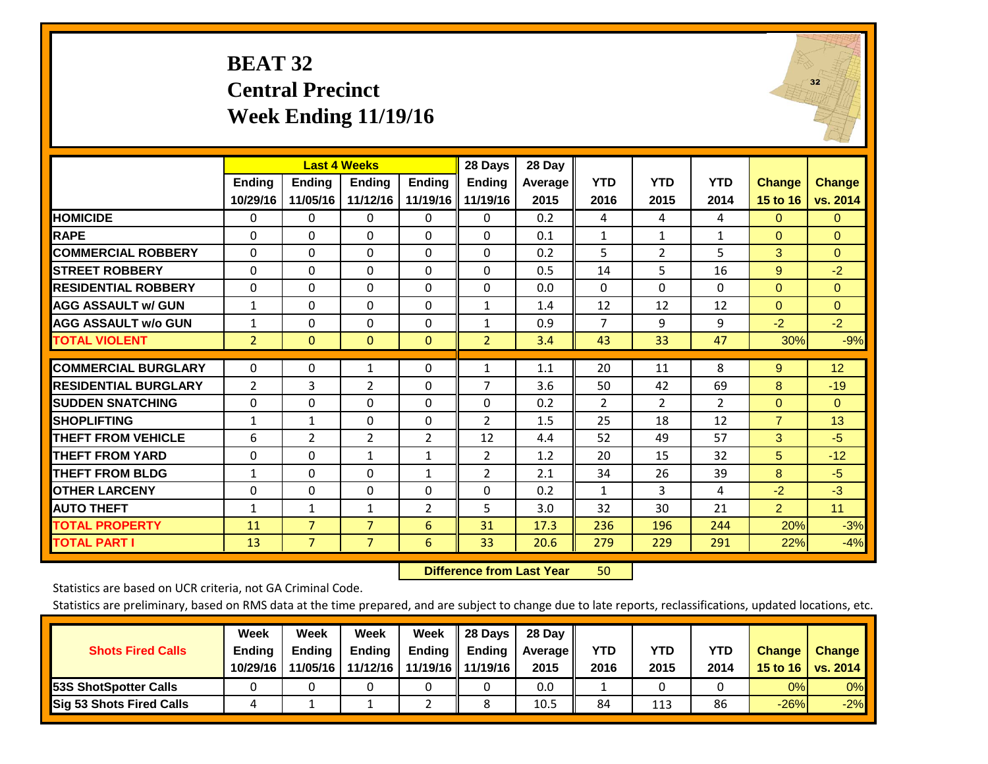#### **BEAT 32 Central Precinct Week Ending 11/19/16**



|                             |                |                | <b>Last 4 Weeks</b> |                | 28 Days        | 28 Day  |                |                |                |                |               |
|-----------------------------|----------------|----------------|---------------------|----------------|----------------|---------|----------------|----------------|----------------|----------------|---------------|
|                             | <b>Ending</b>  | <b>Ending</b>  | Ending              | <b>Ending</b>  | <b>Ending</b>  | Average | <b>YTD</b>     | <b>YTD</b>     | <b>YTD</b>     | <b>Change</b>  | <b>Change</b> |
|                             | 10/29/16       | 11/05/16       | 11/12/16            | 11/19/16       | 11/19/16       | 2015    | 2016           | 2015           | 2014           | 15 to 16       | vs. 2014      |
| <b>HOMICIDE</b>             | 0              | 0              | $\Omega$            | $\Omega$       | $\Omega$       | 0.2     | 4              | 4              | 4              | $\Omega$       | $\Omega$      |
| <b>RAPE</b>                 | $\Omega$       | $\Omega$       | $\Omega$            | $\Omega$       | $\Omega$       | 0.1     | $\mathbf{1}$   | $\mathbf{1}$   | $\mathbf{1}$   | $\Omega$       | $\mathbf{0}$  |
| <b>COMMERCIAL ROBBERY</b>   | $\Omega$       | $\Omega$       | $\Omega$            | $\mathbf{0}$   | $\Omega$       | 0.2     | 5              | $\overline{2}$ | 5              | 3              | $\Omega$      |
| <b>STREET ROBBERY</b>       | $\Omega$       | $\Omega$       | 0                   | $\mathbf{0}$   | $\Omega$       | 0.5     | 14             | 5              | 16             | 9              | $-2$          |
| <b>RESIDENTIAL ROBBERY</b>  | $\Omega$       | $\Omega$       | 0                   | $\mathbf{0}$   | 0              | 0.0     | $\Omega$       | $\Omega$       | $\Omega$       | $\Omega$       | $\mathbf{0}$  |
| <b>AGG ASSAULT w/ GUN</b>   | 1              | $\Omega$       | 0                   | $\mathbf{0}$   | $\mathbf{1}$   | 1.4     | 12             | 12             | 12             | $\Omega$       | $\Omega$      |
| <b>AGG ASSAULT w/o GUN</b>  | $\mathbf{1}$   | $\Omega$       | $\Omega$            | $\mathbf 0$    | $\mathbf{1}$   | 0.9     | $\overline{7}$ | 9              | 9              | $-2$           | $-2$          |
| <b>TOTAL VIOLENT</b>        | $\overline{2}$ | $\mathbf{0}$   | $\mathbf{0}$        | $\mathbf{0}$   | $\overline{2}$ | 3.4     | 43             | 33             | 47             | 30%            | $-9%$         |
|                             |                |                |                     |                |                |         |                |                |                |                |               |
| <b>COMMERCIAL BURGLARY</b>  | $\Omega$       | 0              | $\mathbf{1}$        | $\mathbf{0}$   | $\mathbf{1}$   | 1.1     | 20             | 11             | 8              | 9              | 12            |
| <b>RESIDENTIAL BURGLARY</b> | $\overline{2}$ | 3              | $\overline{2}$      | $\Omega$       | 7              | 3.6     | 50             | 42             | 69             | 8              | $-19$         |
| <b>SUDDEN SNATCHING</b>     | 0              | $\Omega$       | 0                   | $\mathbf{0}$   | $\Omega$       | 0.2     | 2              | $\overline{2}$ | $\overline{2}$ | $\Omega$       | $\Omega$      |
| <b>SHOPLIFTING</b>          | $\mathbf{1}$   | 1              | $\Omega$            | $\mathbf{0}$   | $\overline{2}$ | 1.5     | 25             | 18             | 12             | $\overline{7}$ | 13            |
| <b>THEFT FROM VEHICLE</b>   | 6              | $\overline{2}$ | $\overline{2}$      | $\overline{2}$ | 12             | 4.4     | 52             | 49             | 57             | 3              | $-5$          |
| <b>THEFT FROM YARD</b>      | $\Omega$       | $\Omega$       | $\mathbf{1}$        | $\mathbf{1}$   | 2              | 1.2     | 20             | 15             | 32             | 5              | $-12$         |
| <b>THEFT FROM BLDG</b>      | 1              | $\Omega$       | 0                   | $\mathbf{1}$   | $\overline{2}$ | 2.1     | 34             | 26             | 39             | 8              | $-5$          |
| <b>OTHER LARCENY</b>        | $\Omega$       | 0              | $\Omega$            | $\Omega$       | $\Omega$       | 0.2     | $\mathbf{1}$   | 3              | 4              | $-2$           | $-3$          |
| <b>AUTO THEFT</b>           | $\mathbf{1}$   | 1              | $\mathbf{1}$        | $\overline{2}$ | 5              | 3.0     | 32             | 30             | 21             | $\overline{2}$ | 11            |
| <b>TOTAL PROPERTY</b>       | 11             | $\overline{7}$ | $\overline{7}$      | 6              | 31             | 17.3    | 236            | 196            | 244            | 20%            | $-3%$         |
| <b>TOTAL PART I</b>         | 13             | $\overline{7}$ | $\overline{7}$      | 6              | 33             | 20.6    | 279            | 229            | 291            | 22%            | $-4%$         |

 **Difference from Last Year**r 50

Statistics are based on UCR criteria, not GA Criminal Code.

|                                 | Week          | Week          | Week          | Week                | II 28 Davs            | 28 Day         |      |      |      |               |               |
|---------------------------------|---------------|---------------|---------------|---------------------|-----------------------|----------------|------|------|------|---------------|---------------|
| <b>Shots Fired Calls</b>        | <b>Ending</b> | <b>Endina</b> | <b>Ending</b> | <b>Ending</b>       | $\blacksquare$ Ending | <b>Average</b> | YTD  | YTD  | YTD  | <b>Change</b> | <b>Change</b> |
|                                 | 10/29/16      | 11/05/16      | 11/12/16      | 11/19/16   11/19/16 |                       | 2015           | 2016 | 2015 | 2014 | 15 to 16      | vs. 2014      |
| <b>153S ShotSpotter Calls</b>   |               |               |               |                     |                       | 0.0            |      |      |      | 0%            | $0\%$         |
| <b>Sig 53 Shots Fired Calls</b> | 4             |               |               |                     |                       | 10.5           | 84   | 113  | 86   | $-26%$        | $-2%$         |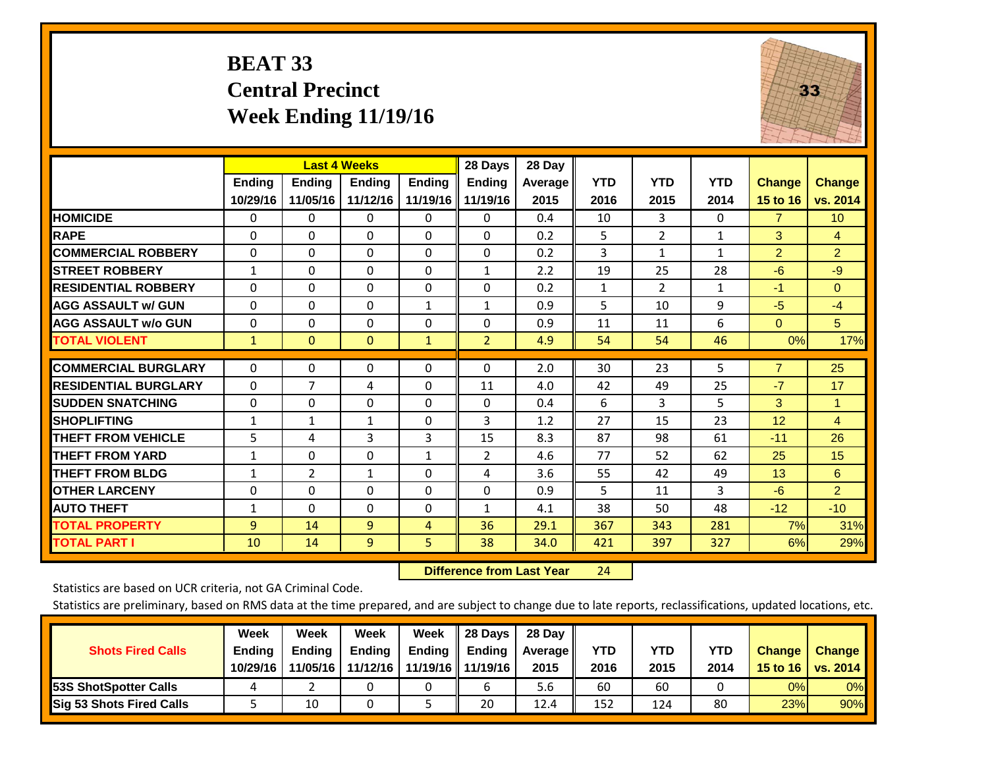### **BEAT 33 Central Precinct Week Ending 11/19/16**



|                             |               | <b>Last 4 Weeks</b> |               |               | 28 Days        | 28 Day  |              |                |              |                |                 |
|-----------------------------|---------------|---------------------|---------------|---------------|----------------|---------|--------------|----------------|--------------|----------------|-----------------|
|                             | <b>Ending</b> | <b>Ending</b>       | <b>Ending</b> | <b>Endina</b> | <b>Ending</b>  | Average | <b>YTD</b>   | <b>YTD</b>     | <b>YTD</b>   | <b>Change</b>  | <b>Change</b>   |
|                             | 10/29/16      | 11/05/16            | 11/12/16      | 11/19/16      | 11/19/16       | 2015    | 2016         | 2015           | 2014         | 15 to 16       | vs. 2014        |
| <b>HOMICIDE</b>             | 0             | 0                   | 0             | 0             | 0              | 0.4     | 10           | 3              | 0            | $\overline{7}$ | 10 <sup>°</sup> |
| <b>RAPE</b>                 | $\Omega$      | $\Omega$            | $\Omega$      | $\mathbf{0}$  | $\Omega$       | 0.2     | 5            | $\overline{2}$ | $\mathbf{1}$ | 3              | 4               |
| <b>COMMERCIAL ROBBERY</b>   | $\Omega$      | $\Omega$            | $\Omega$      | $\Omega$      | $\Omega$       | 0.2     | 3            | $\mathbf{1}$   | $\mathbf{1}$ | $\overline{2}$ | $\overline{2}$  |
| <b>STREET ROBBERY</b>       | $\mathbf{1}$  | $\Omega$            | $\Omega$      | $\mathbf{0}$  | $\mathbf{1}$   | 2.2     | 19           | 25             | 28           | $-6$           | $-9$            |
| <b>RESIDENTIAL ROBBERY</b>  | $\Omega$      | $\Omega$            | $\Omega$      | $\Omega$      | $\Omega$       | 0.2     | $\mathbf{1}$ | $\overline{2}$ | 1            | $-1$           | $\Omega$        |
| <b>AGG ASSAULT w/ GUN</b>   | $\Omega$      | 0                   | $\Omega$      | $\mathbf{1}$  | $\mathbf{1}$   | 0.9     | 5            | 10             | 9            | $-5$           | $-4$            |
| <b>AGG ASSAULT w/o GUN</b>  | $\Omega$      | $\Omega$            | $\Omega$      | $\Omega$      | $\Omega$       | 0.9     | 11           | 11             | 6            | $\Omega$       | 5               |
| <b>TOTAL VIOLENT</b>        | $\mathbf{1}$  | $\Omega$            | $\mathbf{0}$  | $\mathbf{1}$  | $\overline{2}$ | 4.9     | 54           | 54             | 46           | 0%             | 17%             |
|                             |               |                     |               |               |                |         |              |                |              |                |                 |
| <b>COMMERCIAL BURGLARY</b>  | $\Omega$      | 0                   | 0             | 0             | $\Omega$       | 2.0     | 30           | 23             | 5            | $\overline{7}$ | 25              |
| <b>RESIDENTIAL BURGLARY</b> | $\Omega$      | 7                   | 4             | $\mathbf{0}$  | 11             | 4.0     | 42           | 49             | 25           | $-7$           | 17              |
| <b>SUDDEN SNATCHING</b>     | $\Omega$      | 0                   | $\Omega$      | $\mathbf{0}$  | 0              | 0.4     | 6            | 3              | 5            | 3              | 1               |
| <b>SHOPLIFTING</b>          | $\mathbf{1}$  | $\mathbf 1$         | $\mathbf{1}$  | $\mathbf 0$   | 3              | 1.2     | 27           | 15             | 23           | 12             | $\overline{4}$  |
| <b>THEFT FROM VEHICLE</b>   | 5             | 4                   | 3             | 3             | 15             | 8.3     | 87           | 98             | 61           | $-11$          | 26              |
| <b>THEFT FROM YARD</b>      | $\mathbf{1}$  | $\Omega$            | $\Omega$      | $\mathbf{1}$  | $\overline{2}$ | 4.6     | 77           | 52             | 62           | 25             | 15              |
| <b>THEFT FROM BLDG</b>      | $\mathbf{1}$  | $\overline{2}$      | $\mathbf{1}$  | 0             | 4              | 3.6     | 55           | 42             | 49           | 13             | 6               |
| <b>OTHER LARCENY</b>        | 0             | 0                   | $\Omega$      | 0             | $\Omega$       | 0.9     | 5            | 11             | 3            | $-6$           | $\overline{2}$  |
| <b>AUTO THEFT</b>           | $\mathbf{1}$  | $\Omega$            | $\Omega$      | $\Omega$      | $\mathbf{1}$   | 4.1     | 38           | 50             | 48           | $-12$          | $-10$           |
| <b>TOTAL PROPERTY</b>       | 9             | 14                  | 9             | 4             | 36             | 29.1    | 367          | 343            | 281          | 7%             | 31%             |
| <b>TOTAL PART I</b>         | 10            | 14                  | 9             | 5.            | 38             | 34.0    | 421          | 397            | 327          | 6%             | 29%             |

 **Difference from Last Year**r 24

Statistics are based on UCR criteria, not GA Criminal Code.

|                                 | Week          | Week          | Week          | Week          | II 28 Davs          | 28 Day         |      |      |      |               |               |
|---------------------------------|---------------|---------------|---------------|---------------|---------------------|----------------|------|------|------|---------------|---------------|
| <b>Shots Fired Calls</b>        | <b>Ending</b> | <b>Endina</b> | <b>Ending</b> | <b>Ending</b> | Ending              | <b>Average</b> | YTD  | YTD  | YTD  | <b>Change</b> | <b>Change</b> |
|                                 | 10/29/16      | 11/05/16      | 11/12/16      |               | 11/19/16   11/19/16 | 2015           | 2016 | 2015 | 2014 | 15 to 16      | vs. 2014      |
| <b>153S ShotSpotter Calls</b>   |               |               |               |               |                     | 5.6            | 60   | 60   |      | 0%            | $0\%$         |
| <b>Sig 53 Shots Fired Calls</b> |               | 10            |               |               | 20                  | 12.4           | 152  | 124  | 80   | 23%           | 90%           |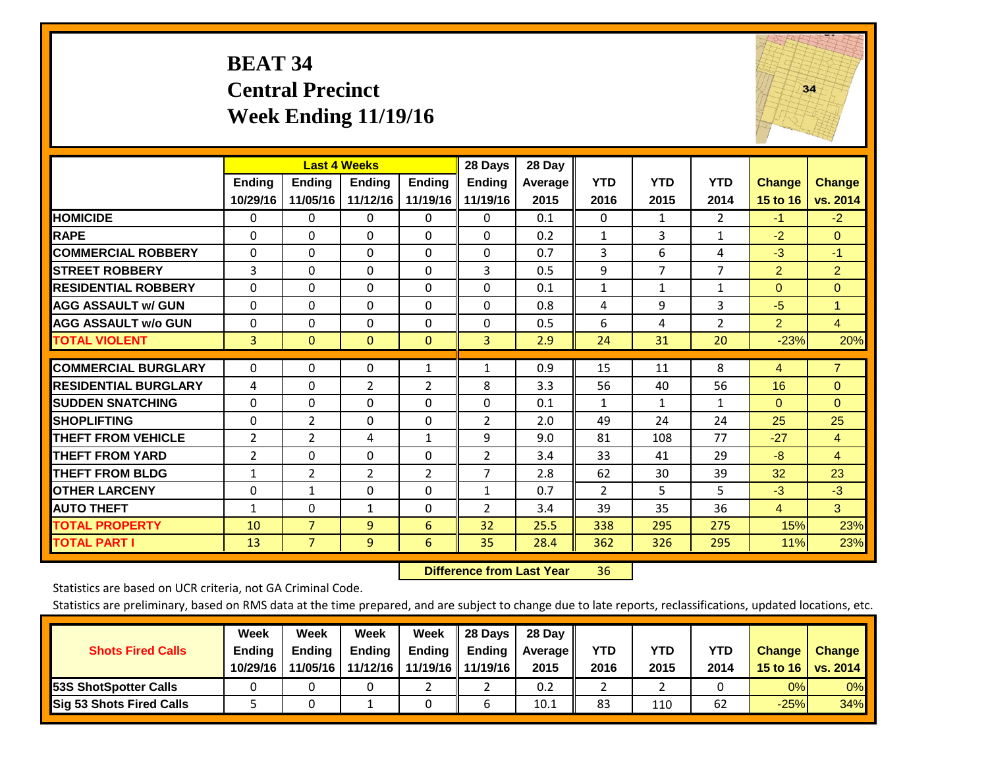#### **BEAT 34 Central Precinct Week Ending 11/19/16**



|                             |                | <b>Last 4 Weeks</b> |                |                | 28 Days        | 28 Day  |              |                |                |                 |                |
|-----------------------------|----------------|---------------------|----------------|----------------|----------------|---------|--------------|----------------|----------------|-----------------|----------------|
|                             | Ending         | <b>Ending</b>       | <b>Endina</b>  | <b>Ending</b>  | <b>Ending</b>  | Average | <b>YTD</b>   | <b>YTD</b>     | <b>YTD</b>     | <b>Change</b>   | <b>Change</b>  |
|                             | 10/29/16       | 11/05/16            | 11/12/16       | 11/19/16 II    | 11/19/16       | 2015    | 2016         | 2015           | 2014           | <b>15 to 16</b> | vs. 2014       |
| <b>HOMICIDE</b>             | $\Omega$       | 0                   | $\Omega$       | 0              | $\Omega$       | 0.1     | 0            | 1              | $\overline{2}$ | $-1$            | $-2$           |
| <b>RAPE</b>                 | 0              | 0                   | $\Omega$       | $\Omega$       | 0              | 0.2     | 1            | 3              | 1              | $-2$            | $\Omega$       |
| <b>COMMERCIAL ROBBERY</b>   | $\Omega$       | $\Omega$            | $\mathbf{0}$   | $\Omega$       | $\Omega$       | 0.7     | 3            | 6              | 4              | $-3$            | $-1$           |
| <b>STREET ROBBERY</b>       | 3              | $\Omega$            | $\Omega$       | 0              | 3              | 0.5     | 9            | $\overline{7}$ | $\overline{7}$ | $\overline{2}$  | $\overline{2}$ |
| <b>RESIDENTIAL ROBBERY</b>  | $\Omega$       | $\Omega$            | $\mathbf{0}$   | $\Omega$       | $\Omega$       | 0.1     | $\mathbf{1}$ | $\mathbf{1}$   | 1              | $\Omega$        | $\Omega$       |
| <b>AGG ASSAULT w/ GUN</b>   | $\Omega$       | $\Omega$            | $\mathbf{0}$   | $\Omega$       | 0              | 0.8     | 4            | 9              | 3              | $-5$            | 1              |
| <b>AGG ASSAULT w/o GUN</b>  | $\Omega$       | $\Omega$            | $\Omega$       | $\Omega$       | 0              | 0.5     | 6            | 4              | $\overline{2}$ | $\overline{2}$  | 4              |
| <b>TOTAL VIOLENT</b>        | 3              | 0                   | $\overline{0}$ | $\mathbf{0}$   | 3              | 2.9     | 24           | 31             | 20             | $-23%$          | 20%            |
| <b>COMMERCIAL BURGLARY</b>  |                |                     |                |                |                |         |              |                |                |                 |                |
|                             | $\Omega$       | $\Omega$            | $\mathbf{0}$   | $\mathbf{1}$   | $\mathbf{1}$   | 0.9     | 15           | 11             | 8              | 4               | $\overline{7}$ |
| <b>RESIDENTIAL BURGLARY</b> | 4              | $\Omega$            | $\overline{2}$ | $\overline{2}$ | 8              | 3.3     | 56           | 40             | 56             | 16              | $\Omega$       |
| <b>SUDDEN SNATCHING</b>     | $\Omega$       | 0                   | $\Omega$       | $\mathbf{0}$   | 0              | 0.1     | $\mathbf{1}$ | 1              | 1              | $\Omega$        | $\Omega$       |
| <b>SHOPLIFTING</b>          | 0              | $\overline{2}$      | $\Omega$       | $\Omega$       | $\overline{2}$ | 2.0     | 49           | 24             | 24             | 25              | 25             |
| <b>THEFT FROM VEHICLE</b>   | $\overline{2}$ | $\overline{2}$      | 4              | $\mathbf{1}$   | 9              | 9.0     | 81           | 108            | 77             | $-27$           | 4              |
| <b>THEFT FROM YARD</b>      | 2              | $\Omega$            | $\Omega$       | $\Omega$       | $\overline{2}$ | 3.4     | 33           | 41             | 29             | $-8$            | $\overline{4}$ |
| <b>THEFT FROM BLDG</b>      | $\mathbf{1}$   | 2                   | 2              | 2              | 7              | 2.8     | 62           | 30             | 39             | 32              | 23             |
| <b>OTHER LARCENY</b>        | $\Omega$       | $\mathbf{1}$        | $\Omega$       | $\Omega$       | $\mathbf{1}$   | 0.7     | 2            | 5.             | 5              | $-3$            | $-3$           |
| <b>AUTO THEFT</b>           | $\mathbf{1}$   | $\Omega$            | $\mathbf{1}$   | $\Omega$       | $\overline{2}$ | 3.4     | 39           | 35             | 36             | 4               | 3              |
| <b>TOTAL PROPERTY</b>       | 10             | $\overline{7}$      | 9              | 6              | 32             | 25.5    | 338          | 295            | 275            | 15%             | 23%            |
| <b>TOTAL PART I</b>         | 13             | $\overline{7}$      | $\overline{9}$ | 6              | 35             | 28.4    | 362          | 326            | 295            | 11%             | 23%            |

 **Difference from Last Year**r 36

Statistics are based on UCR criteria, not GA Criminal Code.

| <b>Shots Fired Calls</b>        | Week<br><b>Ending</b><br>10/29/16 | Week<br><b>Endina</b><br>11/05/16 | Week<br>Ending<br>11/12/16 | Week<br>Ending | 28 Days<br><b>Ending</b><br>11/19/16   11/19/16 | 28 Day<br>Average II<br>2015 | YTD<br>2016 | YTD<br>2015 | <b>YTD</b><br>2014 | <b>Change</b><br>15 to 16 | <b>Change</b><br>vs. 2014 |
|---------------------------------|-----------------------------------|-----------------------------------|----------------------------|----------------|-------------------------------------------------|------------------------------|-------------|-------------|--------------------|---------------------------|---------------------------|
| <b>153S ShotSpotter Calls</b>   |                                   |                                   |                            |                |                                                 | 0.2                          |             |             |                    | 0%                        | 0%                        |
| <b>Sig 53 Shots Fired Calls</b> |                                   |                                   |                            |                |                                                 | 10.1                         | 83          | 110         | 62                 | $-25%$                    | 34%                       |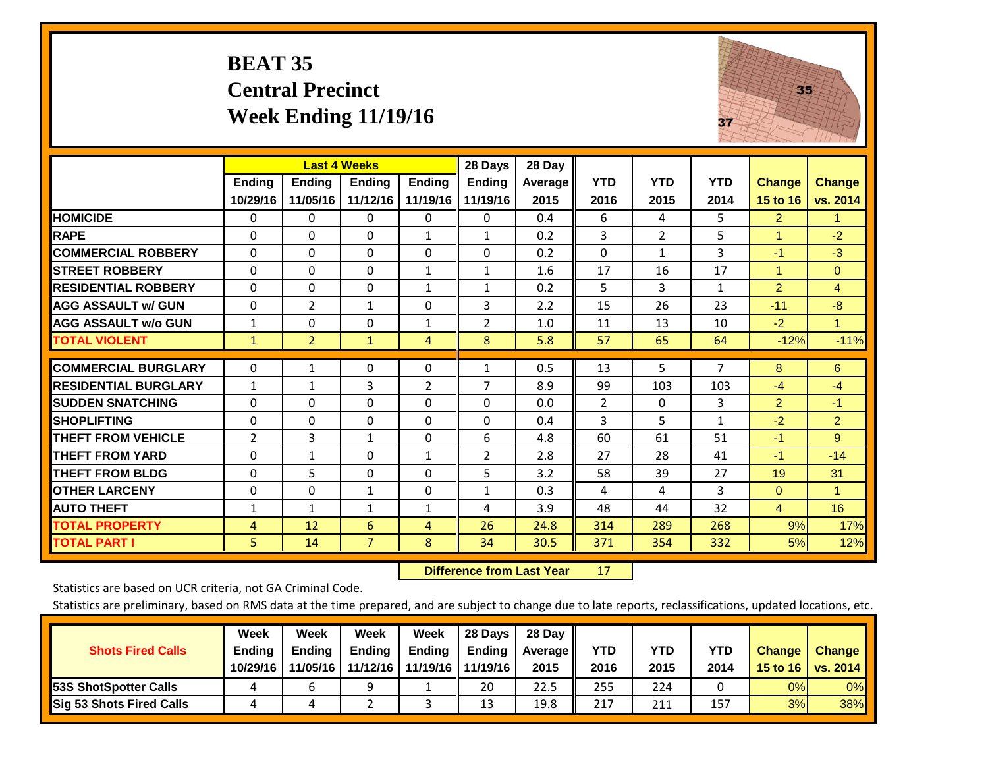#### **BEAT 35 Central Precinct Week Ending 11/19/16**



|                             |               | <b>Last 4 Weeks</b> |                |               | 28 Days       | 28 Day  |            |                |              |                |                      |
|-----------------------------|---------------|---------------------|----------------|---------------|---------------|---------|------------|----------------|--------------|----------------|----------------------|
|                             | <b>Ending</b> | <b>Ending</b>       | <b>Ending</b>  | <b>Endina</b> | <b>Ending</b> | Average | <b>YTD</b> | <b>YTD</b>     | <b>YTD</b>   | <b>Change</b>  | <b>Change</b>        |
|                             | 10/29/16      | 11/05/16            | 11/12/16       | 11/19/16      | 11/19/16      | 2015    | 2016       | 2015           | 2014         | 15 to 16       | vs. 2014             |
| <b>HOMICIDE</b>             | 0             | $\mathbf{0}$        | $\Omega$       | 0             | 0             | 0.4     | 6          | 4              | 5.           | $\overline{2}$ | 1.                   |
| <b>RAPE</b>                 | 0             | 0                   | $\Omega$       | 1             | 1             | 0.2     | 3          | $\overline{2}$ | 5            | 1              | $-2$                 |
| <b>COMMERCIAL ROBBERY</b>   | 0             | 0                   | $\Omega$       | $\Omega$      | 0             | 0.2     | $\Omega$   | 1              | 3            | $-1$           | $-3$                 |
| <b>ISTREET ROBBERY</b>      | 0             | 0                   | $\Omega$       | 1             | $\mathbf{1}$  | 1.6     | 17         | 16             | 17           | 1              | $\overline{0}$       |
| <b>RESIDENTIAL ROBBERY</b>  | $\Omega$      | 0                   | $\mathbf{0}$   | 1             | 1             | 0.2     | 5          | 3              | $\mathbf{1}$ | $\overline{2}$ | $\overline{4}$       |
| <b>AGG ASSAULT w/ GUN</b>   | $\Omega$      | 2                   | 1              | $\mathbf 0$   | 3             | 2.2     | 15         | 26             | 23           | $-11$          | $-8$                 |
| <b>AGG ASSAULT w/o GUN</b>  | 1             | $\Omega$            | $\Omega$       | 1             | 2             | 1.0     | 11         | 13             | 10           | $-2$           | $\blacktriangledown$ |
| <b>TOTAL VIOLENT</b>        | 1             | $\overline{2}$      | $\mathbf{1}$   | 4             | 8             | 5.8     | 57         | 65             | 64           | $-12%$         | $-11%$               |
| <b>COMMERCIAL BURGLARY</b>  | $\mathbf 0$   |                     | 0              | 0             |               | 0.5     | 13         | 5              | 7            | 8              | 6                    |
|                             |               | 1                   |                |               | 1             |         |            |                |              |                |                      |
| <b>RESIDENTIAL BURGLARY</b> | $\mathbf{1}$  | $\mathbf{1}$        | 3              | 2             | 7             | 8.9     | 99         | 103            | 103          | $-4$           | $-4$                 |
| <b>ISUDDEN SNATCHING</b>    | $\Omega$      | 0                   | $\Omega$       | $\mathbf{0}$  | $\Omega$      | 0.0     | 2          | $\Omega$       | 3            | $\overline{2}$ | $-1$                 |
| <b>SHOPLIFTING</b>          | 0             | 0                   | $\Omega$       | $\Omega$      | 0             | 0.4     | 3          | 5              | $\mathbf{1}$ | $-2$           | $\overline{2}$       |
| <b>THEFT FROM VEHICLE</b>   | 2             | 3                   | $\mathbf{1}$   | 0             | 6             | 4.8     | 60         | 61             | 51           | $-1$           | 9                    |
| <b>THEFT FROM YARD</b>      | $\Omega$      | 1                   | $\Omega$       | $\mathbf{1}$  | 2             | 2.8     | 27         | 28             | 41           | $-1$           | $-14$                |
| <b>THEFT FROM BLDG</b>      | $\Omega$      | 5                   | $\Omega$       | $\mathbf{0}$  | 5             | 3.2     | 58         | 39             | 27           | 19             | 31                   |
| <b>OTHER LARCENY</b>        | 0             | 0                   | 1              | 0             | 1             | 0.3     | 4          | 4              | 3            | $\Omega$       | $\blacktriangleleft$ |
| <b>AUTO THEFT</b>           | $\mathbf{1}$  | $\mathbf{1}$        | $\mathbf{1}$   | 1             | 4             | 3.9     | 48         | 44             | 32           | $\overline{4}$ | 16                   |
| <b>TOTAL PROPERTY</b>       | 4             | 12                  | 6              | 4             | 26            | 24.8    | 314        | 289            | 268          | 9%             | 17%                  |
| <b>TOTAL PART I</b>         | 5             | 14                  | $\overline{7}$ | 8             | 34            | 30.5    | 371        | 354            | 332          | 5%             | 12%                  |

 **Difference from Last Year**r 17

Statistics are based on UCR criteria, not GA Criminal Code.

|                                 | Week          | Week          | <b>Week</b> | Week   | 28 Days             | 28 Day     |      |      |            |               |                 |
|---------------------------------|---------------|---------------|-------------|--------|---------------------|------------|------|------|------------|---------------|-----------------|
| <b>Shots Fired Calls</b>        | <b>Ending</b> | <b>Endina</b> | Ending      | Ending | <b>Ending</b>       | Average II | YTD  | YTD  | <b>YTD</b> | <b>Change</b> | <b>Change</b>   |
|                                 | 10/29/16      | 11/05/16      | 11/12/16    |        | 11/19/16   11/19/16 | 2015       | 2016 | 2015 | 2014       | 15 to 16      | <b>vs. 2014</b> |
| 53S ShotSpotter Calls           |               |               | a           |        | 20                  | 22.5       | 255  | 224  |            | 0%            | 0%              |
| <b>Sig 53 Shots Fired Calls</b> |               |               |             |        | 13                  | 19.8       | 217  | 211  | 157        | 3%            | 38%             |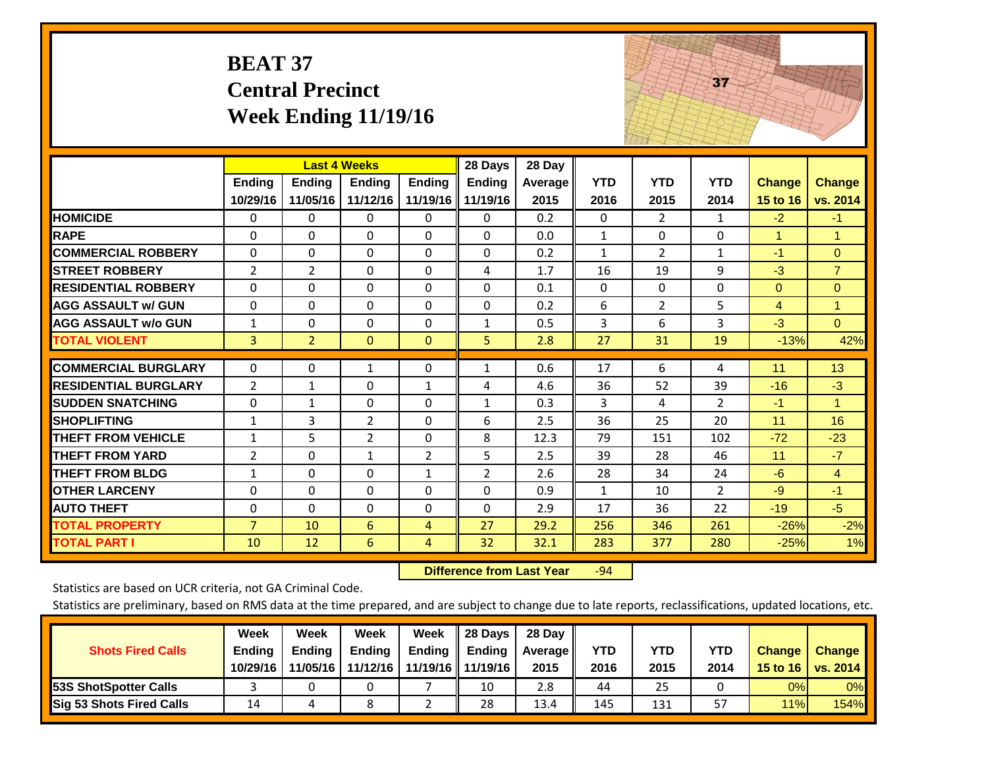|                                                                                                                                                                                                                             | <b>BEAT 37</b>                                                                                        | <b>Central Precinct</b>                                       | <b>Week Ending 11/19/16</b>                                                                                             |                                                                     |                                                                            |                                                                | 37                                                 |                                                      |                                                                        |                                                                        |                           |  |
|-----------------------------------------------------------------------------------------------------------------------------------------------------------------------------------------------------------------------------|-------------------------------------------------------------------------------------------------------|---------------------------------------------------------------|-------------------------------------------------------------------------------------------------------------------------|---------------------------------------------------------------------|----------------------------------------------------------------------------|----------------------------------------------------------------|----------------------------------------------------|------------------------------------------------------|------------------------------------------------------------------------|------------------------------------------------------------------------|---------------------------|--|
|                                                                                                                                                                                                                             | Ending<br>10/29/16                                                                                    | <b>Ending</b><br>11/05/16                                     | <b>Last 4 Weeks</b><br><b>Ending</b><br>11/12/16                                                                        | <b>Ending</b><br>11/19/16                                           | 28 Days<br><b>Ending</b><br>11/19/16                                       | 28 Day<br>Average<br>2015                                      | <b>YTD</b><br>2016                                 | <b>YTD</b><br>2015                                   | <b>YTD</b><br>2014                                                     | <b>Change</b><br>15 to 16                                              | <b>Change</b><br>vs. 2014 |  |
| <b>HOMICIDE</b>                                                                                                                                                                                                             | 0                                                                                                     | 0                                                             | $\mathbf 0$                                                                                                             | 0                                                                   | $\mathbf 0$                                                                | 0.2                                                            | $\mathbf 0$                                        | $\overline{2}$                                       | $\mathbf{1}$                                                           | $-2$                                                                   | $-1$                      |  |
| <b>RAPE</b>                                                                                                                                                                                                                 | 0                                                                                                     | $\Omega$                                                      | $\Omega$                                                                                                                | $\Omega$                                                            | $\Omega$                                                                   | 0.0                                                            | $\mathbf{1}$                                       | $\Omega$                                             | $\Omega$                                                               | $\mathbf{1}$                                                           | $\mathbf{1}$              |  |
| <b>COMMERCIAL ROBBERY</b>                                                                                                                                                                                                   | 0                                                                                                     | $\Omega$                                                      | $\Omega$                                                                                                                | 0                                                                   | $\Omega$                                                                   | 0.2                                                            | $\mathbf{1}$                                       | $\overline{2}$                                       | $\mathbf{1}$                                                           | $-1$                                                                   | $\overline{0}$            |  |
| <b>STREET ROBBERY</b>                                                                                                                                                                                                       | 2                                                                                                     | $\overline{2}$                                                | $\Omega$                                                                                                                | $\Omega$                                                            | 4                                                                          | 1.7                                                            | 16                                                 | 19                                                   | 9                                                                      | $-3$                                                                   | $\overline{7}$            |  |
| <b>RESIDENTIAL ROBBERY</b>                                                                                                                                                                                                  | 0                                                                                                     | 0                                                             | $\mathbf 0$                                                                                                             | 0                                                                   | 0                                                                          | 0.1                                                            | $\mathbf 0$                                        | 0                                                    | $\mathbf{0}$                                                           | $\overline{0}$                                                         | $\overline{0}$            |  |
| <b>AGG ASSAULT w/ GUN</b>                                                                                                                                                                                                   | 0                                                                                                     | 0                                                             | $\overline{0}$                                                                                                          | $\Omega$                                                            | 0                                                                          | 0.2                                                            | 6                                                  | $\overline{2}$                                       | 5                                                                      | $\overline{4}$                                                         | $\mathbf{1}$              |  |
| <b>AGG ASSAULT w/o GUN</b>                                                                                                                                                                                                  | $\mathbf{1}$                                                                                          | 0                                                             | $\Omega$                                                                                                                | 0                                                                   | $\mathbf{1}$                                                               | 0.5                                                            | 3                                                  | 6                                                    | 3                                                                      | $-3$                                                                   | $\Omega$                  |  |
| <b>TOTAL VIOLENT</b>                                                                                                                                                                                                        | 3                                                                                                     | $\overline{2}$                                                | $\overline{0}$                                                                                                          | $\mathbf{0}$                                                        | 5                                                                          | 2.8                                                            | 27                                                 | 31                                                   | 19                                                                     | $-13%$                                                                 | 42%                       |  |
| <b>COMMERCIAL BURGLARY</b>                                                                                                                                                                                                  | 0                                                                                                     | 0                                                             | 1                                                                                                                       | 0                                                                   | $\mathbf{1}$                                                               | 0.6                                                            | 17                                                 | 6                                                    | 4                                                                      | 11                                                                     | 13                        |  |
| <b>RESIDENTIAL BURGLARY</b>                                                                                                                                                                                                 | $\overline{2}$                                                                                        | $\mathbf{1}$                                                  | $\Omega$                                                                                                                | $\mathbf{1}$                                                        | 4                                                                          | 4.6                                                            | 36                                                 | 52                                                   | 39                                                                     | $-16$                                                                  | $-3$                      |  |
|                                                                                                                                                                                                                             |                                                                                                       |                                                               |                                                                                                                         |                                                                     |                                                                            |                                                                |                                                    |                                                      |                                                                        |                                                                        | $\mathbf{1}$              |  |
|                                                                                                                                                                                                                             |                                                                                                       |                                                               |                                                                                                                         |                                                                     |                                                                            |                                                                |                                                    |                                                      |                                                                        |                                                                        | 16                        |  |
|                                                                                                                                                                                                                             |                                                                                                       |                                                               |                                                                                                                         |                                                                     |                                                                            |                                                                |                                                    |                                                      |                                                                        |                                                                        | $-23$                     |  |
|                                                                                                                                                                                                                             |                                                                                                       |                                                               |                                                                                                                         |                                                                     |                                                                            |                                                                |                                                    |                                                      |                                                                        |                                                                        | $-7$                      |  |
|                                                                                                                                                                                                                             |                                                                                                       |                                                               |                                                                                                                         |                                                                     |                                                                            |                                                                |                                                    |                                                      |                                                                        |                                                                        | $\overline{4}$            |  |
|                                                                                                                                                                                                                             |                                                                                                       |                                                               |                                                                                                                         |                                                                     |                                                                            |                                                                |                                                    |                                                      |                                                                        |                                                                        | $-1$                      |  |
|                                                                                                                                                                                                                             |                                                                                                       |                                                               |                                                                                                                         |                                                                     |                                                                            |                                                                |                                                    |                                                      |                                                                        |                                                                        | $-5$                      |  |
|                                                                                                                                                                                                                             |                                                                                                       |                                                               |                                                                                                                         | 4                                                                   |                                                                            |                                                                |                                                    |                                                      | 280                                                                    |                                                                        | $-2%$<br>1%               |  |
| <b>SUDDEN SNATCHING</b><br><b>SHOPLIFTING</b><br><b>THEFT FROM VEHICLE</b><br><b>THEFT FROM YARD</b><br><b>THEFT FROM BLDG</b><br><b>OTHER LARCENY</b><br><b>AUTO THEFT</b><br><b>TOTAL PROPERTY</b><br><b>TOTAL PART I</b> | 0<br>$\mathbf{1}$<br>$\mathbf{1}$<br>$\overline{2}$<br>$\mathbf{1}$<br>0<br>0<br>$\overline{7}$<br>10 | $\mathbf{1}$<br>3<br>5<br>$\Omega$<br>0<br>0<br>0<br>10<br>12 | $\Omega$<br>$\overline{2}$<br>$\overline{2}$<br>$\mathbf{1}$<br>$\mathbf 0$<br>0<br>$\mathbf 0$<br>6<br>$6\overline{6}$ | 0<br>0<br>0<br>$\overline{2}$<br>$\mathbf{1}$<br>$\Omega$<br>0<br>4 | $\mathbf{1}$<br>6<br>8<br>5<br>$\overline{2}$<br>$\Omega$<br>0<br>27<br>32 | 0.3<br>2.5<br>12.3<br>2.5<br>2.6<br>0.9<br>2.9<br>29.2<br>32.1 | 3<br>36<br>79<br>39<br>28<br>1<br>17<br>256<br>283 | 4<br>25<br>151<br>28<br>34<br>10<br>36<br>346<br>377 | $\overline{2}$<br>20<br>102<br>46<br>24<br>$\overline{2}$<br>22<br>261 | $-1$<br>11<br>$-72$<br>11<br>$-6$<br>$-9$<br>$-19$<br>$-26%$<br>$-25%$ |                           |  |

 **Difference from Last Year**r -94 and the state of the state of the state of

Statistics are based on UCR criteria, not GA Criminal Code.

| <b>Shots Fired Calls</b>        | Week<br><b>Ending</b><br>10/29/16 | Week<br><b>Endina</b><br>11/05/16 | <b>Week</b><br>Ending<br>11/12/16 | Week<br>Ending | 28 Days<br><b>Ending</b><br>11/19/16   11/19/16 | 28 Day<br>Average II<br>2015 | YTD<br>2016 | YTD<br>2015 | <b>YTD</b><br>2014 | <b>Change</b><br>15 to 16 | <b>Change</b><br>vs. 2014 |
|---------------------------------|-----------------------------------|-----------------------------------|-----------------------------------|----------------|-------------------------------------------------|------------------------------|-------------|-------------|--------------------|---------------------------|---------------------------|
| <b>153S ShotSpotter Calls</b>   |                                   |                                   |                                   |                | 10                                              | 2.8                          | 44          | 25          |                    | 0%                        | 0%                        |
| <b>Sig 53 Shots Fired Calls</b> | 14                                |                                   |                                   |                | 28                                              | 13.4                         | 145         | 131         | 57                 | 11%                       | <b>154%</b>               |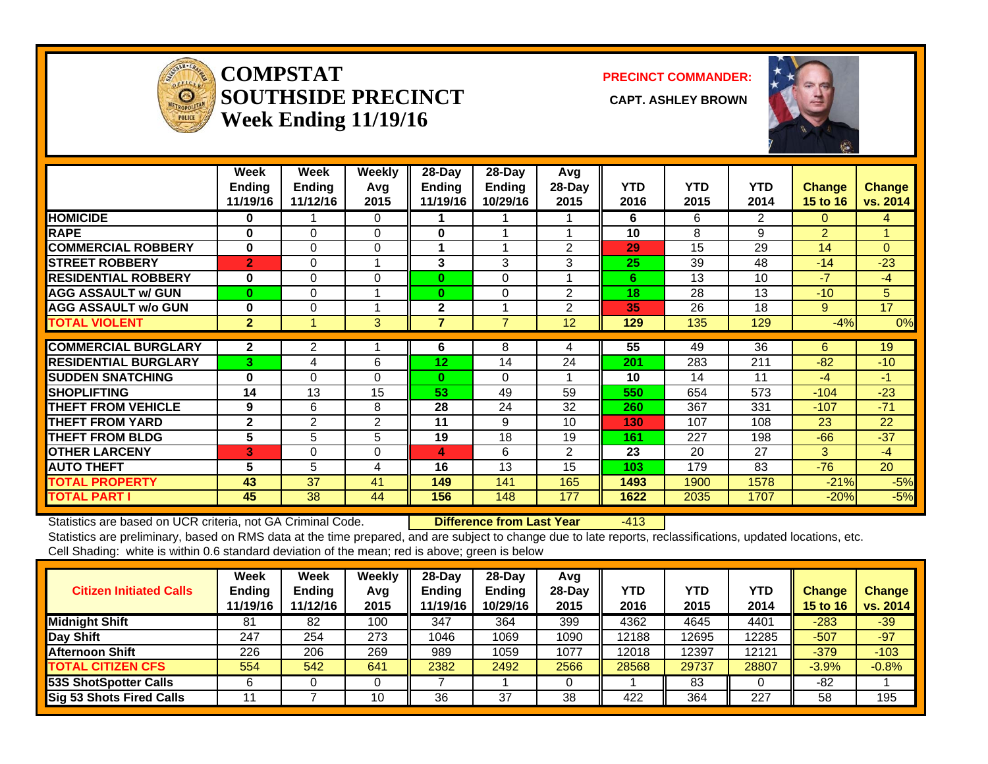

#### **COMPSTATSOUTHSIDE PRECINCT CAPT. ASHLEY BROWNWeek Ending 11/19/16**

**PRECINCT COMMANDER:**



|                             | Week           | Week           | <b>Weekly</b>  | $28$ -Day      | $28-Day$       | Avg            |            |            |            |                |               |
|-----------------------------|----------------|----------------|----------------|----------------|----------------|----------------|------------|------------|------------|----------------|---------------|
|                             | <b>Ending</b>  | <b>Ending</b>  | Avg            | <b>Ending</b>  | <b>Ending</b>  | $28-Day$       | <b>YTD</b> | <b>YTD</b> | <b>YTD</b> | <b>Change</b>  | <b>Change</b> |
|                             | 11/19/16       | 11/12/16       | 2015           | 11/19/16       | 10/29/16       | 2015           | 2016       | 2015       | 2014       | 15 to 16       | vs. 2014      |
| <b>HOMICIDE</b>             | 0              |                | 0              |                |                |                | 6          | 6          | 2          | 0              | 4             |
| <b>RAPE</b>                 | 0              | $\Omega$       | 0              | 0              |                |                | 10         | 8          | 9          | $\overline{2}$ |               |
| <b>COMMERCIAL ROBBERY</b>   | 0              | $\Omega$       | $\Omega$       | 1              |                | 2              | 29         | 15         | 29         | 14             | $\Omega$      |
| <b>STREET ROBBERY</b>       | $\overline{2}$ | 0              |                | 3              | 3              | 3              | 25         | 39         | 48         | $-14$          | $-23$         |
| <b>RESIDENTIAL ROBBERY</b>  | 0              | $\Omega$       | $\Omega$       | $\bf{0}$       | $\Omega$       |                | 6          | 13         | 10         | $-7$           | $-4$          |
| <b>AGG ASSAULT w/ GUN</b>   | $\bf{0}$       | 0              |                | 0              | $\Omega$       | $\overline{2}$ | 18         | 28         | 13         | $-10$          | 5             |
| <b>AGG ASSAULT w/o GUN</b>  | 0              | 0              |                | $\mathbf{2}$   |                | $\overline{2}$ | 35         | 26         | 18         | 9              | 17            |
| <b>TOTAL VIOLENT</b>        | $\overline{2}$ |                | 3              | $\overline{7}$ | $\overline{7}$ | 12             | 129        | 135        | 129        | $-4%$          | 0%            |
|                             |                |                |                |                |                |                |            |            |            |                |               |
| <b>COMMERCIAL BURGLARY</b>  | $\mathbf{2}$   | 2              |                | 6              | 8              | 4              | 55         | 49         | 36         | 6              | 19            |
| <b>RESIDENTIAL BURGLARY</b> | 3              | 4              | 6              | 12             | 14             | 24             | 201        | 283        | 211        | $-82$          | $-10$         |
| <b>SUDDEN SNATCHING</b>     | $\bf{0}$       | $\Omega$       | $\Omega$       | 0              | $\Omega$       | 1              | 10         | 14         | 11         | $-4$           | $-1$          |
| <b>SHOPLIFTING</b>          | 14             | 13             | 15             | 53             | 49             | 59             | 550        | 654        | 573        | $-104$         | $-23$         |
| <b>THEFT FROM VEHICLE</b>   | 9              | 6              | 8              | 28             | 24             | 32             | 260        | 367        | 331        | $-107$         | $-71$         |
| <b>THEFT FROM YARD</b>      | $\mathbf{2}$   | $\overline{2}$ | $\overline{2}$ | 11             | 9              | 10             | 130        | 107        | 108        | 23             | 22            |
| <b>THEFT FROM BLDG</b>      | 5              | 5              | 5              | 19             | 18             | 19             | 161        | 227        | 198        | $-66$          | $-37$         |
| <b>OTHER LARCENY</b>        | $\bf{3}$       | 0              | 0              | 4              | 6              | $\overline{2}$ | 23         | 20         | 27         | 3              | $-4$          |
| <b>AUTO THEFT</b>           | 5              | 5              | 4              | 16             | 13             | 15             | 103        | 179        | 83         | $-76$          | 20            |
| <b>TOTAL PROPERTY</b>       | 43             | 37             | 41             | 149            | 141            | 165            | 1493       | 1900       | 1578       | $-21%$         | $-5%$         |
| <b>TOTAL PART I</b>         | 45             | 38             | 44             | 156            | 148            | 177            | 1622       | 2035       | 1707       | $-20%$         | $-5%$         |

Statistics are based on UCR criteria, not GA Criminal Code. **Difference from Last Year** -413 Statistics are preliminary, based on RMS data at the time prepared, and are subject to change due to late reports, reclassifications, updated locations, etc.

Cell Shading: white is within 0.6 standard deviation of the mean; red is above; green is below

| <b>Citizen Initiated Calls</b>  | Week<br><b>Ending</b><br>11/19/16 | Week<br><b>Ending</b><br>11/12/16 | Weekly<br>Avg<br>2015 | 28-Day<br><b>Ending</b><br>11/19/16 | $28$ -Dav<br><b>Ending</b><br>10/29/16 | Avg<br>$28-Dav$<br>2015 | YTD<br>2016 | YTD<br>2015 | YTD<br>2014 | <b>Change</b><br><b>15 to 16</b> | <b>Change</b><br>vs. 2014 |
|---------------------------------|-----------------------------------|-----------------------------------|-----------------------|-------------------------------------|----------------------------------------|-------------------------|-------------|-------------|-------------|----------------------------------|---------------------------|
| <b>Midnight Shift</b>           | 81                                | 82                                | 100                   | 347                                 | 364                                    | 399                     | 4362        | 4645        | 4401        | $-283$                           | $-39$                     |
| Day Shift                       | 247                               | 254                               | 273                   | 1046                                | 1069                                   | 1090                    | 12188       | 12695       | 12285       | $-507$                           | $-97$                     |
| <b>Afternoon Shift</b>          | 226                               | 206                               | 269                   | 989                                 | 1059                                   | 1077                    | 12018       | 12397       | 12121       | $-379$                           | $-103$                    |
| <b>TOTAL CITIZEN CFS</b>        | 554                               | 542                               | 641                   | 2382                                | 2492                                   | 2566                    | 28568       | 29737       | 28807       | $-3.9%$                          | $-0.8%$                   |
| <b>53S ShotSpotter Calls</b>    |                                   |                                   |                       |                                     |                                        |                         |             | 83          |             | -82                              |                           |
| <b>Sig 53 Shots Fired Calls</b> |                                   |                                   | 10                    | 36                                  | 37                                     | 38                      | 422         | 364         | 227         | 58                               | 195                       |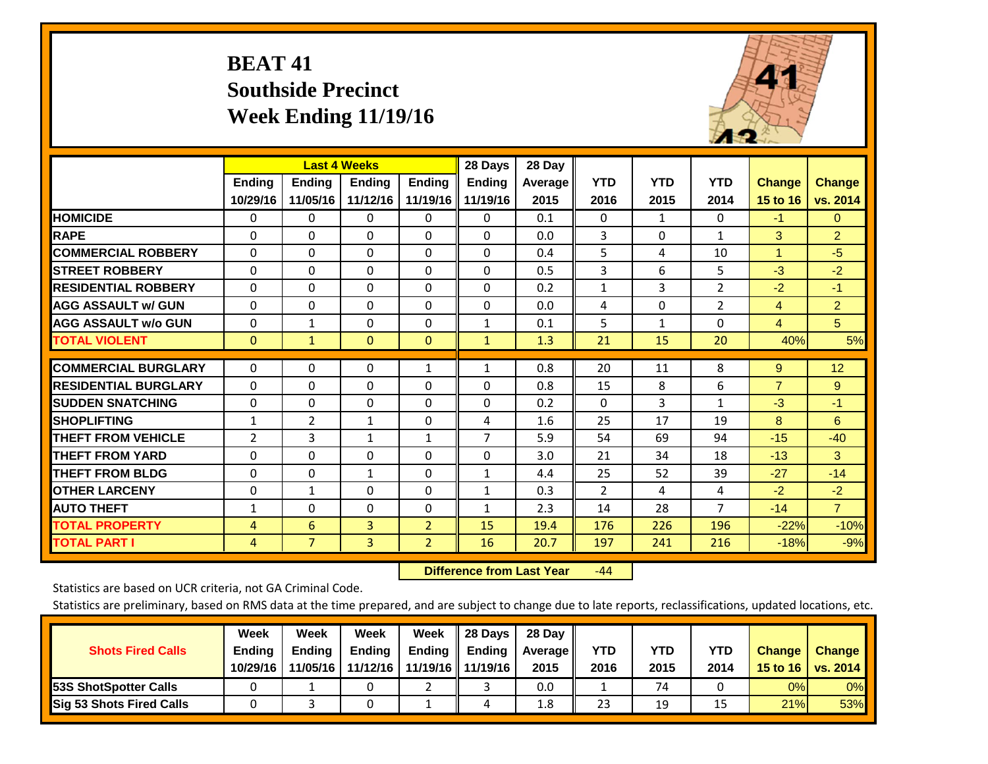# **BEAT 41 Southside Precinct Week Ending 11/19/16**



|                             |                | <b>Last 4 Weeks</b> |                |                | 28 Days        | 28 Day  |                |                |                |                |                |
|-----------------------------|----------------|---------------------|----------------|----------------|----------------|---------|----------------|----------------|----------------|----------------|----------------|
|                             | Ending         | Ending              | <b>Ending</b>  | <b>Ending</b>  | <b>Ending</b>  | Average | <b>YTD</b>     | <b>YTD</b>     | <b>YTD</b>     | <b>Change</b>  | <b>Change</b>  |
|                             | 10/29/16       | 11/05/16            | 11/12/16       | 11/19/16       | 11/19/16       | 2015    | 2016           | 2015           | 2014           | 15 to 16       | vs. 2014       |
| <b>HOMICIDE</b>             | 0              | 0                   | $\mathbf 0$    | $\Omega$       | 0              | 0.1     | $\Omega$       | 1              | $\Omega$       | $-1$           | $\overline{0}$ |
| <b>RAPE</b>                 | $\Omega$       | 0                   | $\Omega$       | $\Omega$       | $\Omega$       | 0.0     | 3              | $\Omega$       | $\mathbf{1}$   | 3              | $\overline{2}$ |
| <b>COMMERCIAL ROBBERY</b>   | $\Omega$       | $\Omega$            | $\Omega$       | $\Omega$       | $\Omega$       | 0.4     | 5              | 4              | 10             | $\overline{1}$ | $-5$           |
| <b>STREET ROBBERY</b>       | $\mathbf 0$    | $\Omega$            | $\Omega$       | $\Omega$       | $\Omega$       | 0.5     | 3              | 6              | 5              | $-3$           | $-2$           |
| <b>IRESIDENTIAL ROBBERY</b> | $\Omega$       | $\Omega$            | $\mathbf{0}$   | $\Omega$       | $\Omega$       | 0.2     | $\mathbf{1}$   | $\overline{3}$ | $\overline{2}$ | $-2$           | $-1$           |
| <b>AGG ASSAULT w/ GUN</b>   | $\Omega$       | $\Omega$            | $\mathbf{0}$   | $\Omega$       | 0              | 0.0     | 4              | 0              | 2              | $\overline{4}$ | $\overline{2}$ |
| <b>AGG ASSAULT w/o GUN</b>  | 0              | 1                   | $\mathbf{0}$   | $\Omega$       | $\mathbf{1}$   | 0.1     | 5              | 1              | 0              | $\overline{4}$ | 5 <sup>5</sup> |
| <b>TOTAL VIOLENT</b>        | $\mathbf{0}$   | 1                   | $\overline{0}$ | $\mathbf{0}$   | $\mathbf{1}$   | 1.3     | 21             | 15             | 20             | 40%            | 5%             |
|                             |                |                     |                |                |                |         |                |                |                |                |                |
| <b>COMMERCIAL BURGLARY</b>  | $\Omega$       | $\Omega$            | $\mathbf{0}$   | $\mathbf{1}$   | $\mathbf{1}$   | 0.8     | 20             | 11             | 8              | 9              | 12             |
| <b>RESIDENTIAL BURGLARY</b> | $\Omega$       | $\Omega$            | $\mathbf{0}$   | $\Omega$       | $\Omega$       | 0.8     | 15             | 8              | 6              | $\overline{7}$ | 9              |
| <b>SUDDEN SNATCHING</b>     | $\Omega$       | $\Omega$            | $\mathbf{0}$   | $\Omega$       | 0              | 0.2     | $\mathbf{0}$   | 3              | $\mathbf{1}$   | $-3$           | $-1$           |
| <b>SHOPLIFTING</b>          | 1              | 2                   | 1              | $\Omega$       | 4              | 1.6     | 25             | 17             | 19             | 8              | 6              |
| <b>THEFT FROM VEHICLE</b>   | $\overline{2}$ | 3                   | $\mathbf{1}$   | $\mathbf{1}$   | $\overline{7}$ | 5.9     | 54             | 69             | 94             | $-15$          | $-40$          |
| <b>THEFT FROM YARD</b>      | $\Omega$       | $\Omega$            | $\Omega$       | $\Omega$       | $\Omega$       | 3.0     | 21             | 34             | 18             | $-13$          | 3              |
| <b>THEFT FROM BLDG</b>      | 0              | $\Omega$            | $\mathbf{1}$   | $\Omega$       | $\mathbf{1}$   | 4.4     | 25             | 52             | 39             | $-27$          | $-14$          |
| <b>OTHER LARCENY</b>        | $\Omega$       | $\mathbf{1}$        | $\Omega$       | $\Omega$       | $\mathbf{1}$   | 0.3     | $\overline{2}$ | 4              | 4              | $-2$           | $-2$           |
| <b>AUTO THEFT</b>           | 1              | $\Omega$            | $\Omega$       | $\Omega$       | $\mathbf{1}$   | 2.3     | 14             | 28             | $\overline{7}$ | $-14$          | $\overline{7}$ |
| <b>TOTAL PROPERTY</b>       | 4              | 6                   | 3              | $\overline{2}$ | 15             | 19.4    | 176            | 226            | 196            | $-22%$         | $-10%$         |
| <b>TOTAL PART I</b>         | $\overline{4}$ | $\overline{7}$      | $\overline{3}$ | $\overline{2}$ | 16             | 20.7    | 197            | 241            | 216            | $-18%$         | $-9%$          |

 **Difference from Last Year**r -44

Statistics are based on UCR criteria, not GA Criminal Code.

| <b>Shots Fired Calls</b>        | Week<br><b>Ending</b><br>10/29/16 | Week<br><b>Endina</b><br>11/05/16 | Week<br><b>Ending</b><br>11/12/16 | Week<br>Ending | 28 Days<br><b>Ending</b><br>11/19/16   11/19/16 | 28 Day<br>Average II<br>2015 | YTD<br>2016 | YTD<br>2015 | <b>YTD</b><br>2014 | <b>Change</b><br>15 to $16$ | <b>Change</b><br>vs. 2014 |
|---------------------------------|-----------------------------------|-----------------------------------|-----------------------------------|----------------|-------------------------------------------------|------------------------------|-------------|-------------|--------------------|-----------------------------|---------------------------|
| <b>153S ShotSpotter Calls</b>   |                                   |                                   |                                   |                |                                                 | 0.0                          |             | 74          |                    | 0%                          | 0%                        |
| <b>Sig 53 Shots Fired Calls</b> |                                   |                                   |                                   |                | 4                                               | 1.8                          | 23          | 19          |                    | 21%                         | 53%                       |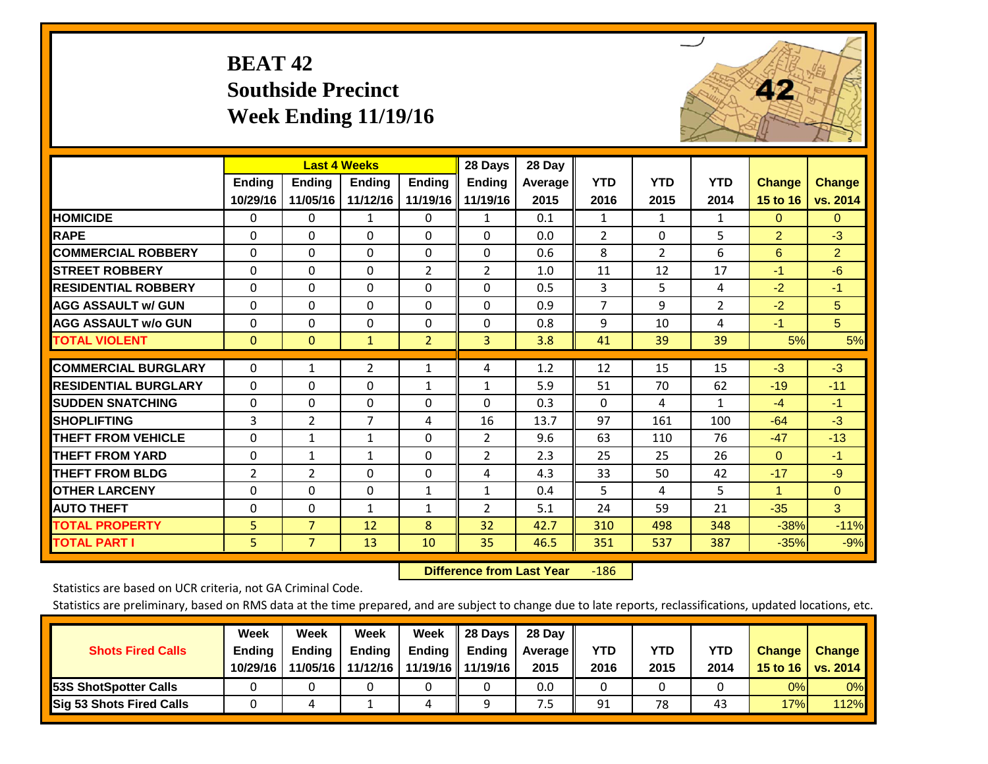# **BEAT 42 Southside Precinct Week Ending 11/19/16**



|                             |                           | <b>Last 4 Weeks</b>       |                           |                           | 28 Days                   | 28 Day             |                    |                    |                    |                           |                           |
|-----------------------------|---------------------------|---------------------------|---------------------------|---------------------------|---------------------------|--------------------|--------------------|--------------------|--------------------|---------------------------|---------------------------|
|                             | <b>Ending</b><br>10/29/16 | <b>Endina</b><br>11/05/16 | <b>Endina</b><br>11/12/16 | <b>Ending</b><br>11/19/16 | <b>Ending</b><br>11/19/16 | Average   <br>2015 | <b>YTD</b><br>2016 | <b>YTD</b><br>2015 | <b>YTD</b><br>2014 | <b>Change</b><br>15 to 16 | <b>Change</b><br>vs. 2014 |
| <b>HOMICIDE</b>             | 0                         | $\Omega$                  | $\mathbf{1}$              | $\Omega$                  | $\mathbf{1}$              | 0.1                | 1                  | $\mathbf{1}$       | $\mathbf{1}$       | $\mathbf{0}$              | $\Omega$                  |
| <b>RAPE</b>                 | 0                         | 0                         | $\Omega$                  | 0                         | 0                         | 0.0                | $\overline{2}$     | 0                  | 5                  | 2                         | $-3$                      |
| <b>COMMERCIAL ROBBERY</b>   | $\Omega$                  | $\Omega$                  | $\mathbf{0}$              | $\Omega$                  | $\Omega$                  | 0.6                | 8                  | $\overline{2}$     | 6                  | 6                         | $\overline{2}$            |
| <b>STREET ROBBERY</b>       | $\mathbf 0$               | $\Omega$                  | $\Omega$                  | $\overline{2}$            | $\overline{2}$            | 1.0                | 11                 | 12                 | 17                 | $-1$                      | $-6$                      |
| <b>RESIDENTIAL ROBBERY</b>  | $\Omega$                  | $\Omega$                  | $\mathbf{0}$              | $\Omega$                  | $\Omega$                  | 0.5                | 3                  | 5                  | 4                  | $-2$                      | $-1$                      |
| <b>AGG ASSAULT w/ GUN</b>   | $\Omega$                  | $\Omega$                  | $\Omega$                  | $\Omega$                  | $\Omega$                  | 0.9                | $\overline{7}$     | 9                  | 2                  | $-2$                      | 5                         |
| <b>AGG ASSAULT w/o GUN</b>  | $\Omega$                  | $\Omega$                  | $\mathbf{0}$              | 0                         | $\Omega$                  | 0.8                | 9                  | 10                 | 4                  | $-1$                      | 5                         |
| <b>TOTAL VIOLENT</b>        | $\mathbf 0$               | $\mathbf{0}$              | $\mathbf{1}$              | $\overline{2}$            | 3                         | 3.8                | 41                 | 39                 | 39                 | 5%                        | 5%                        |
| <b>COMMERCIAL BURGLARY</b>  | $\Omega$                  | 1                         | $\overline{2}$            | $\mathbf{1}$              | 4                         | 1.2                | 12                 | 15                 | 15                 | $-3$                      | $-3$                      |
| <b>RESIDENTIAL BURGLARY</b> | $\Omega$                  | $\Omega$                  | $\Omega$                  | $\mathbf{1}$              | $\mathbf{1}$              | 5.9                | 51                 | 70                 | 62                 | $-19$                     | $-11$                     |
| <b>ISUDDEN SNATCHING</b>    | $\Omega$                  | $\Omega$                  | $\Omega$                  | $\Omega$                  | $\Omega$                  | 0.3                | $\Omega$           | 4                  | 1                  | $-4$                      | -1                        |
| <b>SHOPLIFTING</b>          | 3                         | 2                         | 7                         | 4                         | 16                        | 13.7               | 97                 | 161                | 100                | $-64$                     | $-3$                      |
| <b>THEFT FROM VEHICLE</b>   | $\Omega$                  | $\mathbf{1}$              | $\mathbf{1}$              | $\Omega$                  | $\overline{2}$            | 9.6                | 63                 | 110                | 76                 | $-47$                     | $-13$                     |
| <b>THEFT FROM YARD</b>      | 0                         | $\mathbf{1}$              | 1                         | 0                         | $\overline{2}$            | 2.3                | 25                 | 25                 | 26                 | $\mathbf{0}$              | $-1$                      |
| <b>THEFT FROM BLDG</b>      | 2                         | $\overline{2}$            | $\Omega$                  | $\Omega$                  | 4                         | 4.3                | 33                 | 50                 | 42                 | $-17$                     | $-9$                      |
| <b>OTHER LARCENY</b>        | 0                         | $\Omega$                  | $\mathbf 0$               | 1                         | $\mathbf{1}$              | 0.4                | 5                  | 4                  | 5.                 | $\blacktriangleleft$      | $\Omega$                  |
| <b>AUTO THEFT</b>           | $\Omega$                  | $\Omega$                  | $\mathbf{1}$              | $\mathbf{1}$              | $\overline{2}$            | 5.1                | 24                 | 59                 | 21                 | $-35$                     | 3                         |
| <b>TOTAL PROPERTY</b>       | 5                         | $\overline{7}$            | 12                        | 8                         | 32                        | 42.7               | 310                | 498                | 348                | $-38%$                    | $-11%$                    |
| <b>TOTAL PART I</b>         | 5.                        | $\overline{7}$            | 13                        | 10                        | 35                        | 46.5               | 351                | 537                | 387                | $-35%$                    | $-9%$                     |

 **Difference from Last Year**‐186

Statistics are based on UCR criteria, not GA Criminal Code.

| <b>Shots Fired Calls</b>        | Week<br><b>Ending</b><br>10/29/16 | Week<br><b>Endina</b><br>11/05/16 | Week<br>Ending<br>11/12/16 | Week<br>Ending | 28 Days<br><b>Ending</b><br>11/19/16   11/19/16 | 28 Day<br>Average II<br>2015 | YTD<br>2016 | YTD<br>2015 | <b>YTD</b><br>2014 | <b>Change</b><br>15 to $16$ | <b>Change</b><br>vs. 2014 |
|---------------------------------|-----------------------------------|-----------------------------------|----------------------------|----------------|-------------------------------------------------|------------------------------|-------------|-------------|--------------------|-----------------------------|---------------------------|
| <b>153S ShotSpotter Calls</b>   |                                   |                                   |                            |                |                                                 | 0.0                          |             |             |                    | 0%                          | 0%                        |
| <b>Sig 53 Shots Fired Calls</b> |                                   |                                   |                            | ,              |                                                 | ט.                           | 91          | 78          | 43                 | 17%                         | <b>112%</b>               |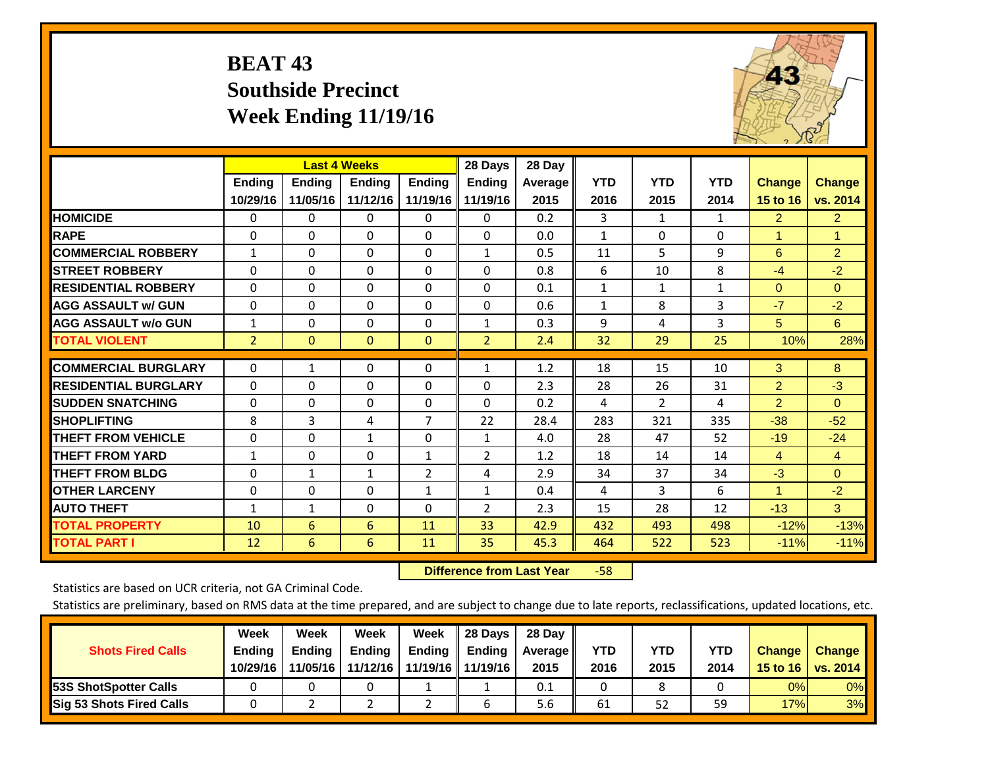# **BEAT 43 Southside Precinct Week Ending 11/19/16**



|                             |                | <b>Last 4 Weeks</b> |               |                | 28 Days             | 28 Day         |              |                |              |                |                |
|-----------------------------|----------------|---------------------|---------------|----------------|---------------------|----------------|--------------|----------------|--------------|----------------|----------------|
|                             | <b>Ending</b>  | <b>Ending</b>       | <b>Endina</b> | <b>Endina</b>  | <b>Ending</b>       | <b>Average</b> | <b>YTD</b>   | <b>YTD</b>     | <b>YTD</b>   | <b>Change</b>  | <b>Change</b>  |
|                             | 10/29/16       | 11/05/16            | 11/12/16      |                | 11/19/16   11/19/16 | 2015           | 2016         | 2015           | 2014         | 15 to 16       | vs. 2014       |
| <b>HOMICIDE</b>             | $\mathbf{0}$   | 0                   | $\Omega$      | $\Omega$       | 0                   | 0.2            | 3            | $\mathbf{1}$   | $\mathbf{1}$ | $\overline{2}$ | $\overline{2}$ |
| <b>RAPE</b>                 | $\Omega$       | $\Omega$            | $\Omega$      | $\Omega$       | $\Omega$            | 0.0            | $\mathbf{1}$ | 0              | $\Omega$     | 1              | $\mathbf{1}$   |
| <b>COMMERCIAL ROBBERY</b>   | $\mathbf{1}$   | $\Omega$            | $\Omega$      | $\Omega$       | $\mathbf{1}$        | 0.5            | 11           | 5              | 9            | 6              | $\overline{2}$ |
| <b>STREET ROBBERY</b>       | 0              | $\Omega$            | $\Omega$      | 0              | $\Omega$            | 0.8            | 6            | 10             | 8            | $-4$           | $-2$           |
| <b>RESIDENTIAL ROBBERY</b>  | $\Omega$       | $\Omega$            | $\Omega$      | 0              | $\Omega$            | 0.1            | $\mathbf{1}$ | $\mathbf{1}$   | $\mathbf{1}$ | $\mathbf{0}$   | $\Omega$       |
| <b>AGG ASSAULT w/ GUN</b>   | $\Omega$       | $\Omega$            | $\Omega$      | 0              | $\Omega$            | 0.6            | $\mathbf{1}$ | 8              | 3            | $-7$           | $-2$           |
| <b>AGG ASSAULT w/o GUN</b>  | 1              | $\Omega$            | $\Omega$      | 0              | 1                   | 0.3            | 9            | 4              | 3            | 5              | 6              |
| <b>TOTAL VIOLENT</b>        | $\overline{2}$ | $\mathbf{0}$        | $\mathbf{0}$  | $\mathbf{0}$   | $\overline{2}$      | 2.4            | 32           | 29             | 25           | 10%            | 28%            |
| <b>COMMERCIAL BURGLARY</b>  | 0              | 1                   | $\Omega$      | 0              |                     | 1.2            | 18           | 15             | 10           | 3              | 8              |
|                             |                |                     |               |                | 1                   |                |              |                |              |                |                |
| <b>RESIDENTIAL BURGLARY</b> | $\Omega$       | $\Omega$            | $\Omega$      | 0              | $\Omega$            | 2.3            | 28           | 26             | 31           | $\overline{2}$ | $-3$           |
| <b>ISUDDEN SNATCHING</b>    | $\Omega$       | $\Omega$            | $\mathbf{0}$  | 0              | $\Omega$            | 0.2            | 4            | $\overline{2}$ | 4            | $\overline{2}$ | $\Omega$       |
| <b>SHOPLIFTING</b>          | 8              | 3                   | 4             | 7              | 22                  | 28.4           | 283          | 321            | 335          | $-38$          | $-52$          |
| <b>THEFT FROM VEHICLE</b>   | $\mathbf 0$    | $\Omega$            | $\mathbf{1}$  | 0              | 1                   | 4.0            | 28           | 47             | 52           | $-19$          | $-24$          |
| <b>THEFT FROM YARD</b>      | $\mathbf{1}$   | $\Omega$            | $\Omega$      | $\mathbf{1}$   | $\overline{2}$      | 1.2            | 18           | 14             | 14           | $\overline{4}$ | $\overline{4}$ |
| <b>THEFT FROM BLDG</b>      | 0              | $\mathbf{1}$        | $\mathbf{1}$  | $\overline{2}$ | 4                   | 2.9            | 34           | 37             | 34           | $-3$           | $\Omega$       |
| <b>OTHER LARCENY</b>        | $\Omega$       | $\Omega$            | $\Omega$      | 1              | 1                   | 0.4            | 4            | 3              | 6            | $\mathbf{1}$   | $-2$           |
| <b>AUTO THEFT</b>           | $\mathbf{1}$   | $\mathbf{1}$        | $\Omega$      | $\Omega$       | 2                   | 2.3            | 15           | 28             | 12           | $-13$          | 3              |
| <b>TOTAL PROPERTY</b>       | 10             | 6                   | 6             | 11             | 33                  | 42.9           | 432          | 493            | 498          | $-12%$         | $-13%$         |
| <b>TOTAL PART I</b>         | 12             | 6                   | 6             | 11             | 35                  | 45.3           | 464          | 522            | 523          | $-11%$         | $-11%$         |

 **Difference from Last Year**‐58

Statistics are based on UCR criteria, not GA Criminal Code.

| <b>Shots Fired Calls</b>        | Week<br><b>Ending</b><br>10/29/16 | Week<br><b>Endina</b><br>11/05/16 | Week<br><b>Ending</b><br>11/12/16 | Week<br>Ending | 28 Days<br><b>Ending</b><br>11/19/16   11/19/16 | 28 Day<br>Average II<br>2015 | YTD<br>2016 | YTD<br>2015 | <b>YTD</b><br>2014 | <b>Change</b><br>15 to 16 $\vert$ | <b>Change</b><br>vs. 2014 |
|---------------------------------|-----------------------------------|-----------------------------------|-----------------------------------|----------------|-------------------------------------------------|------------------------------|-------------|-------------|--------------------|-----------------------------------|---------------------------|
| <b>153S ShotSpotter Calls</b>   |                                   |                                   |                                   |                |                                                 | 0.1                          |             |             |                    | 0%                                | 0%                        |
| <b>Sig 53 Shots Fired Calls</b> |                                   |                                   |                                   |                |                                                 | 5.6                          | 61          | 52          | 59                 | 17%                               | 3%                        |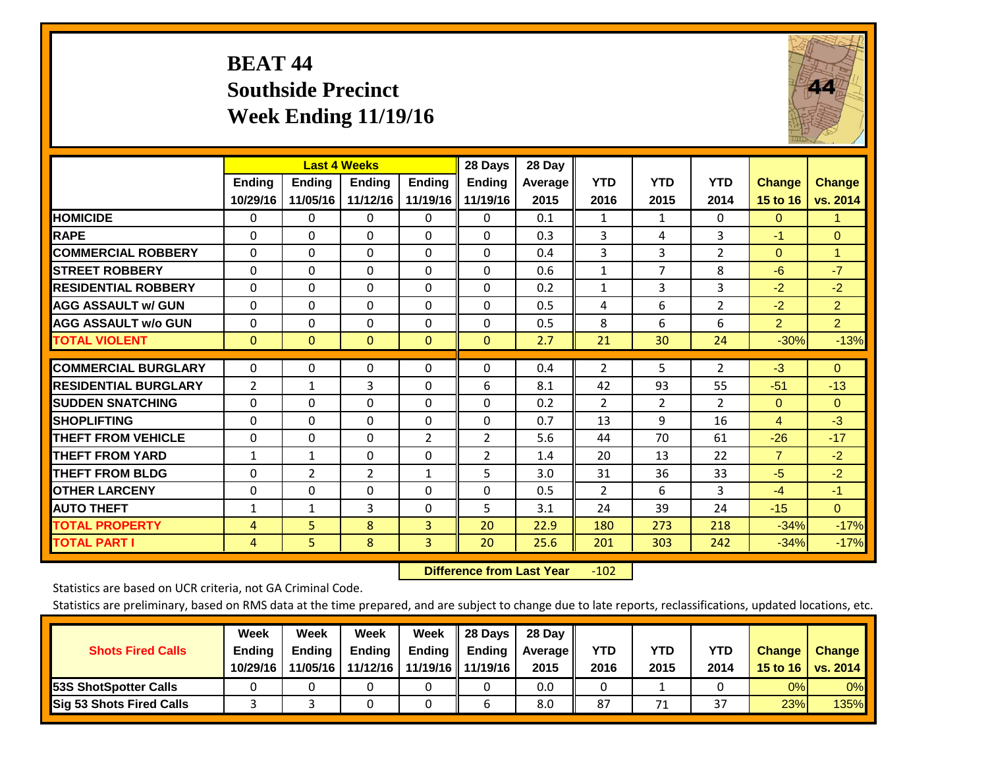# **BEAT 44 Southside Precinct Week Ending 11/19/16**



|                             |               |                | <b>Last 4 Weeks</b> |                | 28 Days        | 28 Day    |                |                |                |                |                |
|-----------------------------|---------------|----------------|---------------------|----------------|----------------|-----------|----------------|----------------|----------------|----------------|----------------|
|                             | <b>Ending</b> | <b>Ending</b>  | Ending              | <b>Ending</b>  | <b>Endina</b>  | Average I | <b>YTD</b>     | <b>YTD</b>     | <b>YTD</b>     | <b>Change</b>  | <b>Change</b>  |
|                             | 10/29/16      | 11/05/16       | 11/12/16            | 11/19/16       | 11/19/16       | 2015      | 2016           | 2015           | 2014           | 15 to 16       | vs. 2014       |
| <b>HOMICIDE</b>             | 0             | 0              | 0                   | 0              | $\Omega$       | 0.1       | 1              | 1              | 0              | $\Omega$       | 1.             |
| <b>RAPE</b>                 | $\Omega$      | 0              | $\Omega$            | $\Omega$       | $\Omega$       | 0.3       | 3              | 4              | 3              | $-1$           | $\mathbf{0}$   |
| <b>COMMERCIAL ROBBERY</b>   | $\Omega$      | 0              | $\Omega$            | $\Omega$       | $\Omega$       | 0.4       | 3              | 3              | $\overline{2}$ | $\Omega$       | 1              |
| <b>STREET ROBBERY</b>       | $\Omega$      | $\Omega$       | $\Omega$            | $\Omega$       | $\Omega$       | 0.6       | $\mathbf{1}$   | 7              | 8              | $-6$           | $-7$           |
| <b>RESIDENTIAL ROBBERY</b>  | $\Omega$      | 0              | $\Omega$            | $\Omega$       | 0              | 0.2       | $\mathbf{1}$   | 3              | 3              | $-2$           | $-2$           |
| <b>AGG ASSAULT w/ GUN</b>   | 0             | $\Omega$       | $\Omega$            | $\Omega$       | 0              | 0.5       | 4              | 6              | $\overline{2}$ | $-2$           | 2 <sup>1</sup> |
| <b>AGG ASSAULT w/o GUN</b>  | 0             | $\Omega$       | $\Omega$            | $\Omega$       | $\Omega$       | 0.5       | 8              | 6              | 6              | $\overline{2}$ | $\overline{2}$ |
| <b>TOTAL VIOLENT</b>        | $\mathbf{0}$  | $\Omega$       | $\Omega$            | $\mathbf{0}$   | $\mathbf{0}$   | 2.7       | 21             | 30             | 24             | $-30%$         | $-13%$         |
|                             |               |                |                     |                |                |           |                |                |                |                |                |
| <b>COMMERCIAL BURGLARY</b>  | 0             | 0              | 0                   | 0              | $\Omega$       | 0.4       | 2              | 5              | $\overline{2}$ | $-3$           | $\mathbf{0}$   |
| <b>RESIDENTIAL BURGLARY</b> | 2             | 1              | 3                   | $\Omega$       | 6              | 8.1       | 42             | 93             | 55             | $-51$          | $-13$          |
| <b>SUDDEN SNATCHING</b>     | 0             | $\Omega$       | $\Omega$            | $\Omega$       | 0              | 0.2       | 2              | $\overline{2}$ | $\overline{2}$ | $\Omega$       | $\Omega$       |
| <b>SHOPLIFTING</b>          | $\Omega$      | $\Omega$       | $\Omega$            | $\Omega$       | $\Omega$       | 0.7       | 13             | 9              | 16             | $\overline{4}$ | $-3$           |
| <b>THEFT FROM VEHICLE</b>   | $\Omega$      | $\Omega$       | $\Omega$            | $\overline{2}$ | $\overline{2}$ | 5.6       | 44             | 70             | 61             | $-26$          | $-17$          |
| <b>THEFT FROM YARD</b>      | $\mathbf{1}$  | 1              | 0                   | $\Omega$       | 2              | 1.4       | 20             | 13             | 22             | $\overline{7}$ | $-2$           |
| <b>THEFT FROM BLDG</b>      | 0             | $\overline{2}$ | $\overline{2}$      | 1              | 5              | 3.0       | 31             | 36             | 33             | $-5$           | $-2$           |
| <b>OTHER LARCENY</b>        | 0             | 0              | $\Omega$            | $\Omega$       | 0              | 0.5       | $\overline{2}$ | 6              | 3              | $-4$           | $-1$           |
| <b>AUTO THEFT</b>           | 1             | $\mathbf{1}$   | 3                   | $\Omega$       | 5              | 3.1       | 24             | 39             | 24             | $-15$          | $\mathbf{0}$   |
| <b>TOTAL PROPERTY</b>       | 4             | 5              | 8                   | $\overline{3}$ | 20             | 22.9      | 180            | 273            | 218            | $-34%$         | $-17%$         |
| <b>TOTAL PART I</b>         | 4             | 5.             | 8                   | 3              | 20             | 25.6      | 201            | 303            | 242            | $-34%$         | $-17%$         |

 **Difference from Last Year**r -102

Statistics are based on UCR criteria, not GA Criminal Code.

| <b>Shots Fired Calls</b>        | Week<br><b>Ending</b><br>10/29/16 | Week<br><b>Endina</b><br>11/05/16 | Week<br><b>Ending</b><br>11/12/16 | Week<br>Ending | 28 Days<br><b>Ending</b><br>11/19/16   11/19/16 | 28 Day<br>Average II<br>2015 | YTD<br>2016 | YTD<br>2015 | YTD<br>2014             | <b>Change</b><br>15 to 16 $\vert$ | <b>Change</b><br>vs. 2014 |
|---------------------------------|-----------------------------------|-----------------------------------|-----------------------------------|----------------|-------------------------------------------------|------------------------------|-------------|-------------|-------------------------|-----------------------------------|---------------------------|
| <b>153S ShotSpotter Calls</b>   |                                   |                                   |                                   |                |                                                 | 0.0                          |             |             |                         | 0%                                | 0%                        |
| <b>Sig 53 Shots Fired Calls</b> |                                   |                                   |                                   |                |                                                 | 8.0                          | 87          | 71          | $\mathbin{\lnot}$<br>3, | 23%                               | 135%                      |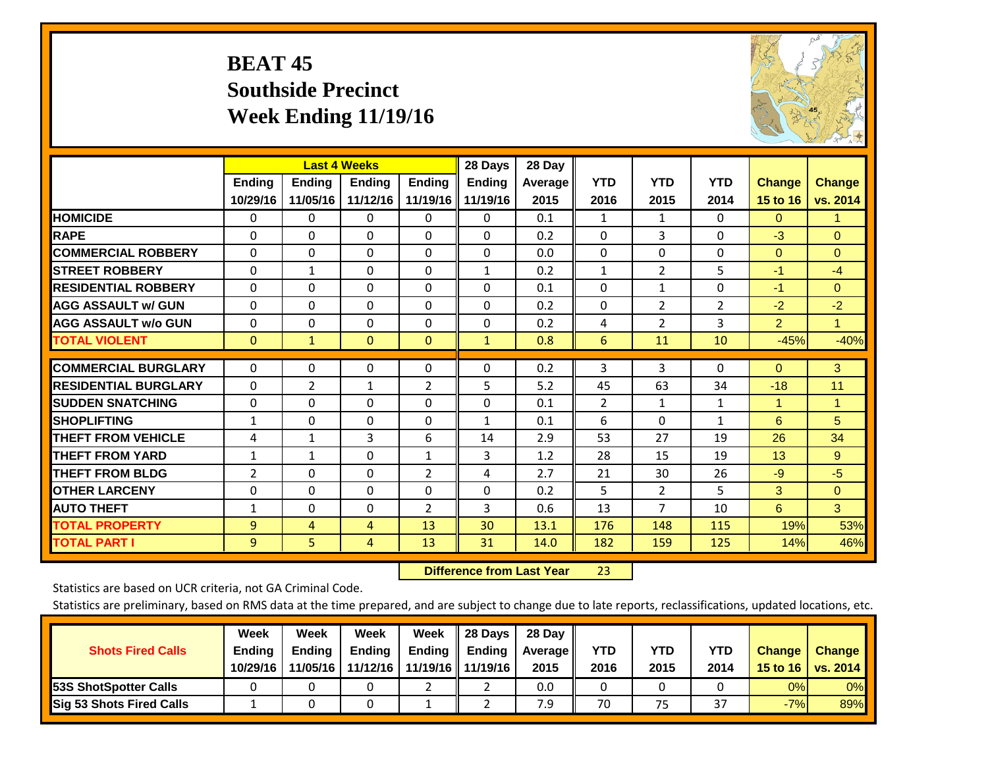# **BEAT 45 Southside Precinct Week Ending 11/19/16**



|                             |                           | <b>Last 4 Weeks</b>       |                           |                           | 28 Days                   | 28 Day             |                    |                    |                    |                           |                           |
|-----------------------------|---------------------------|---------------------------|---------------------------|---------------------------|---------------------------|--------------------|--------------------|--------------------|--------------------|---------------------------|---------------------------|
|                             | <b>Ending</b><br>10/29/16 | <b>Ending</b><br>11/05/16 | <b>Endina</b><br>11/12/16 | <b>Ending</b><br>11/19/16 | <b>Ending</b><br>11/19/16 | Average   <br>2015 | <b>YTD</b><br>2016 | <b>YTD</b><br>2015 | <b>YTD</b><br>2014 | <b>Change</b><br>15 to 16 | <b>Change</b><br>vs. 2014 |
| <b>HOMICIDE</b>             | 0                         | $\mathbf{0}$              | $\Omega$                  | $\Omega$                  | 0                         | 0.1                | $\mathbf{1}$       | $\mathbf{1}$       | $\Omega$           | $\Omega$                  | $\mathbf{1}$              |
| <b>RAPE</b>                 | $\Omega$                  | 0                         | $\Omega$                  | $\Omega$                  | 0                         | 0.2                | $\Omega$           | 3                  | 0                  | $-3$                      | $\Omega$                  |
| <b>COMMERCIAL ROBBERY</b>   | $\Omega$                  | $\Omega$                  | $\Omega$                  | $\Omega$                  | $\Omega$                  | 0.0                | $\Omega$           | $\Omega$           | $\Omega$           | $\mathbf{0}$              | $\Omega$                  |
| <b>STREET ROBBERY</b>       | $\Omega$                  | $\mathbf{1}$              | $\Omega$                  | $\Omega$                  | $\mathbf{1}$              | 0.2                | $\mathbf{1}$       | 2                  | 5                  | $-1$                      | $-4$                      |
| <b>RESIDENTIAL ROBBERY</b>  | $\Omega$                  | $\Omega$                  | $\Omega$                  | 0                         | $\Omega$                  | 0.1                | $\Omega$           | 1                  | 0                  | $-1$                      | $\Omega$                  |
| <b>AGG ASSAULT w/ GUN</b>   | $\Omega$                  | $\Omega$                  | $\Omega$                  | $\mathbf{0}$              | $\Omega$                  | 0.2                | $\Omega$           | $\overline{2}$     | $\overline{2}$     | $-2$                      | $-2$                      |
| <b>AGG ASSAULT w/o GUN</b>  | $\mathbf 0$               | 0                         | $\Omega$                  | 0                         | $\Omega$                  | 0.2                | 4                  | 2                  | 3                  | $\overline{2}$            | $\mathbf{1}$              |
| <b>TOTAL VIOLENT</b>        | $\mathbf{0}$              | $\mathbf{1}$              | $\mathbf{0}$              | $\mathbf{0}$              | $\mathbf{1}$              | 0.8                | 6                  | 11                 | 10                 | $-45%$                    | $-40%$                    |
|                             |                           |                           |                           |                           |                           |                    |                    |                    |                    |                           |                           |
| <b>COMMERCIAL BURGLARY</b>  | $\Omega$                  | 0                         | $\Omega$                  | $\mathbf{0}$              | $\Omega$                  | 0.2                | 3                  | 3                  | 0                  | $\mathbf{0}$              | 3                         |
| <b>RESIDENTIAL BURGLARY</b> | $\mathbf{0}$              | 2                         | 1                         | $\overline{2}$            | 5                         | 5.2                | 45                 | 63                 | 34                 | $-18$                     | 11                        |
| <b>SUDDEN SNATCHING</b>     | $\Omega$                  | 0                         | $\Omega$                  | $\Omega$                  | 0                         | 0.1                | $\overline{2}$     | $\mathbf{1}$       | $\mathbf{1}$       | 1                         | $\mathbf{1}$              |
| <b>SHOPLIFTING</b>          | $\mathbf{1}$              | $\Omega$                  | $\Omega$                  | 0                         | $\mathbf{1}$              | 0.1                | 6                  | $\Omega$           | $\mathbf{1}$       | 6                         | 5                         |
| <b>THEFT FROM VEHICLE</b>   | 4                         | 1                         | 3                         | 6                         | 14                        | 2.9                | 53                 | 27                 | 19                 | 26                        | 34                        |
| <b>THEFT FROM YARD</b>      | $\mathbf{1}$              | 1                         | $\Omega$                  | 1                         | 3                         | 1.2                | 28                 | 15                 | 19                 | 13                        | 9                         |
| <b>THEFT FROM BLDG</b>      | 2                         | $\Omega$                  | $\Omega$                  | $\overline{2}$            | 4                         | 2.7                | 21                 | 30                 | 26                 | $-9$                      | $-5$                      |
| <b>OTHER LARCENY</b>        | 0                         | 0                         | $\Omega$                  | $\Omega$                  | $\Omega$                  | 0.2                | 5                  | $\overline{2}$     | 5                  | 3                         | $\mathbf{0}$              |
| <b>AUTO THEFT</b>           | $\mathbf{1}$              | 0                         | $\mathbf 0$               | $\overline{2}$            | 3                         | 0.6                | 13                 | 7                  | 10                 | 6                         | 3                         |
| <b>TOTAL PROPERTY</b>       | 9                         | 4                         | 4                         | 13                        | 30                        | 13.1               | 176                | 148                | 115                | 19%                       | 53%                       |
| <b>TOTAL PART I</b>         | 9                         | 5                         | 4                         | 13                        | 31                        | 14.0               | 182                | 159                | 125                | 14%                       | 46%                       |

 **Difference from Last Year**r 23

Statistics are based on UCR criteria, not GA Criminal Code.

| <b>Shots Fired Calls</b>        | Week<br><b>Ending</b><br>10/29/16 | Week<br><b>Endina</b><br>11/05/16 | Week<br><b>Ending</b><br>11/12/16 | Week<br>Ending | 28 Days<br><b>Ending</b><br>11/19/16   11/19/16 | 28 Day<br>Average II<br>2015 | YTD<br>2016 | YTD<br>2015 | YTD<br>2014              | <b>Change</b><br>15 to 16 $\vert$ | <b>Change</b><br>vs. 2014 |
|---------------------------------|-----------------------------------|-----------------------------------|-----------------------------------|----------------|-------------------------------------------------|------------------------------|-------------|-------------|--------------------------|-----------------------------------|---------------------------|
| <b>153S ShotSpotter Calls</b>   |                                   |                                   |                                   |                |                                                 | 0.0                          |             |             |                          | 0%                                | 0%                        |
| <b>Sig 53 Shots Fired Calls</b> |                                   |                                   |                                   |                |                                                 | 7.9                          | 70          | 75          | $\mathbin{\lnot}$<br>، ب | $-7%$                             | 89%                       |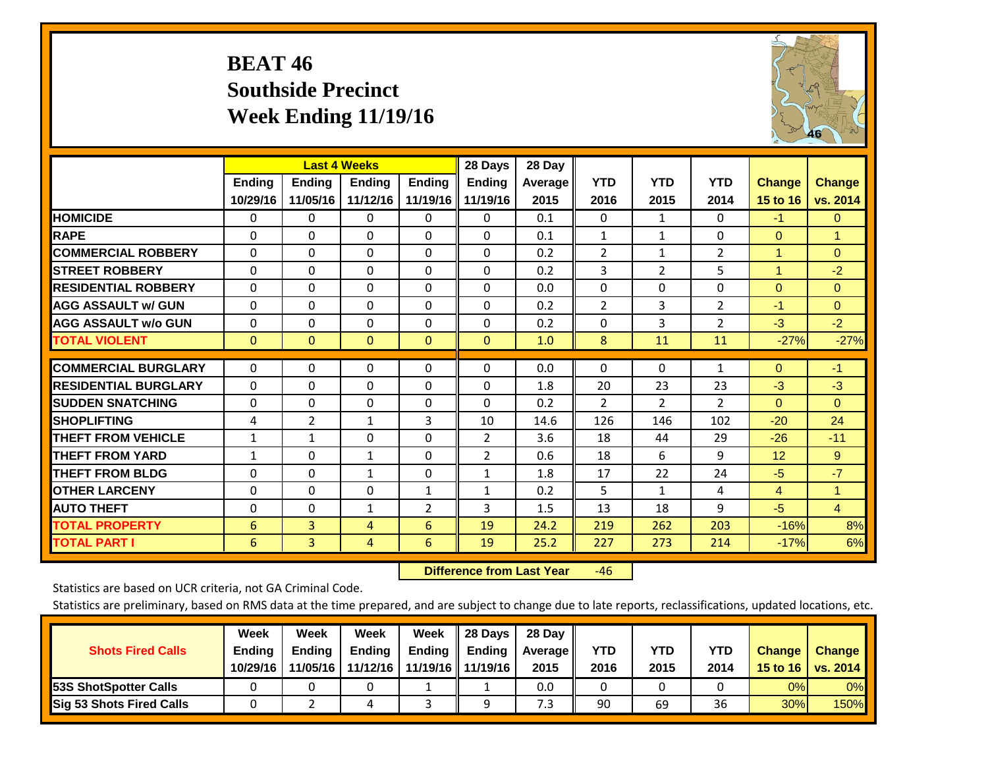# **BEAT 46 Southside Precinct Week Ending 11/19/16**



|                             |              | <b>Last 4 Weeks</b> |              |                | 28 Days        | 28 Day  |                |                |                |                |                |
|-----------------------------|--------------|---------------------|--------------|----------------|----------------|---------|----------------|----------------|----------------|----------------|----------------|
|                             | Ending       | <b>Ending</b>       | Ending       | <b>Ending</b>  | <b>Ending</b>  | Average | <b>YTD</b>     | <b>YTD</b>     | <b>YTD</b>     | <b>Change</b>  | <b>Change</b>  |
|                             | 10/29/16     | 11/05/16            | 11/12/16     | 11/19/16       | 11/19/16       | 2015    | 2016           | 2015           | 2014           | 15 to 16       | vs. 2014       |
| <b>HOMICIDE</b>             | $\Omega$     | 0                   | 0            | $\Omega$       | $\mathbf{0}$   | 0.1     | $\Omega$       | $\mathbf{1}$   | 0              | $-1$           | $\mathbf{0}$   |
| <b>RAPE</b>                 | $\Omega$     | $\Omega$            | $\Omega$     | $\Omega$       | $\Omega$       | 0.1     | $\mathbf{1}$   | 1              | 0              | $\Omega$       | $\mathbf{1}$   |
| <b>COMMERCIAL ROBBERY</b>   | $\Omega$     | 0                   | $\Omega$     | 0              | $\Omega$       | 0.2     | $\overline{2}$ | $\mathbf{1}$   | 2              | $\mathbf{1}$   | $\mathbf{0}$   |
| <b>ISTREET ROBBERY</b>      | $\mathbf{0}$ | $\Omega$            | $\Omega$     | $\Omega$       | $\Omega$       | 0.2     | 3              | $\overline{2}$ | 5              | $\overline{1}$ | $-2$           |
| <b>RESIDENTIAL ROBBERY</b>  | $\Omega$     | $\Omega$            | $\Omega$     | $\mathbf{0}$   | $\Omega$       | 0.0     | $\mathbf{0}$   | $\Omega$       | 0              | $\Omega$       | $\mathbf{0}$   |
| <b>AGG ASSAULT w/ GUN</b>   | $\Omega$     | 0                   | $\Omega$     | 0              | $\mathbf{0}$   | 0.2     | 2              | 3              | $\overline{2}$ | $-1$           | $\mathbf{0}$   |
| <b>AGG ASSAULT w/o GUN</b>  | $\Omega$     | $\Omega$            | $\Omega$     | $\Omega$       | $\Omega$       | 0.2     | $\Omega$       | 3              | $\overline{2}$ | $-3$           | $-2$           |
| <b>TOTAL VIOLENT</b>        | $\mathbf{0}$ | $\Omega$            | $\mathbf{0}$ | $\mathbf{0}$   | $\Omega$       | 1.0     | 8              | 11             | 11             | $-27%$         | $-27%$         |
|                             |              |                     |              |                |                |         |                |                |                |                |                |
| <b>COMMERCIAL BURGLARY</b>  | $\Omega$     | $\Omega$            | $\Omega$     | $\mathbf{0}$   | $\Omega$       | 0.0     | $\mathbf{0}$   | $\mathbf{0}$   | 1              | $\Omega$       | $-1$           |
| <b>RESIDENTIAL BURGLARY</b> | $\Omega$     | $\Omega$            | $\Omega$     | $\Omega$       | $\Omega$       | 1.8     | 20             | 23             | 23             | $-3$           | $-3$           |
| <b>SUDDEN SNATCHING</b>     | $\Omega$     | $\Omega$            | $\Omega$     | $\Omega$       | $\Omega$       | 0.2     | $\overline{2}$ | $\overline{2}$ | $\overline{2}$ | $\Omega$       | $\Omega$       |
| <b>SHOPLIFTING</b>          | 4            | $\overline{2}$      | $\mathbf{1}$ | 3              | 10             | 14.6    | 126            | 146            | 102            | $-20$          | 24             |
| <b>THEFT FROM VEHICLE</b>   | $\mathbf{1}$ | $\mathbf{1}$        | $\Omega$     | $\Omega$       | $\overline{2}$ | 3.6     | 18             | 44             | 29             | $-26$          | $-11$          |
| <b>THEFT FROM YARD</b>      | $\mathbf{1}$ | 0                   | $\mathbf{1}$ | $\mathbf{0}$   | $\overline{2}$ | 0.6     | 18             | 6              | 9              | 12             | 9              |
| <b>THEFT FROM BLDG</b>      | $\Omega$     | $\Omega$            | $\mathbf{1}$ | $\Omega$       | $\mathbf{1}$   | 1.8     | 17             | 22             | 24             | $-5$           | $-7$           |
| <b>IOTHER LARCENY</b>       | $\Omega$     | $\Omega$            | $\Omega$     | $\mathbf{1}$   | $\mathbf{1}$   | 0.2     | 5              | $\mathbf{1}$   | 4              | 4              | 1              |
| <b>AUTO THEFT</b>           | 0            | $\Omega$            | $\mathbf{1}$ | $\overline{2}$ | 3              | 1.5     | 13             | 18             | 9              | $-5$           | $\overline{4}$ |
| <b>TOTAL PROPERTY</b>       | 6            | 3                   | 4            | 6              | 19             | 24.2    | 219            | 262            | 203            | $-16%$         | 8%             |
| <b>TOTAL PART I</b>         | 6            | 3                   | 4            | 6              | 19             | 25.2    | 227            | 273            | 214            | $-17%$         | 6%             |

 **Difference from Last Year**r -46

Statistics are based on UCR criteria, not GA Criminal Code.

| <b>Shots Fired Calls</b>        | Week<br><b>Ending</b><br>10/29/16 | Week<br><b>Endina</b><br>11/05/16 | <b>Week</b><br>Ending<br>11/12/16 | Week<br>Ending | 28 Days<br><b>Ending</b><br>11/19/16   11/19/16 | 28 Day<br>Average II<br>2015 | YTD<br>2016 | YTD<br>2015 | YTD<br>2014 | <b>Change</b><br>15 to $16$ | <b>Change</b><br>vs. 2014 |
|---------------------------------|-----------------------------------|-----------------------------------|-----------------------------------|----------------|-------------------------------------------------|------------------------------|-------------|-------------|-------------|-----------------------------|---------------------------|
| <b>153S ShotSpotter Calls</b>   |                                   |                                   |                                   |                |                                                 | 0.0                          |             |             |             | 0%                          | 0%                        |
| <b>Sig 53 Shots Fired Calls</b> |                                   |                                   |                                   |                |                                                 | 7.3                          | 90          | 69          | 36          | 30%                         | 150%                      |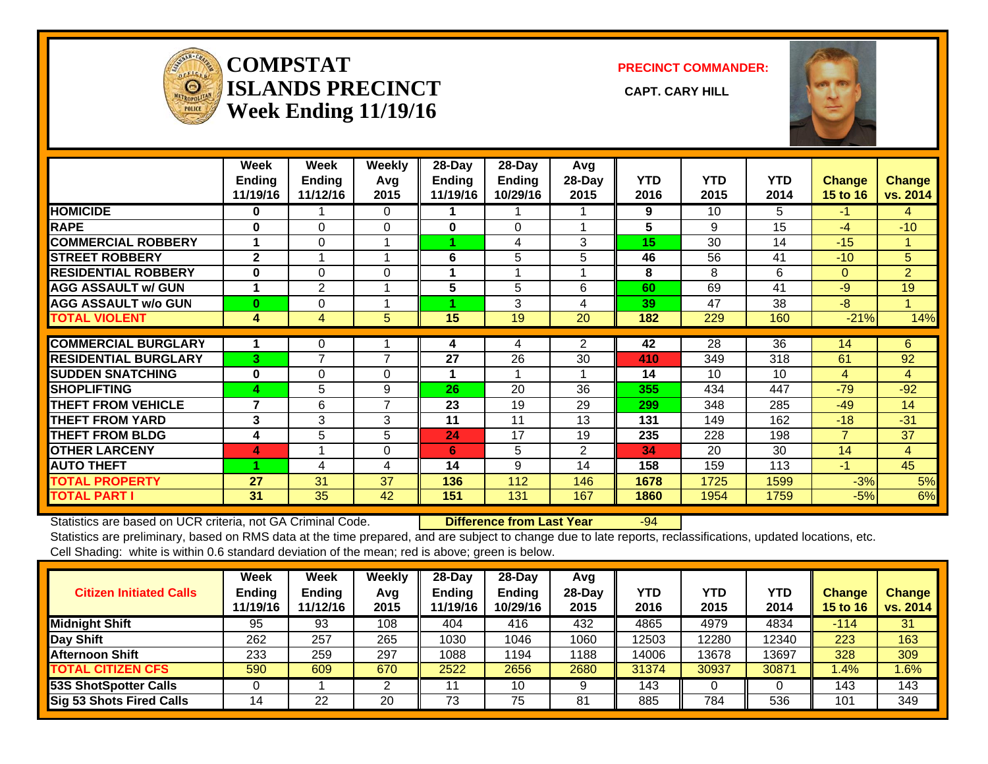

#### **COMPSTATISLANDS PRECINCT** CAPT. CARY HILL **Week Ending 11/19/16**

**PRECINCT COMMANDER:**



|                             | Week<br><b>Ending</b>    | Week<br><b>Ending</b> | <b>Weekly</b><br>Avg     | 28-Day<br>Ending | 28-Day<br>Ending        | Avg<br>28-Day  | <b>YTD</b> | <b>YTD</b> | <b>YTD</b> | <b>Change</b>   | <b>Change</b>  |
|-----------------------------|--------------------------|-----------------------|--------------------------|------------------|-------------------------|----------------|------------|------------|------------|-----------------|----------------|
|                             | 11/19/16                 | 11/12/16              | 2015                     | 11/19/16         | 10/29/16                | 2015           | 2016       | 2015       | 2014       | <b>15 to 16</b> | vs. 2014       |
| <b>HOMICIDE</b>             | 0                        |                       | $\Omega$                 |                  |                         |                | 9          | 10         | 5          | $-1$            | 4              |
| <b>RAPE</b>                 | $\bf{0}$                 | $\Omega$              | 0                        | 0                | $\Omega$                |                | 5          | 9          | 15         | $-4$            | $-10$          |
| <b>COMMERCIAL ROBBERY</b>   |                          | $\Omega$              |                          |                  | 4                       | 3              | 15         | 30         | 14         | $-15$           | 1              |
| <b>STREET ROBBERY</b>       | $\mathbf{2}$             |                       |                          | 6                | 5                       | 5              | 46         | 56         | 41         | $-10$           | 5              |
| <b>RESIDENTIAL ROBBERY</b>  | $\bf{0}$                 | 0                     | $\Omega$                 | 1                | $\overline{\mathbf{A}}$ |                | 8          | 8          | 6          | $\Omega$        | $\overline{2}$ |
| <b>AGG ASSAULT w/ GUN</b>   |                          | $\overline{2}$        |                          | 5                | 5                       | 6              | 60         | 69         | 41         | $-9$            | 19             |
| <b>AGG ASSAULT w/o GUN</b>  | $\bf{0}$                 | 0                     |                          |                  | 3                       | 4              | 39         | 47         | 38         | $-8$            | 4              |
| <b>TOTAL VIOLENT</b>        | 4                        | 4                     | 5                        | 15               | 19                      | 20             | 182        | 229        | 160        | $-21%$          | 14%            |
| <b>COMMERCIAL BURGLARY</b>  |                          | 0                     |                          | 4                | 4                       | 2              | 42         | 28         | 36         | 14              | 6              |
| <b>RESIDENTIAL BURGLARY</b> | 3                        | $\overline{ }$        | $\overline{7}$           | 27               | 26                      | 30             | 410        | 349        | 318        | 61              | 92             |
| <b>SUDDEN SNATCHING</b>     | $\bf{0}$                 | 0                     | 0                        |                  |                         |                | 14         | 10         | 10         | 4               | 4              |
| <b>SHOPLIFTING</b>          | 4                        | 5                     | 9                        | 26               | 20                      | 36             | 355        | 434        | 447        | $-79$           | $-92$          |
| <b>THEFT FROM VEHICLE</b>   | $\overline{\phantom{a}}$ | 6                     | $\overline{\phantom{a}}$ | 23               | 19                      | 29             | 299        | 348        | 285        | $-49$           | 14             |
| <b>THEFT FROM YARD</b>      | 3                        | 3                     | 3                        | 11               | 11                      | 13             |            | 149        | 162        | $-18$           | $-31$          |
|                             |                          |                       |                          |                  |                         |                | 131        |            |            | $\overline{7}$  |                |
| <b>THEFT FROM BLDG</b>      | 4                        | 5                     | 5                        | 24               | 17                      | 19             | 235        | 228        | 198        |                 | 37             |
| <b>OTHER LARCENY</b>        | 4                        |                       | $\Omega$                 | 6                | 5                       | $\overline{2}$ | 34         | 20         | 30         | 14              | $\overline{4}$ |
| <b>AUTO THEFT</b>           |                          | 4                     | 4                        | 14               | 9                       | 14             | 158        | 159        | 113        | $-1$            | 45             |
| <b>TOTAL PROPERTY</b>       | 27                       | 31                    | 37                       | 136              | 112                     | 146            | 1678       | 1725       | 1599       | $-3%$           | 5%             |
| <b>TOTAL PART I</b>         | 31                       | 35                    | 42                       | 151              | 131                     | 167            | 1860       | 1954       | 1759       | $-5%$           | 6%             |

Statistics are based on UCR criteria, not GA Criminal Code. **Difference from Last Year** -94 Statistics are preliminary, based on RMS data at the time prepared, and are subject to change due to late reports, reclassifications, updated locations, etc. Cell Shading: white is within 0.6 standard deviation of the mean; red is above; green is below.

| <b>Citizen Initiated Calls</b>  | Week<br><b>Ending</b><br>11/19/16 | Week<br><b>Ending</b><br>11/12/16 | Weekly<br>Avg<br>2015 | 28-Dav<br><b>Ending</b><br>11/19/16 | 28-Day<br>Ending<br>10/29/16 | Avg<br>$28-Dav$<br>2015 | YTD<br>2016 | <b>YTD</b><br>2015 | YTD<br>2014 | <b>Change</b><br><b>15 to 16</b> | <b>Change</b><br>vs. 2014 |
|---------------------------------|-----------------------------------|-----------------------------------|-----------------------|-------------------------------------|------------------------------|-------------------------|-------------|--------------------|-------------|----------------------------------|---------------------------|
| <b>Midnight Shift</b>           | 95                                | 93                                | 108                   | 404                                 | 416                          | 432                     | 4865        | 4979               | 4834        | $-114$                           | 31                        |
| Day Shift                       | 262                               | 257                               | 265                   | 1030                                | 1046                         | 1060                    | 12503       | 12280              | 12340       | 223                              | 163                       |
| <b>Afternoon Shift</b>          | 233                               | 259                               | 297                   | 1088                                | '194                         | 1188                    | 14006       | 13678              | 13697       | 328                              | 309                       |
| <b>TOTAL CITIZEN CFS</b>        | 590                               | 609                               | 670                   | 2522                                | 2656                         | 2680                    | 31374       | 30937              | 30871       | 1.4%                             | $1.6\%$                   |
| <b>53S ShotSpotter Calls</b>    |                                   |                                   | ົ                     |                                     | 10                           |                         | 143         |                    |             | 143                              | 143                       |
| <b>Sig 53 Shots Fired Calls</b> | 14                                | 22                                | 20                    | 73                                  | 75                           | 81                      | 885         | 784                | 536         | 101                              | 349                       |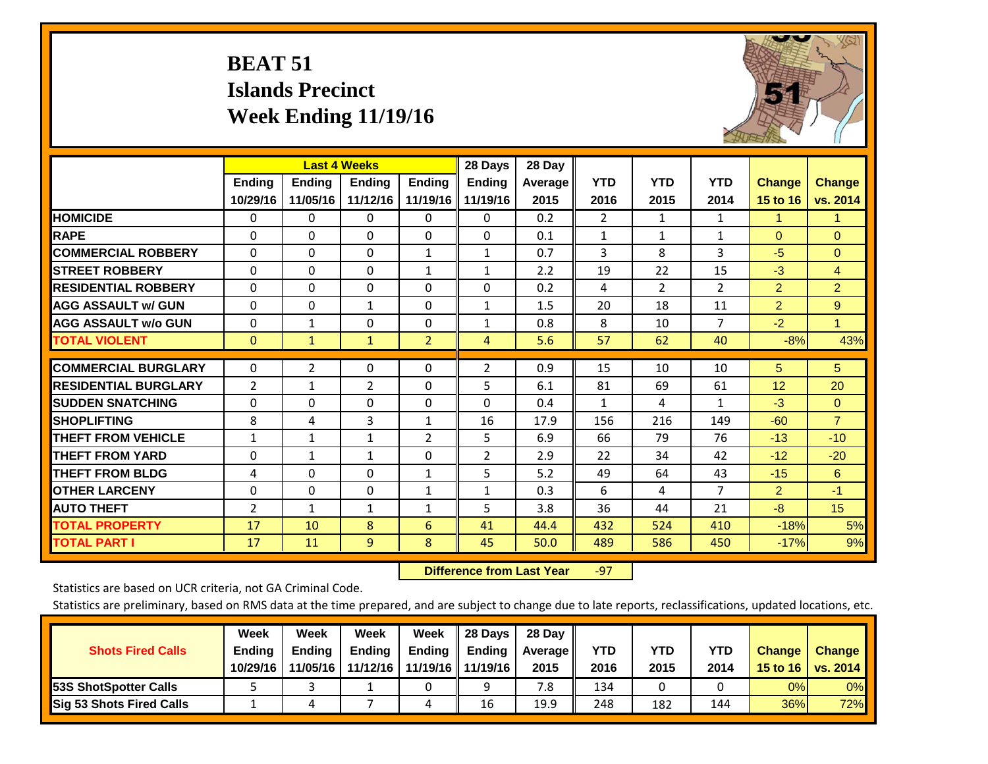# **BEAT 51 Islands Precinct Week Ending 11/19/16**



|                             |                | <b>Last 4 Weeks</b> |                |                | 28 Days        | 28 Day  |                |            |                |                 |                |
|-----------------------------|----------------|---------------------|----------------|----------------|----------------|---------|----------------|------------|----------------|-----------------|----------------|
|                             | <b>Ending</b>  | <b>Ending</b>       | <b>Endina</b>  | <b>Ending</b>  | <b>Ending</b>  | Average | <b>YTD</b>     | <b>YTD</b> | <b>YTD</b>     | <b>Change</b>   | <b>Change</b>  |
|                             | 10/29/16       | 11/05/16            | 11/12/16       | 11/19/16       | 11/19/16       | 2015    | 2016           | 2015       | 2014           | 15 to 16        | vs. 2014       |
| <b>HOMICIDE</b>             | 0              | 0                   | $\Omega$       | $\Omega$       | 0              | 0.2     | $\overline{2}$ | 1          | 1              | 1               | 1.             |
| <b>RAPE</b>                 | 0              | $\Omega$            | $\Omega$       | $\Omega$       | $\Omega$       | 0.1     | 1              | 1          | $\mathbf{1}$   | $\Omega$        | $\Omega$       |
| <b>COMMERCIAL ROBBERY</b>   | $\Omega$       | 0                   | $\Omega$       | 1              | 1              | 0.7     | 3              | 8          | 3              | $-5$            | $\Omega$       |
| <b>ISTREET ROBBERY</b>      | $\Omega$       | $\Omega$            | $\Omega$       | $\mathbf{1}$   | $\mathbf{1}$   | 2.2     | 19             | 22         | 15             | $-3$            | $\overline{4}$ |
| <b>RESIDENTIAL ROBBERY</b>  | $\Omega$       | $\Omega$            | $\Omega$       | $\Omega$       | $\Omega$       | 0.2     | 4              | 2          | $\overline{2}$ | $\overline{2}$  | $\overline{2}$ |
| <b>AGG ASSAULT w/ GUN</b>   | $\Omega$       | 0                   | 1              | $\Omega$       | $\mathbf{1}$   | 1.5     | 20             | 18         | 11             | $\overline{2}$  | 9              |
| <b>AGG ASSAULT w/o GUN</b>  | $\Omega$       | $\mathbf{1}$        | $\Omega$       | $\Omega$       | $\mathbf{1}$   | 0.8     | 8              | 10         | $\overline{7}$ | $-2$            | $\mathbf{1}$   |
| <b>TOTAL VIOLENT</b>        | $\mathbf{0}$   | $\mathbf{1}$        | $\mathbf{1}$   | $\overline{2}$ | 4              | 5.6     | 57             | 62         | 40             | $-8%$           | 43%            |
|                             |                |                     |                |                |                |         |                |            |                |                 |                |
| <b>COMMERCIAL BURGLARY</b>  | $\Omega$       | $\overline{2}$      | $\Omega$       | $\Omega$       | 2              | 0.9     | 15             | 10         | 10             | 5               | 5 <sup>5</sup> |
| <b>RESIDENTIAL BURGLARY</b> | 2              | 1                   | 2              | $\Omega$       | 5              | 6.1     | 81             | 69         | 61             | 12 <sup>2</sup> | 20             |
| <b>SUDDEN SNATCHING</b>     | 0              | 0                   | $\Omega$       | $\Omega$       | 0              | 0.4     | 1              | 4          | 1              | $-3$            | $\mathbf{0}$   |
| <b>SHOPLIFTING</b>          | 8              | 4                   | 3              | 1              | 16             | 17.9    | 156            | 216        | 149            | $-60$           | $\overline{7}$ |
| <b>THEFT FROM VEHICLE</b>   | $\mathbf{1}$   | $\mathbf{1}$        | $\mathbf{1}$   | 2              | 5              | 6.9     | 66             | 79         | 76             | $-13$           | $-10$          |
| <b>THEFT FROM YARD</b>      | 0              | 1                   | 1              | $\mathbf 0$    | $\overline{2}$ | 2.9     | 22             | 34         | 42             | $-12$           | $-20$          |
| <b>THEFT FROM BLDG</b>      | 4              | $\Omega$            | $\Omega$       | $\mathbf{1}$   | 5              | 5.2     | 49             | 64         | 43             | $-15$           | 6              |
| <b>OTHER LARCENY</b>        | $\mathbf{0}$   | $\Omega$            | $\Omega$       | 1              | $\mathbf{1}$   | 0.3     | 6              | 4          | $\overline{7}$ | 2               | $-1$           |
| <b>AUTO THEFT</b>           | $\overline{2}$ | $\mathbf{1}$        | $\mathbf{1}$   | 1              | 5              | 3.8     | 36             | 44         | 21             | $-8$            | 15             |
| <b>TOTAL PROPERTY</b>       | 17             | 10                  | 8              | 6              | 41             | 44.4    | 432            | 524        | 410            | $-18%$          | 5%             |
| <b>TOTAL PART I</b>         | 17             | 11                  | $\overline{9}$ | 8              | 45             | 50.0    | 489            | 586        | 450            | $-17%$          | 9%             |

 **Difference from Last Year**‐97

Statistics are based on UCR criteria, not GA Criminal Code.

| <b>Shots Fired Calls</b>        | Week<br><b>Ending</b><br>10/29/16 | Week<br><b>Endina</b><br>11/05/16 | <b>Week</b><br>Ending<br>11/12/16 | Week<br>Ending | 28 Days<br><b>Ending</b><br>11/19/16   11/19/16 | 28 Day<br>Average II<br>2015 | YTD<br>2016 | YTD<br>2015 | <b>YTD</b><br>2014 | <b>Change</b><br>15 to 16 | <b>Change</b><br>vs. 2014 |
|---------------------------------|-----------------------------------|-----------------------------------|-----------------------------------|----------------|-------------------------------------------------|------------------------------|-------------|-------------|--------------------|---------------------------|---------------------------|
| <b>153S ShotSpotter Calls</b>   |                                   |                                   |                                   |                | a                                               | 7.8                          | 134         |             |                    | 0%                        | 0%                        |
| <b>Sig 53 Shots Fired Calls</b> |                                   |                                   |                                   |                | 16                                              | 19.9                         | 248         | 182         | 144                | 36%                       | 72%                       |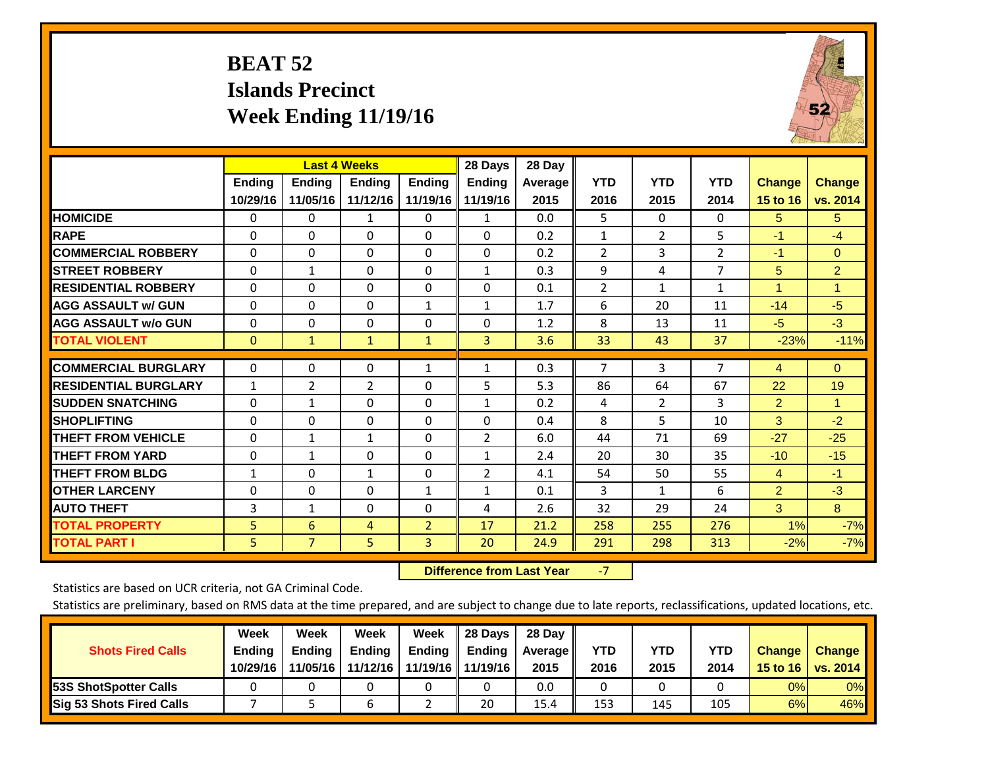# **BEAT 52 Islands Precinct Week Ending 11/19/16**



|                             |                           | <b>Last 4 Weeks</b>       |                           |                           | 28 Days                   | 28 Day          |                    |                    |                    |                           |                           |
|-----------------------------|---------------------------|---------------------------|---------------------------|---------------------------|---------------------------|-----------------|--------------------|--------------------|--------------------|---------------------------|---------------------------|
|                             | <b>Ending</b><br>10/29/16 | <b>Ending</b><br>11/05/16 | <b>Endina</b><br>11/12/16 | <b>Ending</b><br>11/19/16 | <b>Endina</b><br>11/19/16 | Average<br>2015 | <b>YTD</b><br>2016 | <b>YTD</b><br>2015 | <b>YTD</b><br>2014 | <b>Change</b><br>15 to 16 | <b>Change</b><br>vs. 2014 |
| <b>HOMICIDE</b>             | 0                         | 0                         | 1                         | 0                         | $\mathbf{1}$              | 0.0             | 5                  | $\Omega$           | 0                  | 5                         | 5                         |
| <b>RAPE</b>                 | 0                         | 0                         | $\Omega$                  | $\Omega$                  | $\Omega$                  | 0.2             | $\mathbf{1}$       | $\overline{2}$     | 5                  | $-1$                      | $-4$                      |
| <b>COMMERCIAL ROBBERY</b>   | $\Omega$                  | $\Omega$                  | $\Omega$                  | $\Omega$                  | $\Omega$                  | 0.2             | $\overline{2}$     | 3                  | $\overline{2}$     | $-1$                      | $\Omega$                  |
| <b>ISTREET ROBBERY</b>      | $\Omega$                  | 1                         | $\Omega$                  | $\Omega$                  | $\mathbf{1}$              | 0.3             | 9                  | 4                  | $\overline{7}$     | 5                         | $\overline{2}$            |
| <b>RESIDENTIAL ROBBERY</b>  | $\Omega$                  | 0                         | 0                         | $\Omega$                  | $\Omega$                  | 0.1             | $\overline{2}$     | $\mathbf{1}$       | $\mathbf{1}$       | 4                         | 1                         |
| <b>AGG ASSAULT w/ GUN</b>   | $\Omega$                  | 0                         | $\Omega$                  | $\mathbf{1}$              | $\mathbf{1}$              | 1.7             | 6                  | 20                 | 11                 | $-14$                     | $-5$                      |
| <b>AGG ASSAULT w/o GUN</b>  | $\Omega$                  | 0                         | $\Omega$                  | $\mathbf{0}$              | $\Omega$                  | 1.2             | 8                  | 13                 | 11                 | $-5$                      | $-3$                      |
| <b>TOTAL VIOLENT</b>        | $\mathbf{0}$              | $\mathbf{1}$              | $\mathbf{1}$              | $\mathbf{1}$              | 3                         | 3.6             | 33                 | 43                 | 37                 | $-23%$                    | $-11%$                    |
| <b>COMMERCIAL BURGLARY</b>  | $\Omega$                  | 0                         | 0                         | 1                         | $\mathbf{1}$              | 0.3             | $\overline{7}$     | 3                  | 7                  | 4                         | $\Omega$                  |
| <b>RESIDENTIAL BURGLARY</b> | 1                         | 2                         | 2                         | $\Omega$                  | 5                         | 5.3             | 86                 | 64                 | 67                 | 22                        | 19                        |
| <b>SUDDEN SNATCHING</b>     | $\Omega$                  | $\mathbf{1}$              | $\Omega$                  | $\Omega$                  | 1                         | 0.2             | 4                  | 2                  | 3                  | $\overline{2}$            | 1                         |
| <b>SHOPLIFTING</b>          | 0                         | 0                         | 0                         | $\Omega$                  | $\Omega$                  | 0.4             | 8                  | 5                  | 10                 | 3                         | $-2$                      |
| <b>THEFT FROM VEHICLE</b>   | $\Omega$                  | $\mathbf{1}$              | $\mathbf{1}$              | $\Omega$                  | $\overline{2}$            | 6.0             | 44                 | 71                 | 69                 | $-27$                     | $-25$                     |
| <b>THEFT FROM YARD</b>      | $\Omega$                  | $\mathbf{1}$              | $\Omega$                  | $\Omega$                  | $\mathbf{1}$              | 2.4             | 20                 | 30                 | 35                 | $-10$                     | $-15$                     |
| <b>THEFT FROM BLDG</b>      | 1                         | 0                         | $\mathbf{1}$              | $\Omega$                  | $\overline{2}$            | 4.1             | 54                 | 50                 | 55                 | 4                         | $-1$                      |
| <b>OTHER LARCENY</b>        | 0                         | $\Omega$                  | $\Omega$                  | 1                         | $\mathbf{1}$              | 0.1             | 3                  | $\mathbf{1}$       | 6                  | $\overline{2}$            | $-3$                      |
| <b>AUTO THEFT</b>           | 3                         | 1                         | $\Omega$                  | $\Omega$                  | 4                         | 2.6             | 32                 | 29                 | 24                 | 3                         | 8 <sup>°</sup>            |
| <b>TOTAL PROPERTY</b>       | 5                         | 6                         | 4                         | $\overline{2}$            | 17                        | 21.2            | 258                | 255                | 276                | 1%                        | $-7%$                     |
| <b>TOTAL PART I</b>         | 5.                        | $\overline{7}$            | 5                         | $\overline{3}$            | 20                        | 24.9            | 291                | 298                | 313                | $-2%$                     | $-7%$                     |

 **Difference from Last Year**‐7

Statistics are based on UCR criteria, not GA Criminal Code.

| <b>Shots Fired Calls</b>        | Week<br><b>Ending</b><br>10/29/16 | Week<br><b>Endina</b><br>11/05/16 | <b>Week</b><br>Ending<br>11/12/16 | Week<br>Ending | 28 Days<br><b>Ending</b><br>11/19/16   11/19/16 | 28 Day<br>Average II<br>2015 | YTD<br>2016 | YTD<br>2015 | YTD<br>2014 | <b>Change</b><br>15 to 16 | <b>Change</b><br>vs. 2014 |
|---------------------------------|-----------------------------------|-----------------------------------|-----------------------------------|----------------|-------------------------------------------------|------------------------------|-------------|-------------|-------------|---------------------------|---------------------------|
| <b>153S ShotSpotter Calls</b>   |                                   |                                   |                                   |                |                                                 | 0.0                          |             |             |             | 0%                        | 0%                        |
| <b>Sig 53 Shots Fired Calls</b> |                                   |                                   |                                   |                | 20                                              | 15.4                         | 153         | 145         | 105         | 6%                        | 46%                       |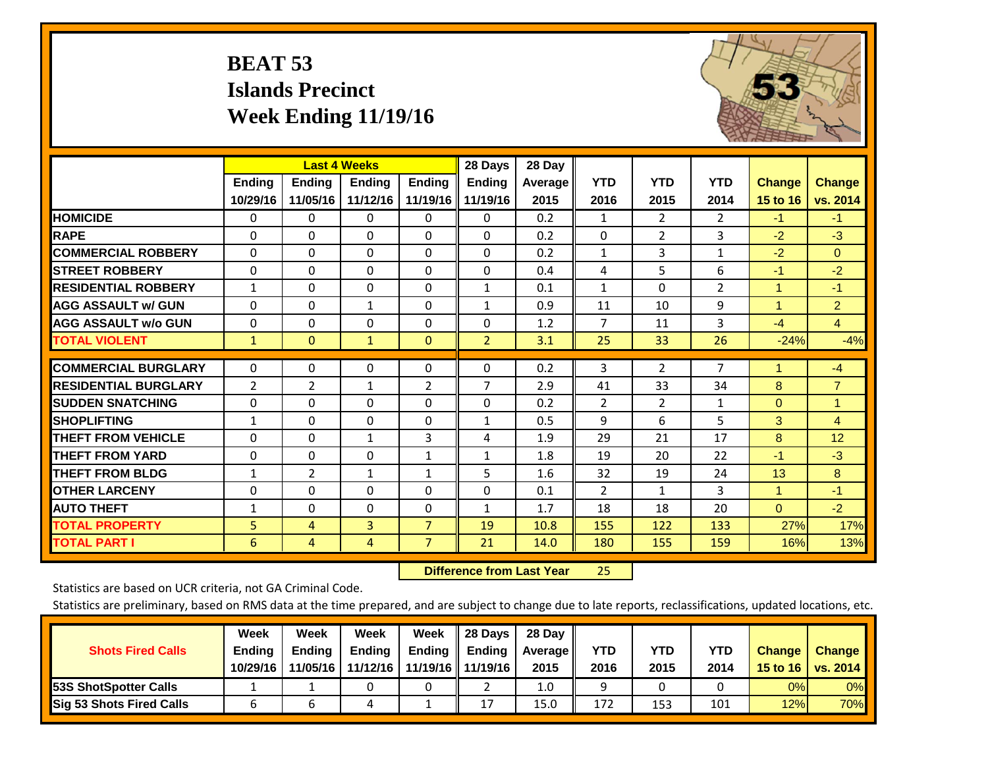# **BEAT 53 Islands Precinct Week Ending 11/19/16**



|                             |               | <b>Last 4 Weeks</b> |               |                | 28 Days        | 28 Day  |                |                |                |                      |                |
|-----------------------------|---------------|---------------------|---------------|----------------|----------------|---------|----------------|----------------|----------------|----------------------|----------------|
|                             | <b>Ending</b> | Ending              | <b>Ending</b> | <b>Ending</b>  | <b>Ending</b>  | Average | <b>YTD</b>     | <b>YTD</b>     | <b>YTD</b>     | <b>Change</b>        | <b>Change</b>  |
|                             | 10/29/16      | 11/05/16            | 11/12/16      | 11/19/16       | 11/19/16       | 2015    | 2016           | 2015           | 2014           | 15 to 16             | vs. 2014       |
| <b>HOMICIDE</b>             | 0             | 0                   | 0             | $\Omega$       | $\Omega$       | 0.2     | 1              | $\overline{2}$ | $\overline{2}$ | $-1$                 | $-1$           |
| <b>RAPE</b>                 | $\Omega$      | 0                   | $\Omega$      | 0              | 0              | 0.2     | $\Omega$       | $\overline{2}$ | 3              | $-2$                 | $-3$           |
| <b>COMMERCIAL ROBBERY</b>   | $\Omega$      | $\Omega$            | $\mathbf{0}$  | $\Omega$       | $\Omega$       | 0.2     | $\mathbf{1}$   | 3              | $\mathbf{1}$   | $-2$                 | $\Omega$       |
| <b>STREET ROBBERY</b>       | $\Omega$      | $\Omega$            | $\Omega$      | $\Omega$       | 0              | 0.4     | 4              | 5              | 6              | $-1$                 | $-2$           |
| <b>RESIDENTIAL ROBBERY</b>  | $\mathbf{1}$  | $\Omega$            | 0             | $\Omega$       | $\mathbf{1}$   | 0.1     | $\mathbf{1}$   | $\Omega$       | $\overline{2}$ | $\blacktriangleleft$ | $-1$           |
| <b>AGG ASSAULT w/ GUN</b>   | $\Omega$      | $\Omega$            | 1             | $\Omega$       | $\mathbf{1}$   | 0.9     | 11             | 10             | 9              | 1                    | $\overline{2}$ |
| <b>AGG ASSAULT w/o GUN</b>  | 0             | $\Omega$            | 0             | $\Omega$       | $\Omega$       | 1.2     | $\overline{7}$ | 11             | 3              | $-4$                 | $\overline{4}$ |
| <b>TOTAL VIOLENT</b>        | $\mathbf{1}$  | $\mathbf{0}$        | $\mathbf{1}$  | $\mathbf{0}$   | $\overline{2}$ | 3.1     | 25             | 33             | 26             | $-24%$               | $-4%$          |
|                             |               |                     |               |                |                |         |                |                |                |                      |                |
| <b>COMMERCIAL BURGLARY</b>  | $\Omega$      | 0                   | $\mathbf 0$   | 0              | $\Omega$       | 0.2     | 3              | $\overline{2}$ | $\overline{7}$ | 1                    | $-4$           |
| <b>RESIDENTIAL BURGLARY</b> | 2             | 2                   | 1             | 2              | 7              | 2.9     | 41             | 33             | 34             | 8                    | $\overline{7}$ |
| <b>SUDDEN SNATCHING</b>     | $\Omega$      | 0                   | $\Omega$      | 0              | 0              | 0.2     | 2              | $\overline{2}$ | 1              | $\Omega$             | $\mathbf{1}$   |
| <b>SHOPLIFTING</b>          | $\mathbf{1}$  | $\Omega$            | $\Omega$      | $\Omega$       | $\mathbf{1}$   | 0.5     | 9              | 6              | 5              | 3                    | $\overline{4}$ |
| <b>THEFT FROM VEHICLE</b>   | $\Omega$      | 0                   | 1             | 3              | 4              | 1.9     | 29             | 21             | 17             | 8                    | 12             |
| <b>THEFT FROM YARD</b>      | $\Omega$      | $\Omega$            | $\Omega$      | 1              | $\mathbf{1}$   | 1.8     | 19             | 20             | 22             | $-1$                 | $-3$           |
| <b>THEFT FROM BLDG</b>      | 1             | 2                   | 1             | 1              | 5              | 1.6     | 32             | 19             | 24             | 13                   | 8              |
| <b>OTHER LARCENY</b>        | $\Omega$      | $\Omega$            | $\Omega$      | 0              | 0              | 0.1     | $\overline{2}$ | 1              | 3              | 1                    | $-1$           |
| <b>AUTO THEFT</b>           | $\mathbf{1}$  | $\Omega$            | $\Omega$      | $\Omega$       | $\mathbf{1}$   | 1.7     | 18             | 18             | 20             | $\Omega$             | $-2$           |
| <b>TOTAL PROPERTY</b>       | 5             | 4                   | 3             | 7              | 19             | 10.8    | 155            | 122            | 133            | 27%                  | 17%            |
| <b>TOTAL PART I</b>         | 6             | 4                   | 4             | $\overline{7}$ | 21             | 14.0    | 180            | 155            | 159            | 16%                  | 13%            |

 **Difference from Last Year**25

Statistics are based on UCR criteria, not GA Criminal Code.

| <b>Shots Fired Calls</b>        | Week<br><b>Ending</b><br>10/29/16 | Week<br><b>Endina</b><br>11/05/16 | Week<br>Ending<br>11/12/16 | Week<br>Ending | 28 Days<br><b>Ending</b><br>11/19/16   11/19/16 | 28 Day<br>Average II<br>2015 | YTD<br>2016 | YTD<br>2015 | <b>YTD</b><br>2014 | <b>Change</b><br>15 to 16 | <b>Change</b><br>vs. 2014 |
|---------------------------------|-----------------------------------|-----------------------------------|----------------------------|----------------|-------------------------------------------------|------------------------------|-------------|-------------|--------------------|---------------------------|---------------------------|
| <b>153S ShotSpotter Calls</b>   |                                   |                                   |                            |                |                                                 | 1.0                          |             |             |                    | 0%                        | 0%                        |
| <b>Sig 53 Shots Fired Calls</b> |                                   |                                   |                            |                | 17                                              | 15.0                         | 172         | 153         | 101                | 12%                       | 70%                       |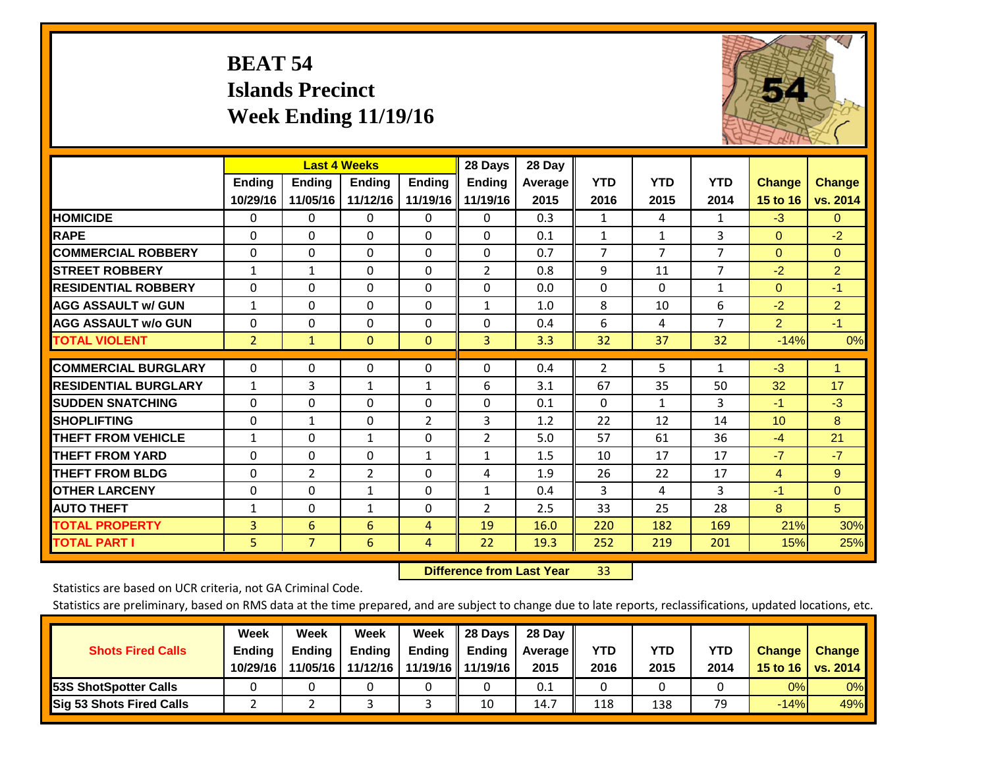# **BEAT 54 Islands Precinct Week Ending 11/19/16**



|                             |                | <b>Last 4 Weeks</b> |                |                | 28 Days        | 28 Day  |                |                |                |                 |                |
|-----------------------------|----------------|---------------------|----------------|----------------|----------------|---------|----------------|----------------|----------------|-----------------|----------------|
|                             | <b>Ending</b>  | Ending              | <b>Endina</b>  | Ending         | <b>Ending</b>  | Average | <b>YTD</b>     | <b>YTD</b>     | <b>YTD</b>     | <b>Change</b>   | <b>Change</b>  |
|                             | 10/29/16       | 11/05/16            | 11/12/16       | 11/19/16       | 11/19/16       | 2015    | 2016           | 2015           | 2014           | 15 to 16        | vs. 2014       |
| <b>HOMICIDE</b>             | 0              | 0                   | 0              | 0              | 0              | 0.3     | 1              | 4              | 1              | $-3$            | $\mathbf{0}$   |
| <b>RAPE</b>                 | $\Omega$       | $\Omega$            | $\Omega$       | $\Omega$       | 0              | 0.1     | $\mathbf{1}$   | 1              | 3              | $\Omega$        | $-2$           |
| <b>COMMERCIAL ROBBERY</b>   | $\Omega$       | $\Omega$            | $\Omega$       | 0              | 0              | 0.7     | $\overline{7}$ | $\overline{7}$ | $\overline{7}$ | $\mathbf{0}$    | $\Omega$       |
| <b>ISTREET ROBBERY</b>      | $\mathbf{1}$   | $\mathbf{1}$        | $\Omega$       | $\Omega$       | 2              | 0.8     | 9              | 11             | $\overline{7}$ | $-2$            | $\overline{2}$ |
| <b>RESIDENTIAL ROBBERY</b>  | $\Omega$       | $\Omega$            | $\Omega$       | $\Omega$       | 0              | 0.0     | $\mathbf{0}$   | $\Omega$       | 1              | $\mathbf{0}$    | $-1$           |
| <b>AGG ASSAULT w/ GUN</b>   | $\mathbf{1}$   | $\Omega$            | $\mathbf{0}$   | $\Omega$       | $\mathbf{1}$   | 1.0     | 8              | 10             | 6              | $-2$            | $\overline{2}$ |
| <b>AGG ASSAULT w/o GUN</b>  | $\Omega$       | 0                   | $\Omega$       | 0              | 0              | 0.4     | 6              | 4              | $\overline{7}$ | $\overline{2}$  | $-1$           |
| <b>TOTAL VIOLENT</b>        | $\overline{2}$ | $\mathbf{1}$        | $\mathbf{0}$   | $\mathbf{0}$   | 3              | 3.3     | 32             | 37             | 32             | $-14%$          | 0%             |
| <b>COMMERCIAL BURGLARY</b>  | $\Omega$       | $\Omega$            | $\Omega$       | $\Omega$       | 0              | 0.4     | $\overline{2}$ | 5              | $\mathbf{1}$   | $-3$            | 1              |
| <b>RESIDENTIAL BURGLARY</b> | $\mathbf{1}$   | 3                   | 1              | $\mathbf{1}$   | 6              | 3.1     | 67             | 35             | 50             | 32              | 17             |
| <b>SUDDEN SNATCHING</b>     | $\Omega$       | $\Omega$            | $\mathbf{0}$   | $\Omega$       | 0              | 0.1     | $\mathbf{0}$   | $\mathbf{1}$   | 3              | $-1$            | $-3$           |
| <b>SHOPLIFTING</b>          | $\Omega$       | 1                   | $\Omega$       | $\overline{2}$ | 3              | 1.2     | 22             | 12             | 14             | 10 <sup>1</sup> | 8              |
| <b>THEFT FROM VEHICLE</b>   | $\mathbf{1}$   | $\Omega$            | $\mathbf{1}$   | $\Omega$       | $\overline{2}$ | 5.0     | 57             | 61             | 36             | $-4$            | 21             |
| <b>THEFT FROM YARD</b>      | $\Omega$       | $\Omega$            | $\Omega$       | $\mathbf{1}$   | $\mathbf{1}$   | 1.5     | 10             | 17             | 17             | $-7$            | $-7$           |
| <b>THEFT FROM BLDG</b>      | $\Omega$       | $\overline{2}$      | $\overline{2}$ | $\Omega$       | 4              | 1.9     | 26             | 22             | 17             | $\overline{4}$  | 9              |
| <b>OTHER LARCENY</b>        | $\Omega$       | $\Omega$            | $\mathbf{1}$   | 0              | $\mathbf{1}$   | 0.4     | 3              | 4              | 3              | $-1$            | $\Omega$       |
| <b>AUTO THEFT</b>           | $\mathbf{1}$   | $\Omega$            | $\mathbf{1}$   | 0              | $\overline{2}$ | 2.5     | 33             | 25             | 28             | 8               | 5 <sup>5</sup> |
| <b>TOTAL PROPERTY</b>       | 3              | 6                   | 6              | 4              | 19             | 16.0    | 220            | 182            | 169            | 21%             | 30%            |
| <b>TOTAL PART I</b>         | 5              | $\overline{7}$      | 6              | 4              | 22             | 19.3    | 252            | 219            | 201            | 15%             | 25%            |

 **Difference from Last Year**r 33

Statistics are based on UCR criteria, not GA Criminal Code.

| <b>Shots Fired Calls</b>        | Week<br><b>Ending</b><br>10/29/16 | Week<br><b>Endina</b><br>11/05/16 | <b>Week</b><br>Ending<br>11/12/16 | Week<br>Ending | 28 Days<br><b>Ending</b><br>11/19/16   11/19/16 | 28 Day<br>Average II<br>2015 | YTD<br>2016 | YTD<br>2015 | YTD<br>2014 | <b>Change</b><br>15 to 16 | <b>Change</b><br>vs. 2014 |
|---------------------------------|-----------------------------------|-----------------------------------|-----------------------------------|----------------|-------------------------------------------------|------------------------------|-------------|-------------|-------------|---------------------------|---------------------------|
| <b>153S ShotSpotter Calls</b>   |                                   |                                   |                                   |                |                                                 | 0.1                          |             |             |             | 0%                        | 0%                        |
| <b>Sig 53 Shots Fired Calls</b> |                                   |                                   |                                   |                | 10                                              | 14.7                         | 118         | 138         | 79          | $-14%$                    | 49%                       |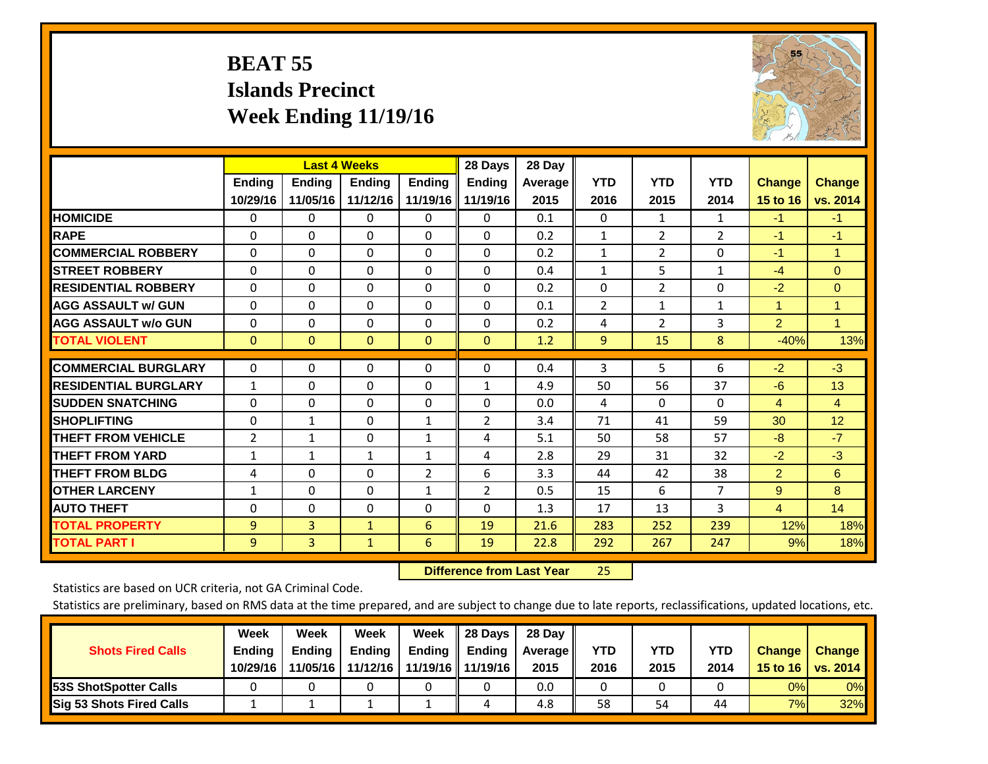# **BEAT 55 Islands Precinct Week Ending 11/19/16**



|                             | <b>Last 4 Weeks</b> |               |              |               | 28 Days        | 28 Day  |                |                |                |                |                      |
|-----------------------------|---------------------|---------------|--------------|---------------|----------------|---------|----------------|----------------|----------------|----------------|----------------------|
|                             | <b>Ending</b>       | <b>Ending</b> | Ending       | <b>Ending</b> | <b>Ending</b>  | Average | <b>YTD</b>     | <b>YTD</b>     | <b>YTD</b>     | <b>Change</b>  | <b>Change</b>        |
|                             | 10/29/16            | 11/05/16      | 11/12/16     | 11/19/16 II   | 11/19/16       | 2015    | 2016           | 2015           | 2014           | 15 to 16       | vs. 2014             |
| <b>HOMICIDE</b>             | 0                   | 0             | $\Omega$     | $\Omega$      | $\mathbf{0}$   | 0.1     | $\mathbf{0}$   | 1              | 1              | $-1$           | $-1$                 |
| <b>RAPE</b>                 | 0                   | $\Omega$      | $\Omega$     | $\Omega$      | $\Omega$       | 0.2     | 1              | 2              | $\overline{2}$ | $-1$           | $-1$                 |
| <b>COMMERCIAL ROBBERY</b>   | $\Omega$            | 0             | $\Omega$     | 0             | $\Omega$       | 0.2     | 1              | $\overline{2}$ | 0              | $-1$           | $\blacktriangleleft$ |
| <b>ISTREET ROBBERY</b>      | $\Omega$            | $\Omega$      | $\Omega$     | $\Omega$      | $\Omega$       | 0.4     | $\mathbf{1}$   | 5              | $\mathbf{1}$   | $-4$           | $\Omega$             |
| <b>RESIDENTIAL ROBBERY</b>  | $\Omega$            | 0             | $\Omega$     | $\Omega$      | $\Omega$       | 0.2     | $\Omega$       | $\overline{2}$ | 0              | $-2$           | $\Omega$             |
| <b>AGG ASSAULT w/ GUN</b>   | $\Omega$            | 0             | $\mathbf{0}$ | $\mathbf{0}$  | $\Omega$       | 0.1     | $\overline{2}$ | $\mathbf{1}$   | 1              | 1              | $\blacktriangleleft$ |
| <b>AGG ASSAULT w/o GUN</b>  | $\Omega$            | 0             | $\Omega$     | $\Omega$      | $\Omega$       | 0.2     | 4              | $\overline{2}$ | 3              | $\overline{2}$ | $\mathbf{1}$         |
| <b>TOTAL VIOLENT</b>        | $\mathbf{0}$        | $\mathbf{0}$  | $\mathbf{0}$ | $\mathbf{0}$  | $\mathbf{0}$   | 1.2     | 9              | 15             | 8              | $-40%$         | 13%                  |
| <b>COMMERCIAL BURGLARY</b>  |                     |               |              |               | $\Omega$       |         |                | 5              |                |                | $-3$                 |
|                             | $\mathbf 0$         | 0             | 0            | 0             |                | 0.4     | 3              |                | 6              | $-2$           |                      |
| <b>RESIDENTIAL BURGLARY</b> | 1                   | $\Omega$      | $\mathbf{0}$ | $\Omega$      | $\mathbf{1}$   | 4.9     | 50             | 56             | 37             | -6             | 13                   |
| <b>ISUDDEN SNATCHING</b>    | $\Omega$            | 0             | $\Omega$     | $\mathbf{0}$  | $\Omega$       | 0.0     | 4              | $\Omega$       | $\Omega$       | 4              | 4                    |
| <b>SHOPLIFTING</b>          | 0                   | 1             | $\Omega$     | 1             | $\overline{2}$ | 3.4     | 71             | 41             | 59             | 30             | 12                   |
| <b>THEFT FROM VEHICLE</b>   | 2                   | $\mathbf{1}$  | $\Omega$     | $\mathbf{1}$  | 4              | 5.1     | 50             | 58             | 57             | $-8$           | $-7$                 |
| <b>THEFT FROM YARD</b>      | $\mathbf{1}$        | 1             | 1            | 1             | 4              | 2.8     | 29             | 31             | 32             | $-2$           | $-3$                 |
| <b>THEFT FROM BLDG</b>      | 4                   | 0             | $\mathbf{0}$ | 2             | 6              | 3.3     | 44             | 42             | 38             | 2              | 6                    |
| <b>OTHER LARCENY</b>        | 1                   | 0             | $\Omega$     | 1             | $\overline{2}$ | 0.5     | 15             | 6              | 7              | 9              | 8                    |
| <b>AUTO THEFT</b>           | 0                   | 0             | $\Omega$     | 0             | $\Omega$       | 1.3     | 17             | 13             | 3              | $\overline{4}$ | 14                   |
| <b>TOTAL PROPERTY</b>       | 9                   | 3             | $\mathbf{1}$ | 6             | 19             | 21.6    | 283            | 252            | 239            | 12%            | 18%                  |
| <b>TOTAL PART I</b>         | 9                   | 3             | $\mathbf{1}$ | 6             | 19             | 22.8    | 292            | 267            | 247            | 9%             | 18%                  |

 **Difference from Last Year**25

Statistics are based on UCR criteria, not GA Criminal Code.

| <b>Shots Fired Calls</b>        | Week<br><b>Ending</b><br>10/29/16 | Week<br><b>Endina</b><br>11/05/16 | <b>Week</b><br>Ending<br>11/12/16 | Week<br>Ending | 28 Days<br><b>Ending</b><br>11/19/16   11/19/16 | 28 Day<br>Average II<br>2015 | YTD<br>2016 | YTD<br>2015 | <b>YTD</b><br>2014 | <b>Change</b><br>15 to 16 | <b>Change</b><br>vs. 2014 |
|---------------------------------|-----------------------------------|-----------------------------------|-----------------------------------|----------------|-------------------------------------------------|------------------------------|-------------|-------------|--------------------|---------------------------|---------------------------|
| <b>153S ShotSpotter Calls</b>   |                                   |                                   |                                   |                |                                                 | 0.0                          |             |             |                    | 0%                        | 0%                        |
| <b>Sig 53 Shots Fired Calls</b> |                                   |                                   |                                   |                |                                                 | 4.8                          | 58          | 54          | 44                 | 7%                        | 32%                       |